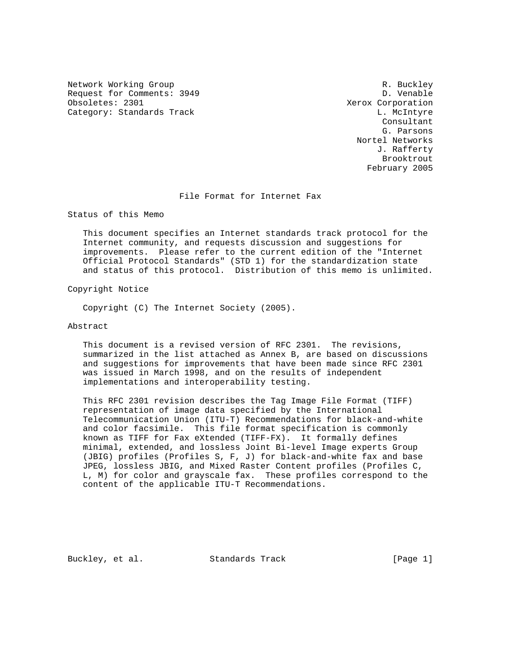Network Working Group and the set of the set of the set of the R. Buckley Request for Comments: 3949 D. Venable<br>
Obsoletes: 2301 Deboorted: 2301 Category: Standards Track L. McIntyre

Xerox Corporation Consultant G. Parsons Nortel Networks J. Rafferty Brooktrout February 2005

File Format for Internet Fax

Status of this Memo

 This document specifies an Internet standards track protocol for the Internet community, and requests discussion and suggestions for improvements. Please refer to the current edition of the "Internet Official Protocol Standards" (STD 1) for the standardization state and status of this protocol. Distribution of this memo is unlimited.

Copyright Notice

Copyright (C) The Internet Society (2005).

Abstract

 This document is a revised version of RFC 2301. The revisions, summarized in the list attached as Annex B, are based on discussions and suggestions for improvements that have been made since RFC 2301 was issued in March 1998, and on the results of independent implementations and interoperability testing.

 This RFC 2301 revision describes the Tag Image File Format (TIFF) representation of image data specified by the International Telecommunication Union (ITU-T) Recommendations for black-and-white and color facsimile. This file format specification is commonly known as TIFF for Fax eXtended (TIFF-FX). It formally defines minimal, extended, and lossless Joint Bi-level Image experts Group (JBIG) profiles (Profiles S, F, J) for black-and-white fax and base JPEG, lossless JBIG, and Mixed Raster Content profiles (Profiles C, L, M) for color and grayscale fax. These profiles correspond to the content of the applicable ITU-T Recommendations.

Buckley, et al. Standards Track [Page 1]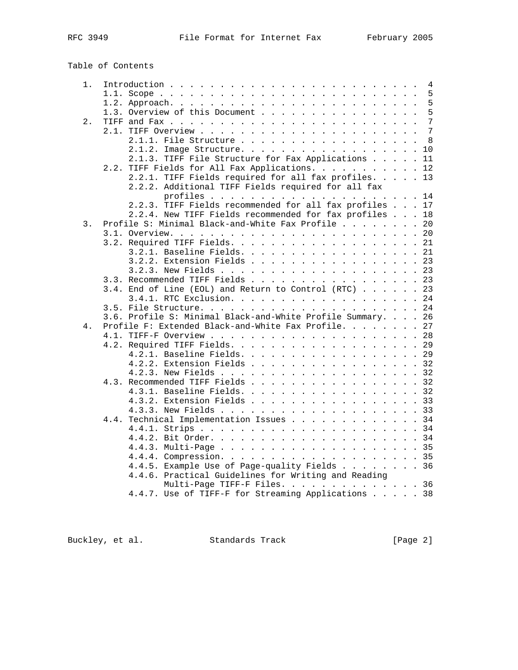Table of Contents

| $1$ . |                                                             |
|-------|-------------------------------------------------------------|
|       |                                                             |
|       |                                                             |
|       | 1.3. Overview of this Document 5                            |
| 2.    |                                                             |
|       |                                                             |
|       | 2.1.1. File Structure 8                                     |
|       | 2.1.2. Image Structure. 10                                  |
|       | 2.1.3. TIFF File Structure for Fax Applications 11          |
|       | 2.2. TIFF Fields for All Fax Applications. 12               |
|       | 2.2.1. TIFF Fields required for all fax profiles. 13        |
|       | 2.2.2. Additional TIFF Fields required for all fax          |
|       |                                                             |
|       | 2.2.3. TIFF Fields recommended for all fax profiles 17      |
|       | 2.2.4. New TIFF Fields recommended for fax profiles 18      |
| 3.    | Profile S: Minimal Black-and-White Fax Profile 20           |
|       |                                                             |
|       |                                                             |
|       | 3.2.1. Baseline Fields. 21                                  |
|       | 3.2.2. Extension Fields 23                                  |
|       |                                                             |
|       | 3.3. Recommended TIFF Fields 23                             |
|       | 3.4. End of Line (EOL) and Return to Control (RTC) 23       |
|       | 3.4.1. RTC Exclusion. 24                                    |
|       |                                                             |
|       | 3.6. Profile S: Minimal Black-and-White Profile Summary. 26 |
| 4.    | Profile F: Extended Black-and-White Fax Profile. 27         |
|       |                                                             |
|       |                                                             |
|       | 4.2.1. Baseline Fields. 29                                  |
|       | 4.2.2. Extension Fields 32                                  |
|       |                                                             |
|       | 4.3. Recommended TIFF Fields 32                             |
|       | 4.3.1. Baseline Fields. 32                                  |
|       | 4.3.2. Extension Fields 33                                  |
|       |                                                             |
|       | Technical Implementation Issues 34                          |
|       | 4.4.                                                        |
|       |                                                             |
|       |                                                             |
|       |                                                             |
|       |                                                             |
|       | 4.4.5. Example Use of Page-quality Fields 36                |
|       | 4.4.6. Practical Guidelines for Writing and Reading         |
|       | Multi-Page TIFF-F Files. 36                                 |
|       | 4.4.7. Use of TIFF-F for Streaming Applications 38          |

Buckley, et al. Standards Track [Page 2]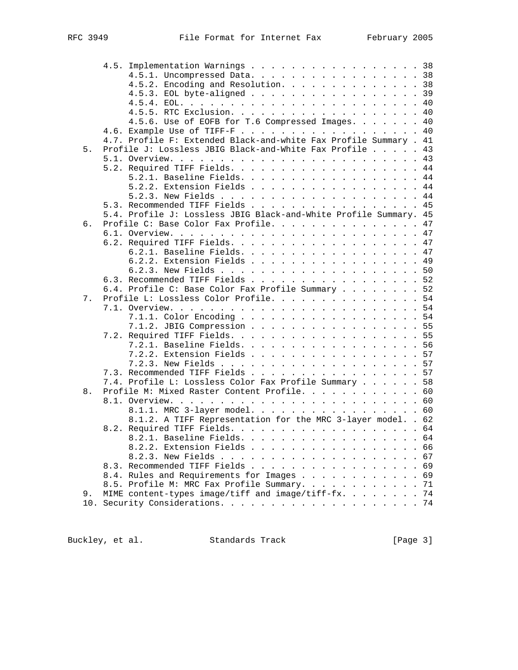|    | 4.5. Implementation Warnings 38                                   |    |
|----|-------------------------------------------------------------------|----|
|    | 4.5.1. Uncompressed Data. 38                                      |    |
|    | 4.5.2. Encoding and Resolution. 38                                |    |
|    | 4.5.3. EOL byte-aligned 39                                        |    |
|    |                                                                   |    |
|    | 4.5.5. RTC Exclusion. 40                                          |    |
|    | 4.5.6. Use of EOFB for T.6 Compressed Images. 40                  |    |
|    |                                                                   |    |
|    | 4.7. Profile F: Extended Black-and-white Fax Profile Summary . 41 |    |
| 5. | Profile J: Lossless JBIG Black-and-White Fax Profile 43           |    |
|    |                                                                   |    |
|    | 5.2. Required TIFF Fields. 44                                     |    |
|    | 5.2.1. Baseline Fields. 44                                        |    |
|    | 5.2.2. Extension Fields 44                                        |    |
|    |                                                                   |    |
|    | 5.3. Recommended TIFF Fields 45                                   |    |
|    | 5.4. Profile J: Lossless JBIG Black-and-White Profile Summary. 45 |    |
| 6. | Profile C: Base Color Fax Profile. 47                             |    |
|    |                                                                   |    |
|    |                                                                   |    |
|    | 6.2. Required TIFF Fields. 47                                     |    |
|    | 6.2.1. Baseline Fields. 47                                        |    |
|    | 6.2.2. Extension Fields 49                                        |    |
|    |                                                                   |    |
|    | 6.3. Recommended TIFF Fields 52                                   |    |
|    | 6.4. Profile C: Base Color Fax Profile Summary 52                 |    |
| 7. | Profile L: Lossless Color Profile. 54                             |    |
|    |                                                                   |    |
|    | 7.1.1. Color Encoding 54                                          |    |
|    | 7.1.2. JBIG Compression 55                                        |    |
|    |                                                                   |    |
|    | 7.2.1. Baseline Fields. 56                                        |    |
|    | 7.2.2. Extension Fields 57                                        |    |
|    |                                                                   |    |
|    | 7.3. Recommended TIFF Fields 57                                   |    |
|    | 7.4. Profile L: Lossless Color Fax Profile Summary 58             |    |
| 8. | Profile M: Mixed Raster Content Profile. 60                       |    |
|    |                                                                   |    |
|    | 8.1.1. MRC 3-layer model. 60                                      |    |
|    | 8.1.2. A TIFF Representation for the MRC 3-layer model. . 62      |    |
|    |                                                                   |    |
|    | 8.2.1. Baseline Fields. 64                                        |    |
|    | 8.2.2. Extension Fields                                           | 66 |
|    |                                                                   | 67 |
|    | 8.3. Recommended TIFF Fields                                      | 69 |
|    | 8.4. Rules and Requirements for Images                            | 69 |
|    | 8.5. Profile M: MRC Fax Profile Summary.                          | 71 |
| 9. | MIME content-types image/tiff and image/tiff-fx.                  | 74 |
|    |                                                                   | 74 |
|    |                                                                   |    |

Buckley, et al. Standards Track [Page 3]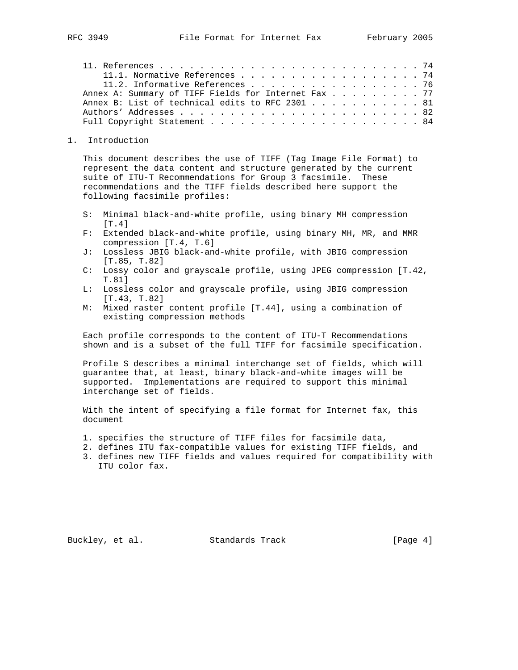| 11.1. Normative References 74                       |  |  |
|-----------------------------------------------------|--|--|
| 11.2. Informative References 76                     |  |  |
| Annex A: Summary of TIFF Fields for Internet Fax 77 |  |  |
| Annex B: List of technical edits to RFC 2301 81     |  |  |
|                                                     |  |  |
|                                                     |  |  |

#### 1. Introduction

 This document describes the use of TIFF (Tag Image File Format) to represent the data content and structure generated by the current suite of ITU-T Recommendations for Group 3 facsimile. These recommendations and the TIFF fields described here support the following facsimile profiles:

- S: Minimal black-and-white profile, using binary MH compression [T.4]
- F: Extended black-and-white profile, using binary MH, MR, and MMR compression [T.4, T.6]
- J: Lossless JBIG black-and-white profile, with JBIG compression [T.85, T.82]
- C: Lossy color and grayscale profile, using JPEG compression [T.42, T.81]
- L: Lossless color and grayscale profile, using JBIG compression [T.43, T.82]
- M: Mixed raster content profile [T.44], using a combination of existing compression methods

 Each profile corresponds to the content of ITU-T Recommendations shown and is a subset of the full TIFF for facsimile specification.

 Profile S describes a minimal interchange set of fields, which will guarantee that, at least, binary black-and-white images will be supported. Implementations are required to support this minimal interchange set of fields.

 With the intent of specifying a file format for Internet fax, this document

- 1. specifies the structure of TIFF files for facsimile data,
- 2. defines ITU fax-compatible values for existing TIFF fields, and
- 3. defines new TIFF fields and values required for compatibility with ITU color fax.

Buckley, et al. Standards Track [Page 4]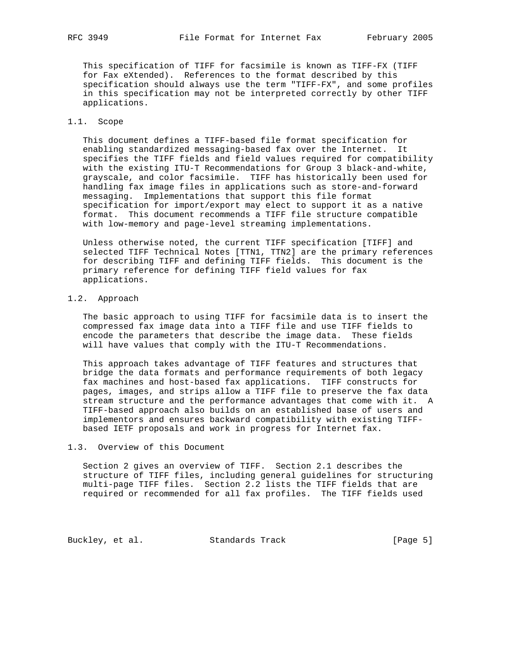This specification of TIFF for facsimile is known as TIFF-FX (TIFF for Fax eXtended). References to the format described by this specification should always use the term "TIFF-FX", and some profiles in this specification may not be interpreted correctly by other TIFF applications.

# 1.1. Scope

 This document defines a TIFF-based file format specification for enabling standardized messaging-based fax over the Internet. It specifies the TIFF fields and field values required for compatibility with the existing ITU-T Recommendations for Group 3 black-and-white, grayscale, and color facsimile. TIFF has historically been used for handling fax image files in applications such as store-and-forward messaging. Implementations that support this file format specification for import/export may elect to support it as a native format. This document recommends a TIFF file structure compatible with low-memory and page-level streaming implementations.

 Unless otherwise noted, the current TIFF specification [TIFF] and selected TIFF Technical Notes [TTN1, TTN2] are the primary references for describing TIFF and defining TIFF fields. This document is the primary reference for defining TIFF field values for fax applications.

# 1.2. Approach

 The basic approach to using TIFF for facsimile data is to insert the compressed fax image data into a TIFF file and use TIFF fields to encode the parameters that describe the image data. These fields will have values that comply with the ITU-T Recommendations.

 This approach takes advantage of TIFF features and structures that bridge the data formats and performance requirements of both legacy fax machines and host-based fax applications. TIFF constructs for pages, images, and strips allow a TIFF file to preserve the fax data stream structure and the performance advantages that come with it. A TIFF-based approach also builds on an established base of users and implementors and ensures backward compatibility with existing TIFF based IETF proposals and work in progress for Internet fax.

# 1.3. Overview of this Document

 Section 2 gives an overview of TIFF. Section 2.1 describes the structure of TIFF files, including general guidelines for structuring multi-page TIFF files. Section 2.2 lists the TIFF fields that are required or recommended for all fax profiles. The TIFF fields used

Buckley, et al. Standards Track [Page 5]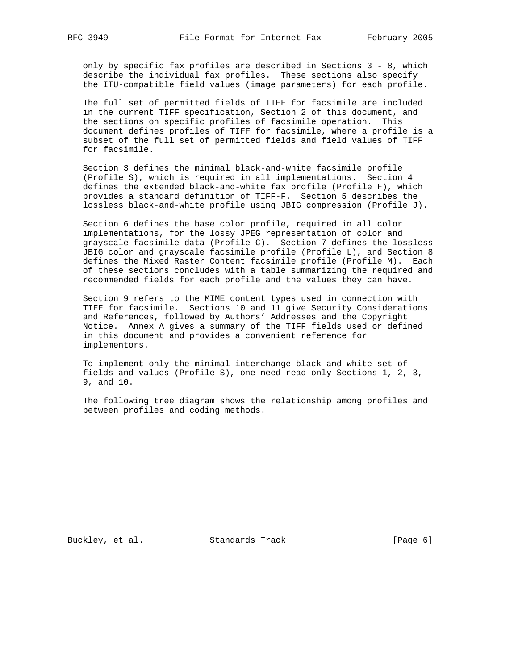only by specific fax profiles are described in Sections 3 - 8, which describe the individual fax profiles. These sections also specify the ITU-compatible field values (image parameters) for each profile.

 The full set of permitted fields of TIFF for facsimile are included in the current TIFF specification, Section 2 of this document, and the sections on specific profiles of facsimile operation. This document defines profiles of TIFF for facsimile, where a profile is a subset of the full set of permitted fields and field values of TIFF for facsimile.

 Section 3 defines the minimal black-and-white facsimile profile (Profile S), which is required in all implementations. Section 4 defines the extended black-and-white fax profile (Profile F), which provides a standard definition of TIFF-F. Section 5 describes the lossless black-and-white profile using JBIG compression (Profile J).

 Section 6 defines the base color profile, required in all color implementations, for the lossy JPEG representation of color and grayscale facsimile data (Profile C). Section 7 defines the lossless JBIG color and grayscale facsimile profile (Profile L), and Section 8 defines the Mixed Raster Content facsimile profile (Profile M). Each of these sections concludes with a table summarizing the required and recommended fields for each profile and the values they can have.

 Section 9 refers to the MIME content types used in connection with TIFF for facsimile. Sections 10 and 11 give Security Considerations and References, followed by Authors' Addresses and the Copyright Notice. Annex A gives a summary of the TIFF fields used or defined in this document and provides a convenient reference for implementors.

 To implement only the minimal interchange black-and-white set of fields and values (Profile S), one need read only Sections 1, 2, 3, 9, and 10.

 The following tree diagram shows the relationship among profiles and between profiles and coding methods.

Buckley, et al. Standards Track [Page 6]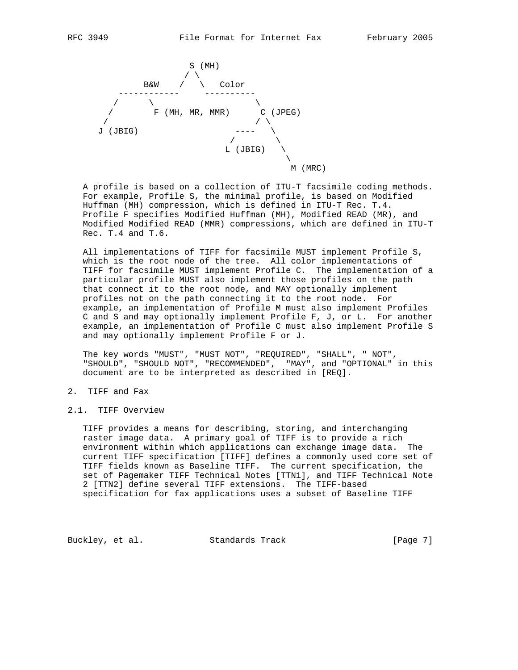

 A profile is based on a collection of ITU-T facsimile coding methods. For example, Profile S, the minimal profile, is based on Modified Huffman (MH) compression, which is defined in ITU-T Rec. T.4. Profile F specifies Modified Huffman (MH), Modified READ (MR), and Modified Modified READ (MMR) compressions, which are defined in ITU-T Rec. T.4 and T.6.

 All implementations of TIFF for facsimile MUST implement Profile S, which is the root node of the tree. All color implementations of TIFF for facsimile MUST implement Profile C. The implementation of a particular profile MUST also implement those profiles on the path that connect it to the root node, and MAY optionally implement profiles not on the path connecting it to the root node. For example, an implementation of Profile M must also implement Profiles C and S and may optionally implement Profile F, J, or L. For another example, an implementation of Profile C must also implement Profile S and may optionally implement Profile F or J.

 The key words "MUST", "MUST NOT", "REQUIRED", "SHALL", " NOT", "SHOULD", "SHOULD NOT", "RECOMMENDED", "MAY", and "OPTIONAL" in this document are to be interpreted as described in [REQ].

- 2. TIFF and Fax
- 2.1. TIFF Overview

 TIFF provides a means for describing, storing, and interchanging raster image data. A primary goal of TIFF is to provide a rich environment within which applications can exchange image data. The current TIFF specification [TIFF] defines a commonly used core set of TIFF fields known as Baseline TIFF. The current specification, the set of Pagemaker TIFF Technical Notes [TTN1], and TIFF Technical Note 2 [TTN2] define several TIFF extensions. The TIFF-based specification for fax applications uses a subset of Baseline TIFF

Buckley, et al. Standards Track [Page 7]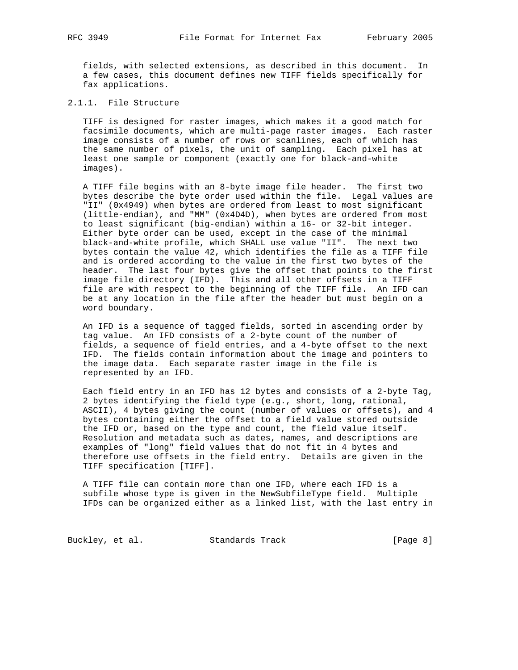fields, with selected extensions, as described in this document. In a few cases, this document defines new TIFF fields specifically for fax applications.

# 2.1.1. File Structure

 TIFF is designed for raster images, which makes it a good match for facsimile documents, which are multi-page raster images. Each raster image consists of a number of rows or scanlines, each of which has the same number of pixels, the unit of sampling. Each pixel has at least one sample or component (exactly one for black-and-white images).

 A TIFF file begins with an 8-byte image file header. The first two bytes describe the byte order used within the file. Legal values are "II" (0x4949) when bytes are ordered from least to most significant (little-endian), and "MM" (0x4D4D), when bytes are ordered from most to least significant (big-endian) within a 16- or 32-bit integer. Either byte order can be used, except in the case of the minimal black-and-white profile, which SHALL use value "II". The next two bytes contain the value 42, which identifies the file as a TIFF file and is ordered according to the value in the first two bytes of the header. The last four bytes give the offset that points to the first image file directory (IFD). This and all other offsets in a TIFF file are with respect to the beginning of the TIFF file. An IFD can be at any location in the file after the header but must begin on a word boundary.

 An IFD is a sequence of tagged fields, sorted in ascending order by tag value. An IFD consists of a 2-byte count of the number of fields, a sequence of field entries, and a 4-byte offset to the next IFD. The fields contain information about the image and pointers to the image data. Each separate raster image in the file is represented by an IFD.

 Each field entry in an IFD has 12 bytes and consists of a 2-byte Tag, 2 bytes identifying the field type (e.g., short, long, rational, ASCII), 4 bytes giving the count (number of values or offsets), and 4 bytes containing either the offset to a field value stored outside the IFD or, based on the type and count, the field value itself. Resolution and metadata such as dates, names, and descriptions are examples of "long" field values that do not fit in 4 bytes and therefore use offsets in the field entry. Details are given in the TIFF specification [TIFF].

 A TIFF file can contain more than one IFD, where each IFD is a subfile whose type is given in the NewSubfileType field. Multiple IFDs can be organized either as a linked list, with the last entry in

Buckley, et al. Standards Track [Page 8]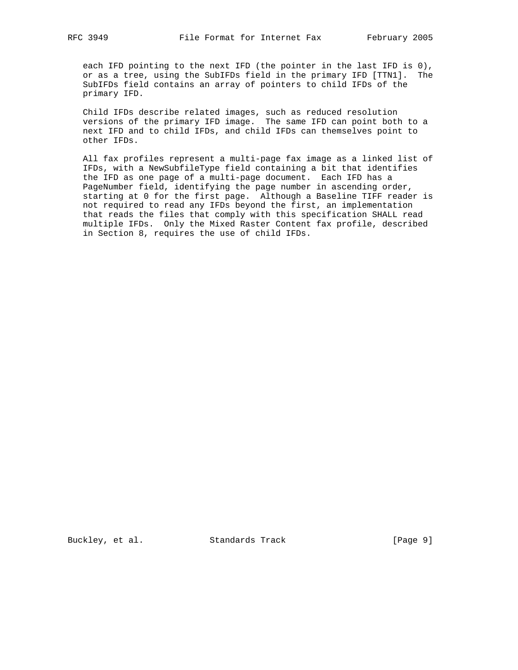each IFD pointing to the next IFD (the pointer in the last IFD is 0), or as a tree, using the SubIFDs field in the primary IFD [TTN1]. The SubIFDs field contains an array of pointers to child IFDs of the primary IFD.

 Child IFDs describe related images, such as reduced resolution versions of the primary IFD image. The same IFD can point both to a next IFD and to child IFDs, and child IFDs can themselves point to other IFDs.

 All fax profiles represent a multi-page fax image as a linked list of IFDs, with a NewSubfileType field containing a bit that identifies the IFD as one page of a multi-page document. Each IFD has a PageNumber field, identifying the page number in ascending order, starting at 0 for the first page. Although a Baseline TIFF reader is not required to read any IFDs beyond the first, an implementation that reads the files that comply with this specification SHALL read multiple IFDs. Only the Mixed Raster Content fax profile, described in Section 8, requires the use of child IFDs.

Buckley, et al. Standards Track [Page 9]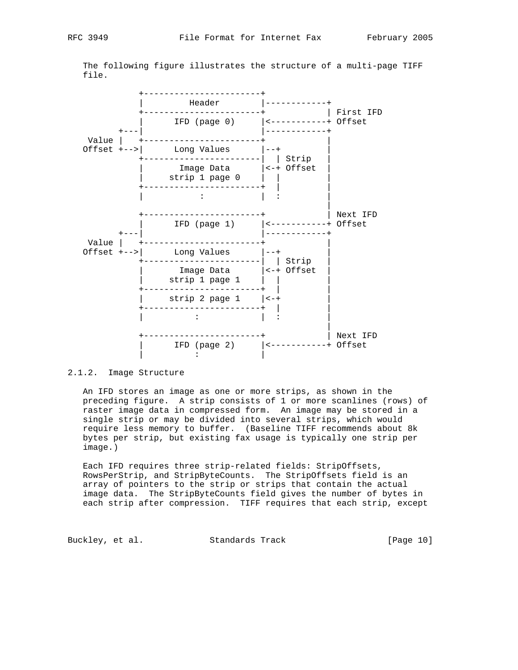The following figure illustrates the structure of a multi-page TIFF file.



#### 2.1.2. Image Structure

 An IFD stores an image as one or more strips, as shown in the preceding figure. A strip consists of 1 or more scanlines (rows) of raster image data in compressed form. An image may be stored in a single strip or may be divided into several strips, which would require less memory to buffer. (Baseline TIFF recommends about 8k bytes per strip, but existing fax usage is typically one strip per image.)

 Each IFD requires three strip-related fields: StripOffsets, RowsPerStrip, and StripByteCounts. The StripOffsets field is an array of pointers to the strip or strips that contain the actual image data. The StripByteCounts field gives the number of bytes in each strip after compression. TIFF requires that each strip, except

Buckley, et al. Standards Track [Page 10]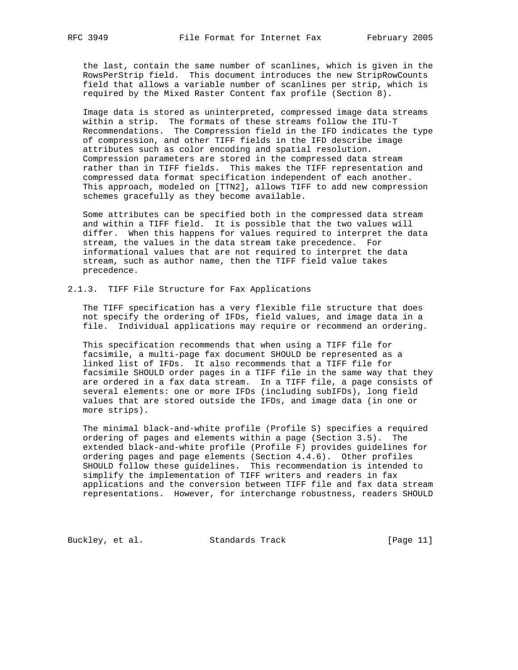the last, contain the same number of scanlines, which is given in the RowsPerStrip field. This document introduces the new StripRowCounts field that allows a variable number of scanlines per strip, which is required by the Mixed Raster Content fax profile (Section 8).

 Image data is stored as uninterpreted, compressed image data streams within a strip. The formats of these streams follow the ITU-T Recommendations. The Compression field in the IFD indicates the type of compression, and other TIFF fields in the IFD describe image attributes such as color encoding and spatial resolution. Compression parameters are stored in the compressed data stream rather than in TIFF fields. This makes the TIFF representation and compressed data format specification independent of each another. This approach, modeled on [TTN2], allows TIFF to add new compression schemes gracefully as they become available.

 Some attributes can be specified both in the compressed data stream and within a TIFF field. It is possible that the two values will differ. When this happens for values required to interpret the data stream, the values in the data stream take precedence. For informational values that are not required to interpret the data stream, such as author name, then the TIFF field value takes precedence.

#### 2.1.3. TIFF File Structure for Fax Applications

 The TIFF specification has a very flexible file structure that does not specify the ordering of IFDs, field values, and image data in a file. Individual applications may require or recommend an ordering.

 This specification recommends that when using a TIFF file for facsimile, a multi-page fax document SHOULD be represented as a linked list of IFDs. It also recommends that a TIFF file for facsimile SHOULD order pages in a TIFF file in the same way that they are ordered in a fax data stream. In a TIFF file, a page consists of several elements: one or more IFDs (including subIFDs), long field values that are stored outside the IFDs, and image data (in one or more strips).

 The minimal black-and-white profile (Profile S) specifies a required ordering of pages and elements within a page (Section 3.5). The extended black-and-white profile (Profile F) provides guidelines for ordering pages and page elements (Section 4.4.6). Other profiles SHOULD follow these guidelines. This recommendation is intended to simplify the implementation of TIFF writers and readers in fax applications and the conversion between TIFF file and fax data stream representations. However, for interchange robustness, readers SHOULD

Buckley, et al. Standards Track [Page 11]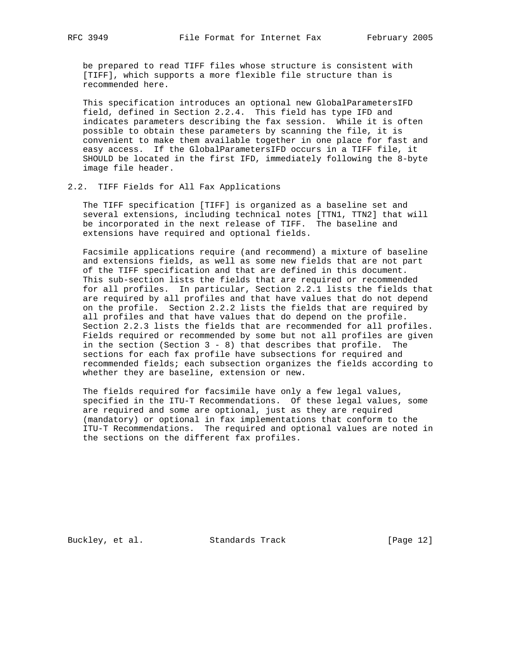be prepared to read TIFF files whose structure is consistent with [TIFF], which supports a more flexible file structure than is recommended here.

 This specification introduces an optional new GlobalParametersIFD field, defined in Section 2.2.4. This field has type IFD and indicates parameters describing the fax session. While it is often possible to obtain these parameters by scanning the file, it is convenient to make them available together in one place for fast and easy access. If the GlobalParametersIFD occurs in a TIFF file, it SHOULD be located in the first IFD, immediately following the 8-byte image file header.

#### 2.2. TIFF Fields for All Fax Applications

 The TIFF specification [TIFF] is organized as a baseline set and several extensions, including technical notes [TTN1, TTN2] that will be incorporated in the next release of TIFF. The baseline and extensions have required and optional fields.

 Facsimile applications require (and recommend) a mixture of baseline and extensions fields, as well as some new fields that are not part of the TIFF specification and that are defined in this document. This sub-section lists the fields that are required or recommended for all profiles. In particular, Section 2.2.1 lists the fields that are required by all profiles and that have values that do not depend on the profile. Section 2.2.2 lists the fields that are required by all profiles and that have values that do depend on the profile. Section 2.2.3 lists the fields that are recommended for all profiles. Fields required or recommended by some but not all profiles are given in the section (Section  $3 - 8$ ) that describes that profile. The sections for each fax profile have subsections for required and recommended fields; each subsection organizes the fields according to whether they are baseline, extension or new.

 The fields required for facsimile have only a few legal values, specified in the ITU-T Recommendations. Of these legal values, some are required and some are optional, just as they are required (mandatory) or optional in fax implementations that conform to the ITU-T Recommendations. The required and optional values are noted in the sections on the different fax profiles.

Buckley, et al. Standards Track [Page 12]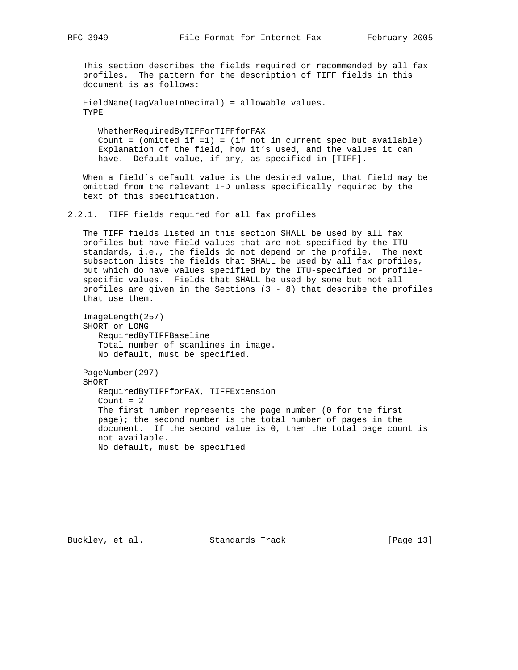This section describes the fields required or recommended by all fax profiles. The pattern for the description of TIFF fields in this document is as follows:

 FieldName(TagValueInDecimal) = allowable values. TYPE

 WhetherRequiredByTIFForTIFFforFAX Count =  $(\text{omitted if }=1)$  =  $(\text{if not in current spec but available})$  Explanation of the field, how it's used, and the values it can have. Default value, if any, as specified in [TIFF].

 When a field's default value is the desired value, that field may be omitted from the relevant IFD unless specifically required by the text of this specification.

2.2.1. TIFF fields required for all fax profiles

 The TIFF fields listed in this section SHALL be used by all fax profiles but have field values that are not specified by the ITU standards, i.e., the fields do not depend on the profile. The next subsection lists the fields that SHALL be used by all fax profiles, but which do have values specified by the ITU-specified or profile specific values. Fields that SHALL be used by some but not all profiles are given in the Sections  $(3 - 8)$  that describe the profiles that use them.

 ImageLength(257) SHORT or LONG RequiredByTIFFBaseline Total number of scanlines in image. No default, must be specified.

 PageNumber(297) SHORT RequiredByTIFFforFAX, TIFFExtension Count  $= 2$  The first number represents the page number (0 for the first page); the second number is the total number of pages in the document. If the second value is 0, then the total page count is not available. No default, must be specified

Buckley, et al. Standards Track [Page 13]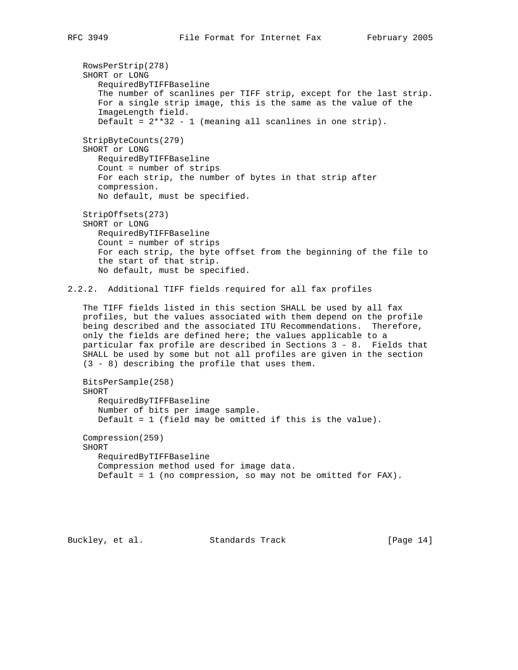RowsPerStrip(278) SHORT or LONG RequiredByTIFFBaseline The number of scanlines per TIFF strip, except for the last strip. For a single strip image, this is the same as the value of the ImageLength field. Default =  $2**32 - 1$  (meaning all scanlines in one strip). StripByteCounts(279) SHORT or LONG RequiredByTIFFBaseline Count = number of strips For each strip, the number of bytes in that strip after compression. No default, must be specified. StripOffsets(273) SHORT or LONG RequiredByTIFFBaseline Count = number of strips For each strip, the byte offset from the beginning of the file to the start of that strip. No default, must be specified. 2.2.2. Additional TIFF fields required for all fax profiles The TIFF fields listed in this section SHALL be used by all fax profiles, but the values associated with them depend on the profile being described and the associated ITU Recommendations. Therefore, only the fields are defined here; the values applicable to a particular fax profile are described in Sections 3 - 8. Fields that SHALL be used by some but not all profiles are given in the section (3 - 8) describing the profile that uses them. BitsPerSample(258) SHORT RequiredByTIFFBaseline Number of bits per image sample. Default = 1 (field may be omitted if this is the value). Compression(259) SHORT

 RequiredByTIFFBaseline Compression method used for image data. Default = 1 (no compression, so may not be omitted for FAX).

Buckley, et al. Standards Track [Page 14]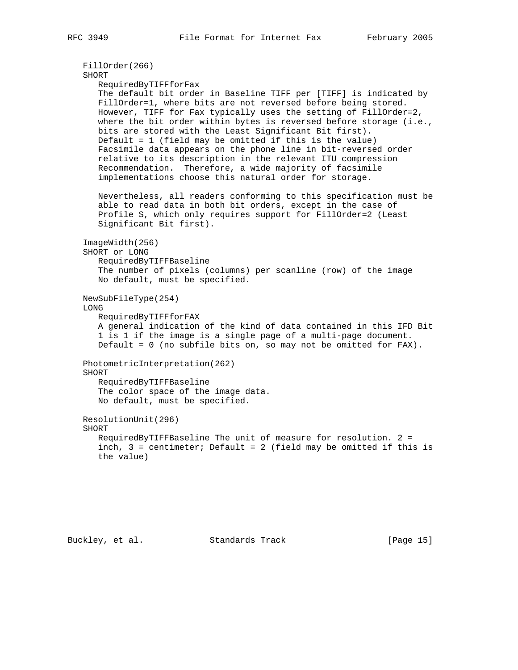```
 FillOrder(266)
 SHORT
    RequiredByTIFFforFax
    The default bit order in Baseline TIFF per [TIFF] is indicated by
    FillOrder=1, where bits are not reversed before being stored.
   However, TIFF for Fax typically uses the setting of FillOrder=2,
  where the bit order within bytes is reversed before storage (i.e.,
   bits are stored with the Least Significant Bit first).
   Default = 1 (field may be omitted if this is the value)
   Facsimile data appears on the phone line in bit-reversed order
   relative to its description in the relevant ITU compression
   Recommendation. Therefore, a wide majority of facsimile
    implementations choose this natural order for storage.
   Nevertheless, all readers conforming to this specification must be
    able to read data in both bit orders, except in the case of
    Profile S, which only requires support for FillOrder=2 (Least
   Significant Bit first).
 ImageWidth(256)
 SHORT or LONG
   RequiredByTIFFBaseline
    The number of pixels (columns) per scanline (row) of the image
   No default, must be specified.
 NewSubFileType(254)
 LONG
    RequiredByTIFFforFAX
   A general indication of the kind of data contained in this IFD Bit
    1 is 1 if the image is a single page of a multi-page document.
    Default = 0 (no subfile bits on, so may not be omitted for FAX).
 PhotometricInterpretation(262)
 SHORT
   RequiredByTIFFBaseline
    The color space of the image data.
   No default, must be specified.
 ResolutionUnit(296)
 SHORT
   RequiredByTIFFBaseline The unit of measure for resolution. 2 =
   inch, 3 = centimeter; Default = 2 (field may be omitted if this is
    the value)
```
Buckley, et al. Standards Track [Page 15]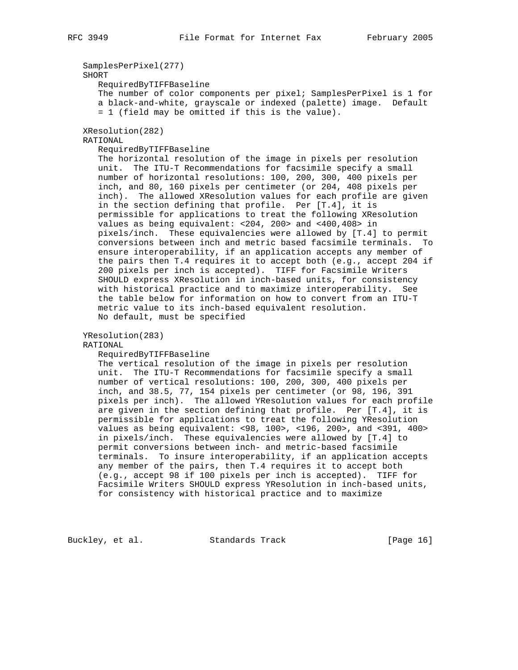```
 SamplesPerPixel(277)
    SHORT
       RequiredByTIFFBaseline
       The number of color components per pixel; SamplesPerPixel is 1 for
       a black-and-white, grayscale or indexed (palette) image. Default
       = 1 (field may be omitted if this is the value).
    XResolution(282)
    RATIONAL
       RequiredByTIFFBaseline
       The horizontal resolution of the image in pixels per resolution
       unit. The ITU-T Recommendations for facsimile specify a small
      number of horizontal resolutions: 100, 200, 300, 400 pixels per
       inch, and 80, 160 pixels per centimeter (or 204, 408 pixels per
       inch). The allowed XResolution values for each profile are given
       in the section defining that profile. Per [T.4], it is
       permissible for applications to treat the following XResolution
       values as being equivalent: <204, 200> and <400,408> in
      pixels/inch. These equivalencies were allowed by [T.4] to permit
       conversions between inch and metric based facsimile terminals. To
       ensure interoperability, if an application accepts any member of
       the pairs then T.4 requires it to accept both (e.g., accept 204 if
       200 pixels per inch is accepted). TIFF for Facsimile Writers
       SHOULD express XResolution in inch-based units, for consistency
       with historical practice and to maximize interoperability. See
       the table below for information on how to convert from an ITU-T
       metric value to its inch-based equivalent resolution.
      No default, must be specified
    YResolution(283)
    RATIONAL
       RequiredByTIFFBaseline
       The vertical resolution of the image in pixels per resolution
       unit. The ITU-T Recommendations for facsimile specify a small
      number of vertical resolutions: 100, 200, 300, 400 pixels per
       inch, and 38.5, 77, 154 pixels per centimeter (or 98, 196, 391
       pixels per inch). The allowed YResolution values for each profile
       are given in the section defining that profile. Per [T.4], it is
       permissible for applications to treat the following YResolution
       values as being equivalent: <98, 100>, <196, 200>, and <391, 400>
       in pixels/inch. These equivalencies were allowed by [T.4] to
       permit conversions between inch- and metric-based facsimile
       terminals. To insure interoperability, if an application accepts
       any member of the pairs, then T.4 requires it to accept both
       (e.g., accept 98 if 100 pixels per inch is accepted). TIFF for
       Facsimile Writers SHOULD express YResolution in inch-based units,
       for consistency with historical practice and to maximize
Buckley, et al. Standards Track [Page 16]
```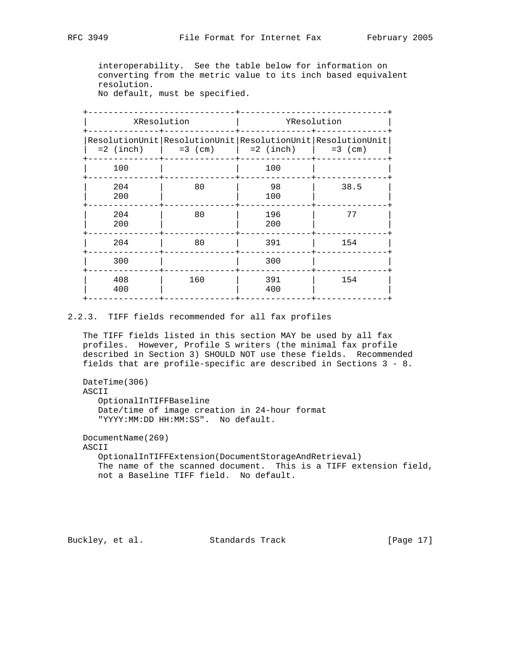interoperability. See the table below for information on converting from the metric value to its inch based equivalent resolution.

No default, must be specified.

|            | XResolution | YResolution                                                                                                                                          |      |  |
|------------|-------------|------------------------------------------------------------------------------------------------------------------------------------------------------|------|--|
|            |             | ResolutionUnit   ResolutionUnit   ResolutionUnit   ResolutionUnit<br>$= 2 \text{ (inch)}$ $= 3 \text{ (cm)}$ $= 2 \text{ (inch)}$ $= 3 \text{ (cm)}$ |      |  |
| 100        |             | 100                                                                                                                                                  |      |  |
| 204<br>200 | 80          | 98<br>100                                                                                                                                            | 38.5 |  |
| 204<br>200 | 80          | 196<br>200                                                                                                                                           | 77   |  |
| 204        | 80          | 391                                                                                                                                                  | 154  |  |
| 300        |             | 300                                                                                                                                                  |      |  |
| 408<br>400 | 160         | 391<br>400                                                                                                                                           | 154  |  |
|            |             |                                                                                                                                                      |      |  |

# 2.2.3. TIFF fields recommended for all fax profiles

 The TIFF fields listed in this section MAY be used by all fax profiles. However, Profile S writers (the minimal fax profile described in Section 3) SHOULD NOT use these fields. Recommended fields that are profile-specific are described in Sections 3 - 8.

 DateTime(306) ASCII OptionalInTIFFBaseline Date/time of image creation in 24-hour format "YYYY:MM:DD HH:MM:SS". No default.

 DocumentName(269) ASCII OptionalInTIFFExtension(DocumentStorageAndRetrieval) The name of the scanned document. This is a TIFF extension field, not a Baseline TIFF field. No default.

Buckley, et al. Standards Track [Page 17]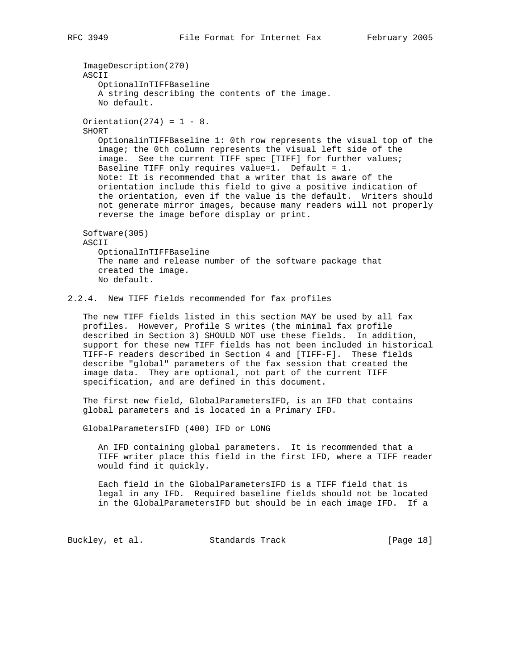ImageDescription(270) ASCII OptionalInTIFFBaseline A string describing the contents of the image. No default. Orientation( $274$ ) = 1 - 8. SHORT OptionalinTIFFBaseline 1: 0th row represents the visual top of the image; the 0th column represents the visual left side of the image. See the current TIFF spec [TIFF] for further values; Baseline TIFF only requires value=1. Default = 1. Note: It is recommended that a writer that is aware of the orientation include this field to give a positive indication of the orientation, even if the value is the default. Writers should not generate mirror images, because many readers will not properly reverse the image before display or print. Software(305) ASCII OptionalInTIFFBaseline The name and release number of the software package that created the image. No default. 2.2.4. New TIFF fields recommended for fax profiles The new TIFF fields listed in this section MAY be used by all fax profiles. However, Profile S writes (the minimal fax profile

 described in Section 3) SHOULD NOT use these fields. In addition, support for these new TIFF fields has not been included in historical TIFF-F readers described in Section 4 and [TIFF-F]. These fields describe "global" parameters of the fax session that created the image data. They are optional, not part of the current TIFF specification, and are defined in this document.

 The first new field, GlobalParametersIFD, is an IFD that contains global parameters and is located in a Primary IFD.

GlobalParametersIFD (400) IFD or LONG

 An IFD containing global parameters. It is recommended that a TIFF writer place this field in the first IFD, where a TIFF reader would find it quickly.

 Each field in the GlobalParametersIFD is a TIFF field that is legal in any IFD. Required baseline fields should not be located in the GlobalParametersIFD but should be in each image IFD. If a

Buckley, et al. Standards Track [Page 18]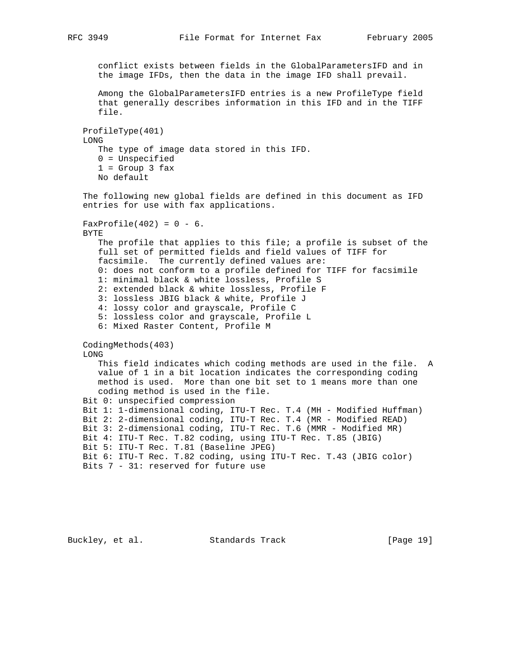```
 conflict exists between fields in the GlobalParametersIFD and in
    the image IFDs, then the data in the image IFD shall prevail.
    Among the GlobalParametersIFD entries is a new ProfileType field
    that generally describes information in this IFD and in the TIFF
    file.
 ProfileType(401)
 LONG
    The type of image data stored in this IFD.
    0 = Unspecified
   1 = Group 3 fax
    No default
 The following new global fields are defined in this document as IFD
 entries for use with fax applications.
FaxProfile(402) = 0 - 6.
 BYTE
    The profile that applies to this file; a profile is subset of the
    full set of permitted fields and field values of TIFF for
    facsimile. The currently defined values are:
    0: does not conform to a profile defined for TIFF for facsimile
    1: minimal black & white lossless, Profile S
    2: extended black & white lossless, Profile F
    3: lossless JBIG black & white, Profile J
    4: lossy color and grayscale, Profile C
    5: lossless color and grayscale, Profile L
    6: Mixed Raster Content, Profile M
 CodingMethods(403)
 LONG
    This field indicates which coding methods are used in the file. A
    value of 1 in a bit location indicates the corresponding coding
   method is used. More than one bit set to 1 means more than one
   coding method is used in the file.
 Bit 0: unspecified compression
 Bit 1: 1-dimensional coding, ITU-T Rec. T.4 (MH - Modified Huffman)
 Bit 2: 2-dimensional coding, ITU-T Rec. T.4 (MR - Modified READ)
 Bit 3: 2-dimensional coding, ITU-T Rec. T.6 (MMR - Modified MR)
 Bit 4: ITU-T Rec. T.82 coding, using ITU-T Rec. T.85 (JBIG)
 Bit 5: ITU-T Rec. T.81 (Baseline JPEG)
 Bit 6: ITU-T Rec. T.82 coding, using ITU-T Rec. T.43 (JBIG color)
 Bits 7 - 31: reserved for future use
```
Buckley, et al. Standards Track [Page 19]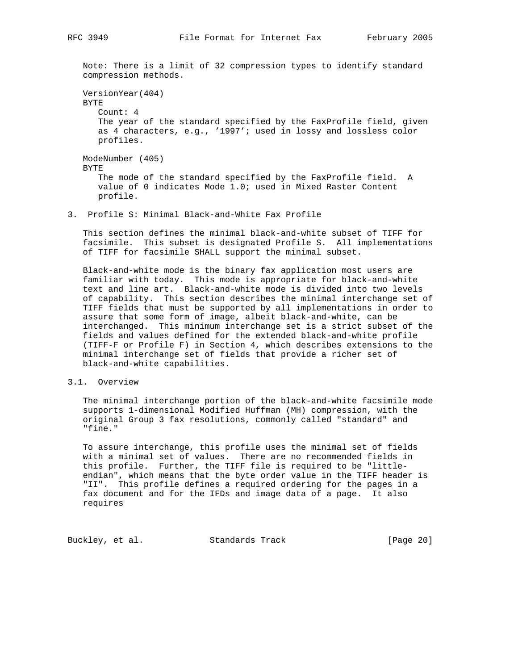Note: There is a limit of 32 compression types to identify standard compression methods.

 VersionYear(404) BYTE Count: 4 The year of the standard specified by the FaxProfile field, given as 4 characters, e.g., '1997'; used in lossy and lossless color profiles. ModeNumber (405) BYTE The mode of the standard specified by the FaxProfile field. A value of 0 indicates Mode 1.0; used in Mixed Raster Content profile.

3. Profile S: Minimal Black-and-White Fax Profile

 This section defines the minimal black-and-white subset of TIFF for facsimile. This subset is designated Profile S. All implementations of TIFF for facsimile SHALL support the minimal subset.

 Black-and-white mode is the binary fax application most users are familiar with today. This mode is appropriate for black-and-white text and line art. Black-and-white mode is divided into two levels of capability. This section describes the minimal interchange set of TIFF fields that must be supported by all implementations in order to assure that some form of image, albeit black-and-white, can be interchanged. This minimum interchange set is a strict subset of the fields and values defined for the extended black-and-white profile (TIFF-F or Profile F) in Section 4, which describes extensions to the minimal interchange set of fields that provide a richer set of black-and-white capabilities.

## 3.1. Overview

 The minimal interchange portion of the black-and-white facsimile mode supports 1-dimensional Modified Huffman (MH) compression, with the original Group 3 fax resolutions, commonly called "standard" and "fine."

 To assure interchange, this profile uses the minimal set of fields with a minimal set of values. There are no recommended fields in this profile. Further, the TIFF file is required to be "little endian", which means that the byte order value in the TIFF header is "II". This profile defines a required ordering for the pages in a fax document and for the IFDs and image data of a page. It also requires

Buckley, et al. Standards Track [Page 20]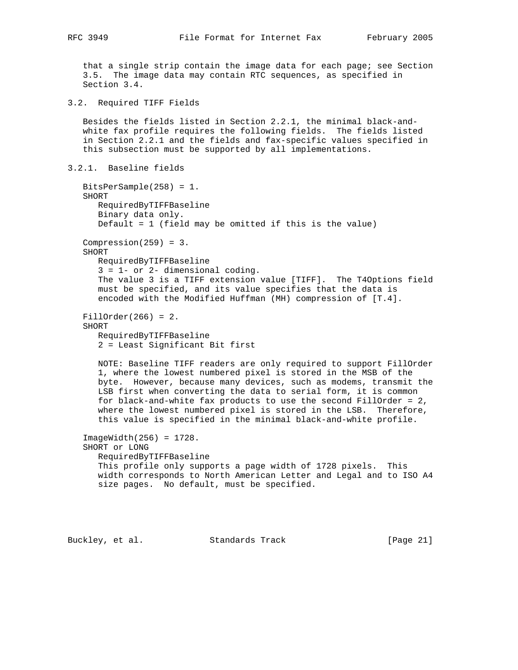that a single strip contain the image data for each page; see Section 3.5. The image data may contain RTC sequences, as specified in Section 3.4.

3.2. Required TIFF Fields

 Besides the fields listed in Section 2.2.1, the minimal black-and white fax profile requires the following fields. The fields listed in Section 2.2.1 and the fields and fax-specific values specified in this subsection must be supported by all implementations.

```
3.2.1. Baseline fields
```
 BitsPerSample(258) = 1. SHORT RequiredByTIFFBaseline Binary data only. Default = 1 (field may be omitted if this is the value) Compression $(259) = 3$ . SHORT RequiredByTIFFBaseline 3 = 1- or 2- dimensional coding. The value 3 is a TIFF extension value [TIFF]. The T4Options field must be specified, and its value specifies that the data is encoded with the Modified Huffman (MH) compression of [T.4]. FillOrder(266) = 2. SHORT RequiredByTIFFBaseline 2 = Least Significant Bit first NOTE: Baseline TIFF readers are only required to support FillOrder 1, where the lowest numbered pixel is stored in the MSB of the byte. However, because many devices, such as modems, transmit the LSB first when converting the data to serial form, it is common for black-and-white fax products to use the second FillOrder = 2, where the lowest numbered pixel is stored in the LSB. Therefore, this value is specified in the minimal black-and-white profile. ImageWidth(256) = 1728. SHORT or LONG RequiredByTIFFBaseline This profile only supports a page width of 1728 pixels. This width corresponds to North American Letter and Legal and to ISO A4 size pages. No default, must be specified.

Buckley, et al. Standards Track [Page 21]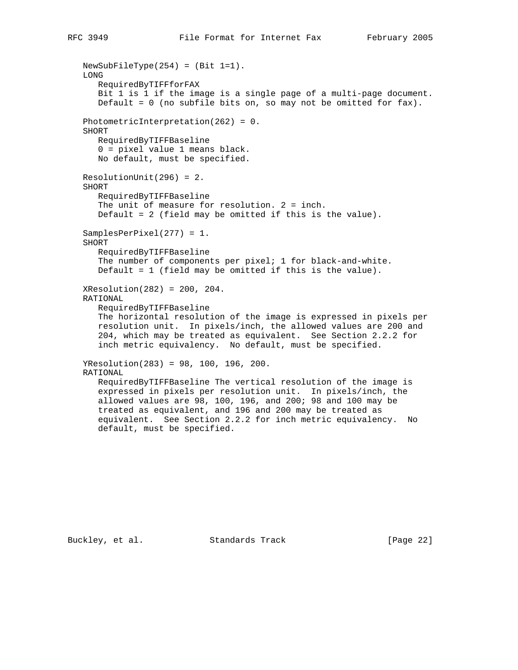```
 NewSubFileType(254) = (Bit 1=1).
 LONG
    RequiredByTIFFforFAX
    Bit 1 is 1 if the image is a single page of a multi-page document.
    Default = 0 (no subfile bits on, so may not be omitted for fax).
 PhotometricInterpretation(262) = 0.
 SHORT
    RequiredByTIFFBaseline
    0 = pixel value 1 means black.
   No default, must be specified.
 ResolutionUnit(296) = 2.
 SHORT
    RequiredByTIFFBaseline
    The unit of measure for resolution. 2 = inch.
    Default = 2 (field may be omitted if this is the value).
 SamplesPerPixel(277) = 1.
 SHORT
    RequiredByTIFFBaseline
   The number of components per pixel; 1 for black-and-white.
    Default = 1 (field may be omitted if this is the value).
 XResolution(282) = 200, 204.
 RATIONAL
    RequiredByTIFFBaseline
    The horizontal resolution of the image is expressed in pixels per
    resolution unit. In pixels/inch, the allowed values are 200 and
    204, which may be treated as equivalent. See Section 2.2.2 for
    inch metric equivalency. No default, must be specified.
 YResolution(283) = 98, 100, 196, 200.
 RATIONAL
    RequiredByTIFFBaseline The vertical resolution of the image is
    expressed in pixels per resolution unit. In pixels/inch, the
    allowed values are 98, 100, 196, and 200; 98 and 100 may be
    treated as equivalent, and 196 and 200 may be treated as
    equivalent. See Section 2.2.2 for inch metric equivalency. No
    default, must be specified.
```
Buckley, et al. Standards Track [Page 22]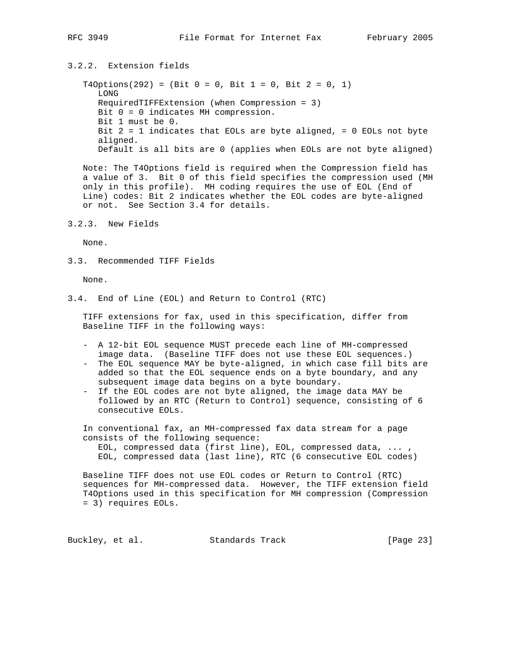# 3.2.2. Extension fields

 $T4Options(292) = (Bit 0 = 0, Bit 1 = 0, Bit 2 = 0, 1)$  LONG RequiredTIFFExtension (when Compression = 3) Bit 0 = 0 indicates MH compression. Bit 1 must be 0. Bit  $2 = 1$  indicates that EOLs are byte aligned, = 0 EOLs not byte aligned. Default is all bits are 0 (applies when EOLs are not byte aligned)

 Note: The T4Options field is required when the Compression field has a value of 3. Bit 0 of this field specifies the compression used (MH only in this profile). MH coding requires the use of EOL (End of Line) codes: Bit 2 indicates whether the EOL codes are byte-aligned or not. See Section 3.4 for details.

3.2.3. New Fields

None.

3.3. Recommended TIFF Fields

None.

3.4. End of Line (EOL) and Return to Control (RTC)

 TIFF extensions for fax, used in this specification, differ from Baseline TIFF in the following ways:

- A 12-bit EOL sequence MUST precede each line of MH-compressed image data. (Baseline TIFF does not use these EOL sequences.)
- The EOL sequence MAY be byte-aligned, in which case fill bits are added so that the EOL sequence ends on a byte boundary, and any subsequent image data begins on a byte boundary.
- If the EOL codes are not byte aligned, the image data MAY be followed by an RTC (Return to Control) sequence, consisting of 6 consecutive EOLs.

 In conventional fax, an MH-compressed fax data stream for a page consists of the following sequence:

 EOL, compressed data (first line), EOL, compressed data, ... , EOL, compressed data (last line), RTC (6 consecutive EOL codes)

 Baseline TIFF does not use EOL codes or Return to Control (RTC) sequences for MH-compressed data. However, the TIFF extension field T4Options used in this specification for MH compression (Compression = 3) requires EOLs.

Buckley, et al. Standards Track [Page 23]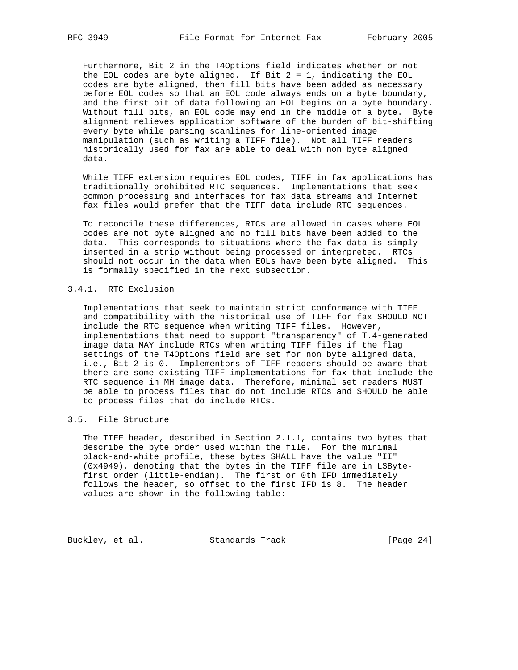Furthermore, Bit 2 in the T4Options field indicates whether or not the EOL codes are byte aligned. If Bit  $2 = 1$ , indicating the EOL codes are byte aligned, then fill bits have been added as necessary before EOL codes so that an EOL code always ends on a byte boundary, and the first bit of data following an EOL begins on a byte boundary. Without fill bits, an EOL code may end in the middle of a byte. Byte alignment relieves application software of the burden of bit-shifting every byte while parsing scanlines for line-oriented image manipulation (such as writing a TIFF file). Not all TIFF readers historically used for fax are able to deal with non byte aligned data.

 While TIFF extension requires EOL codes, TIFF in fax applications has traditionally prohibited RTC sequences. Implementations that seek common processing and interfaces for fax data streams and Internet fax files would prefer that the TIFF data include RTC sequences.

 To reconcile these differences, RTCs are allowed in cases where EOL codes are not byte aligned and no fill bits have been added to the data. This corresponds to situations where the fax data is simply inserted in a strip without being processed or interpreted. RTCs should not occur in the data when EOLs have been byte aligned. This is formally specified in the next subsection.

# 3.4.1. RTC Exclusion

 Implementations that seek to maintain strict conformance with TIFF and compatibility with the historical use of TIFF for fax SHOULD NOT include the RTC sequence when writing TIFF files. However, implementations that need to support "transparency" of T.4-generated image data MAY include RTCs when writing TIFF files if the flag settings of the T4Options field are set for non byte aligned data, i.e., Bit 2 is 0. Implementors of TIFF readers should be aware that there are some existing TIFF implementations for fax that include the RTC sequence in MH image data. Therefore, minimal set readers MUST be able to process files that do not include RTCs and SHOULD be able to process files that do include RTCs.

# 3.5. File Structure

 The TIFF header, described in Section 2.1.1, contains two bytes that describe the byte order used within the file. For the minimal black-and-white profile, these bytes SHALL have the value "II" (0x4949), denoting that the bytes in the TIFF file are in LSByte first order (little-endian). The first or 0th IFD immediately follows the header, so offset to the first IFD is 8. The header values are shown in the following table:

Buckley, et al. Standards Track [Page 24]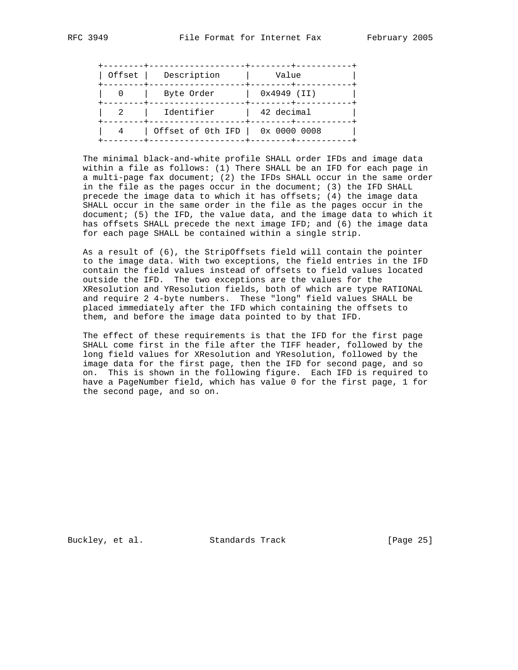| Description<br>Offset |                   | Value         |
|-----------------------|-------------------|---------------|
|                       | Byte Order        | $0x4949$ (II) |
|                       | Identifier        | 42 decimal    |
|                       | Offset of 0th IFD | 0x 0000 0008  |

 The minimal black-and-white profile SHALL order IFDs and image data within a file as follows: (1) There SHALL be an IFD for each page in a multi-page fax document; (2) the IFDs SHALL occur in the same order in the file as the pages occur in the document; (3) the IFD SHALL precede the image data to which it has offsets; (4) the image data SHALL occur in the same order in the file as the pages occur in the document; (5) the IFD, the value data, and the image data to which it has offsets SHALL precede the next image IFD; and (6) the image data for each page SHALL be contained within a single strip.

 As a result of (6), the StripOffsets field will contain the pointer to the image data. With two exceptions, the field entries in the IFD contain the field values instead of offsets to field values located outside the IFD. The two exceptions are the values for the XResolution and YResolution fields, both of which are type RATIONAL and require 2 4-byte numbers. These "long" field values SHALL be placed immediately after the IFD which containing the offsets to them, and before the image data pointed to by that IFD.

 The effect of these requirements is that the IFD for the first page SHALL come first in the file after the TIFF header, followed by the long field values for XResolution and YResolution, followed by the image data for the first page, then the IFD for second page, and so on. This is shown in the following figure. Each IFD is required to have a PageNumber field, which has value 0 for the first page, 1 for the second page, and so on.

Buckley, et al. Standards Track [Page 25]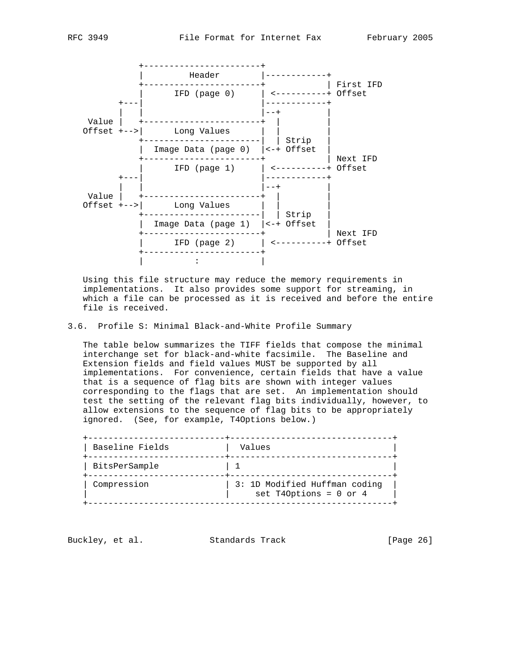



 Using this file structure may reduce the memory requirements in implementations. It also provides some support for streaming, in which a file can be processed as it is received and before the entire file is received.

#### 3.6. Profile S: Minimal Black-and-White Profile Summary

 The table below summarizes the TIFF fields that compose the minimal interchange set for black-and-white facsimile. The Baseline and Extension fields and field values MUST be supported by all implementations. For convenience, certain fields that have a value that is a sequence of flag bits are shown with integer values corresponding to the flags that are set. An implementation should test the setting of the relevant flag bits individually, however, to allow extensions to the sequence of flag bits to be appropriately ignored. (See, for example, T4Options below.)

| Baseline Fields | Values                                                    |
|-----------------|-----------------------------------------------------------|
| BitsPerSample   |                                                           |
| Compression     | 3: 1D Modified Huffman coding<br>set T40ptions = $0$ or 4 |

Buckley, et al. Standards Track [Page 26]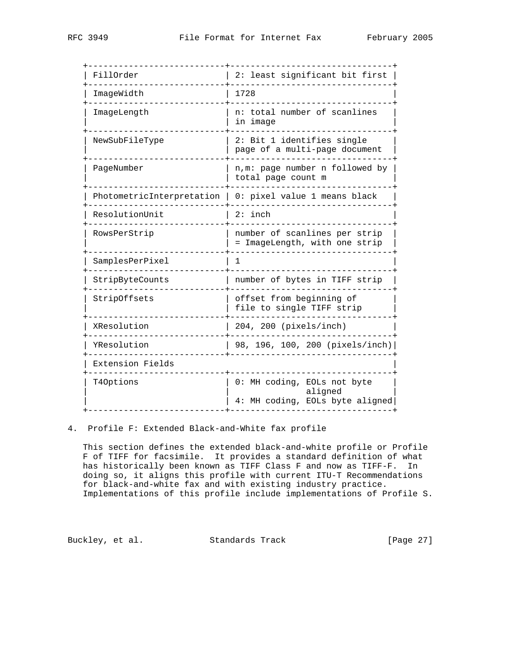| 2: least significant bit first<br>1728<br>n: total number of scanlines<br>in image |  |  |
|------------------------------------------------------------------------------------|--|--|
|                                                                                    |  |  |
|                                                                                    |  |  |
|                                                                                    |  |  |
| 2: Bit 1 identifies single<br>page of a multi-page document                        |  |  |
| n, m: page number n followed by<br>total page count m                              |  |  |
| PhotometricInterpretation $\vert$ 0: pixel value 1 means black                     |  |  |
| $2:$ inch                                                                          |  |  |
| number of scanlines per strip<br>= ImageLength, with one strip                     |  |  |
| 1                                                                                  |  |  |
| number of bytes in TIFF strip                                                      |  |  |
| offset from beginning of<br>file to single TIFF strip                              |  |  |
| 204, 200 (pixels/inch)                                                             |  |  |
| 98, 196, 100, 200 (pixels/inch)                                                    |  |  |
|                                                                                    |  |  |
| 0: MH coding, EOLs not byte<br>aligned<br>4: MH coding, EOLs byte aligned          |  |  |
|                                                                                    |  |  |

#### 4. Profile F: Extended Black-and-White fax profile

 This section defines the extended black-and-white profile or Profile F of TIFF for facsimile. It provides a standard definition of what has historically been known as TIFF Class F and now as TIFF-F. In doing so, it aligns this profile with current ITU-T Recommendations for black-and-white fax and with existing industry practice. Implementations of this profile include implementations of Profile S.

Buckley, et al. Standards Track [Page 27]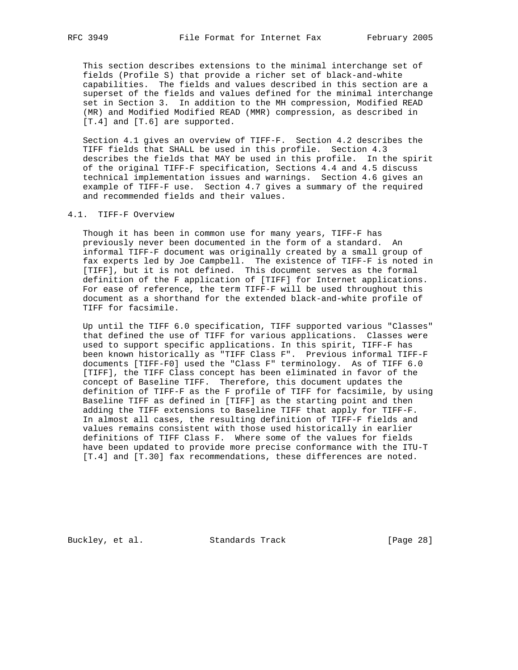This section describes extensions to the minimal interchange set of fields (Profile S) that provide a richer set of black-and-white capabilities. The fields and values described in this section are a superset of the fields and values defined for the minimal interchange set in Section 3. In addition to the MH compression, Modified READ (MR) and Modified Modified READ (MMR) compression, as described in [T.4] and [T.6] are supported.

 Section 4.1 gives an overview of TIFF-F. Section 4.2 describes the TIFF fields that SHALL be used in this profile. Section 4.3 describes the fields that MAY be used in this profile. In the spirit of the original TIFF-F specification, Sections 4.4 and 4.5 discuss technical implementation issues and warnings. Section 4.6 gives an example of TIFF-F use. Section 4.7 gives a summary of the required and recommended fields and their values.

#### 4.1. TIFF-F Overview

 Though it has been in common use for many years, TIFF-F has previously never been documented in the form of a standard. An informal TIFF-F document was originally created by a small group of fax experts led by Joe Campbell. The existence of TIFF-F is noted in [TIFF], but it is not defined. This document serves as the formal definition of the F application of [TIFF] for Internet applications. For ease of reference, the term TIFF-F will be used throughout this document as a shorthand for the extended black-and-white profile of TIFF for facsimile.

 Up until the TIFF 6.0 specification, TIFF supported various "Classes" that defined the use of TIFF for various applications. Classes were used to support specific applications. In this spirit, TIFF-F has been known historically as "TIFF Class F". Previous informal TIFF-F documents [TIFF-F0] used the "Class F" terminology. As of TIFF 6.0 [TIFF], the TIFF Class concept has been eliminated in favor of the concept of Baseline TIFF. Therefore, this document updates the definition of TIFF-F as the F profile of TIFF for facsimile, by using Baseline TIFF as defined in [TIFF] as the starting point and then adding the TIFF extensions to Baseline TIFF that apply for TIFF-F. In almost all cases, the resulting definition of TIFF-F fields and values remains consistent with those used historically in earlier definitions of TIFF Class F. Where some of the values for fields have been updated to provide more precise conformance with the ITU-T [T.4] and [T.30] fax recommendations, these differences are noted.

Buckley, et al. Standards Track [Page 28]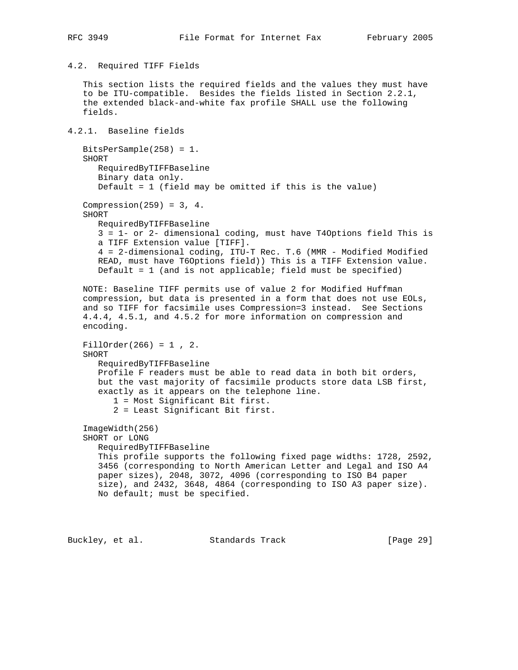#### 4.2. Required TIFF Fields

 This section lists the required fields and the values they must have to be ITU-compatible. Besides the fields listed in Section 2.2.1, the extended black-and-white fax profile SHALL use the following fields.

# 4.2.1. Baseline fields

```
 BitsPerSample(258) = 1.
 SHORT
   RequiredByTIFFBaseline
    Binary data only.
    Default = 1 (field may be omitted if this is the value)
Compression(259) = 3, 4. SHORT
   RequiredByTIFFBaseline
    3 = 1- or 2- dimensional coding, must have T4Options field This is
    a TIFF Extension value [TIFF].
    4 = 2-dimensional coding, ITU-T Rec. T.6 (MMR - Modified Modified
    READ, must have T6Options field)) This is a TIFF Extension value.
    Default = 1 (and is not applicable; field must be specified)
 NOTE: Baseline TIFF permits use of value 2 for Modified Huffman
 compression, but data is presented in a form that does not use EOLs,
 and so TIFF for facsimile uses Compression=3 instead. See Sections
 4.4.4, 4.5.1, and 4.5.2 for more information on compression and
 encoding.
 FillOrder(266) = 1 , 2.
 SHORT
    RequiredByTIFFBaseline
    Profile F readers must be able to read data in both bit orders,
    but the vast majority of facsimile products store data LSB first,
    exactly as it appears on the telephone line.
       1 = Most Significant Bit first.
       2 = Least Significant Bit first.
 ImageWidth(256)
 SHORT or LONG
    RequiredByTIFFBaseline
    This profile supports the following fixed page widths: 1728, 2592,
    3456 (corresponding to North American Letter and Legal and ISO A4
    paper sizes), 2048, 3072, 4096 (corresponding to ISO B4 paper
    size), and 2432, 3648, 4864 (corresponding to ISO A3 paper size).
    No default; must be specified.
```
Buckley, et al. Standards Track [Page 29]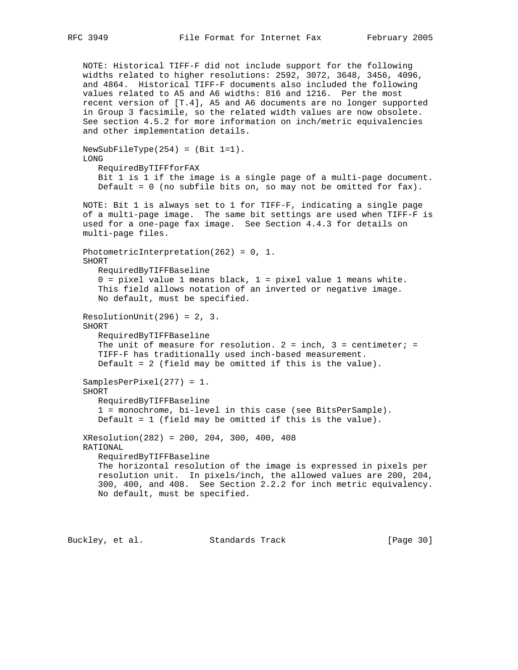NOTE: Historical TIFF-F did not include support for the following widths related to higher resolutions: 2592, 3072, 3648, 3456, 4096, and 4864. Historical TIFF-F documents also included the following values related to A5 and A6 widths: 816 and 1216. Per the most recent version of [T.4], A5 and A6 documents are no longer supported in Group 3 facsimile, so the related width values are now obsolete. See section 4.5.2 for more information on inch/metric equivalencies and other implementation details.  $NewsUDFileType(254) = (Bit 1=1).$  LONG RequiredByTIFFforFAX Bit 1 is 1 if the image is a single page of a multi-page document. Default = 0 (no subfile bits on, so may not be omitted for fax). NOTE: Bit 1 is always set to 1 for TIFF-F, indicating a single page of a multi-page image. The same bit settings are used when TIFF-F is used for a one-page fax image. See Section 4.4.3 for details on multi-page files. PhotometricInterpretation(262) = 0, 1. SHORT RequiredByTIFFBaseline  $0 =$  pixel value 1 means black,  $1 =$  pixel value 1 means white. This field allows notation of an inverted or negative image. No default, must be specified. ResolutionUnit(296) = 2, 3. SHORT RequiredByTIFFBaseline The unit of measure for resolution.  $2 = inch$ ,  $3 = centimeter$ ; = TIFF-F has traditionally used inch-based measurement. Default = 2 (field may be omitted if this is the value). SamplesPerPixel(277) = 1. SHORT RequiredByTIFFBaseline 1 = monochrome, bi-level in this case (see BitsPerSample). Default = 1 (field may be omitted if this is the value). XResolution(282) = 200, 204, 300, 400, 408 RATIONAL RequiredByTIFFBaseline The horizontal resolution of the image is expressed in pixels per resolution unit. In pixels/inch, the allowed values are 200, 204, 300, 400, and 408. See Section 2.2.2 for inch metric equivalency. No default, must be specified.

Buckley, et al. Standards Track [Page 30]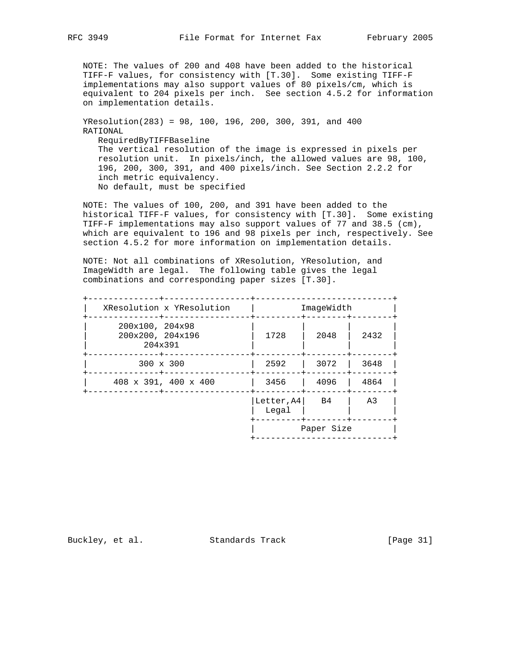NOTE: The values of 200 and 408 have been added to the historical TIFF-F values, for consistency with [T.30]. Some existing TIFF-F implementations may also support values of 80 pixels/cm, which is equivalent to 204 pixels per inch. See section 4.5.2 for information on implementation details.

 YResolution(283) = 98, 100, 196, 200, 300, 391, and 400 RATIONAL RequiredByTIFFBaseline The vertical resolution of the image is expressed in pixels per resolution unit. In pixels/inch, the allowed values are 98, 100, 196, 200, 300, 391, and 400 pixels/inch. See Section 2.2.2 for inch metric equivalency. No default, must be specified

 NOTE: The values of 100, 200, and 391 have been added to the historical TIFF-F values, for consistency with [T.30]. Some existing TIFF-F implementations may also support values of 77 and 38.5 (cm), which are equivalent to 196 and 98 pixels per inch, respectively. See section 4.5.2 for more information on implementation details.

 NOTE: Not all combinations of XResolution, YResolution, and ImageWidth are legal. The following table gives the legal combinations and corresponding paper sizes [T.30].

| XResolution x YResolution                      | ImageWidth          |      |      |
|------------------------------------------------|---------------------|------|------|
| 200x100, 204x98<br>200x200, 204x196<br>204x391 | 1728                | 2048 | 2432 |
| 300 x 300                                      | 2592                | 3072 | 3648 |
| 408 x 391, 400 x 400                           | 3456                | 4096 | 4864 |
|                                                | Letter, A4<br>Legal | B4   | A3   |
|                                                | Paper Size          |      |      |

Buckley, et al. Standards Track [Page 31]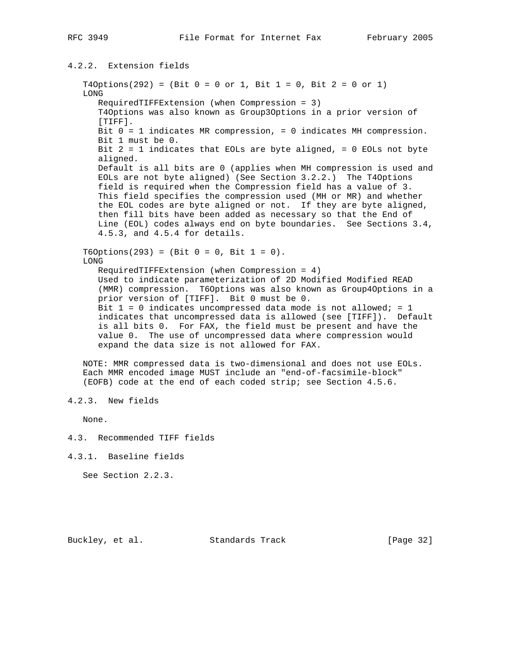# 4.2.2. Extension fields

 $T4Options(292) = (Bit 0 = 0 or 1, Bit 1 = 0, Bit 2 = 0 or 1)$  LONG RequiredTIFFExtension (when Compression = 3) T4Options was also known as Group3Options in a prior version of [TIFF]. Bit 0 = 1 indicates MR compression, = 0 indicates MH compression. Bit 1 must be 0. Bit  $2 = 1$  indicates that EOLs are byte aligned, = 0 EOLs not byte aligned. Default is all bits are 0 (applies when MH compression is used and EOLs are not byte aligned) (See Section 3.2.2.) The T4Options field is required when the Compression field has a value of 3. This field specifies the compression used (MH or MR) and whether the EOL codes are byte aligned or not. If they are byte aligned, then fill bits have been added as necessary so that the End of Line (EOL) codes always end on byte boundaries. See Sections 3.4, 4.5.3, and 4.5.4 for details.  $T6Options(293) = (Bit 0 = 0, Bit 1 = 0).$  LONG RequiredTIFFExtension (when Compression = 4) Used to indicate parameterization of 2D Modified Modified READ (MMR) compression. T6Options was also known as Group4Options in a prior version of [TIFF]. Bit 0 must be 0. Bit  $1 = 0$  indicates uncompressed data mode is not allowed; = 1 indicates that uncompressed data is allowed (see [TIFF]). Default is all bits 0. For FAX, the field must be present and have the value 0. The use of uncompressed data where compression would expand the data size is not allowed for FAX.

 NOTE: MMR compressed data is two-dimensional and does not use EOLs. Each MMR encoded image MUST include an "end-of-facsimile-block" (EOFB) code at the end of each coded strip; see Section 4.5.6.

None.

4.3. Recommended TIFF fields

4.3.1. Baseline fields

See Section 2.2.3.

Buckley, et al. Standards Track [Page 32]

<sup>4.2.3.</sup> New fields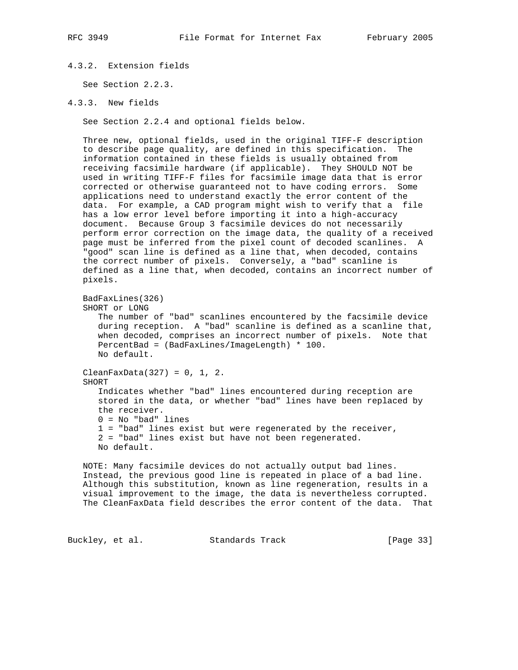# 4.3.2. Extension fields

See Section 2.2.3.

```
4.3.3. New fields
```
See Section 2.2.4 and optional fields below.

 Three new, optional fields, used in the original TIFF-F description to describe page quality, are defined in this specification. The information contained in these fields is usually obtained from receiving facsimile hardware (if applicable). They SHOULD NOT be used in writing TIFF-F files for facsimile image data that is error corrected or otherwise guaranteed not to have coding errors. Some applications need to understand exactly the error content of the data. For example, a CAD program might wish to verify that a file has a low error level before importing it into a high-accuracy document. Because Group 3 facsimile devices do not necessarily perform error correction on the image data, the quality of a received page must be inferred from the pixel count of decoded scanlines. A "good" scan line is defined as a line that, when decoded, contains the correct number of pixels. Conversely, a "bad" scanline is defined as a line that, when decoded, contains an incorrect number of pixels.

```
 BadFaxLines(326)
 SHORT or LONG
    The number of "bad" scanlines encountered by the facsimile device
    during reception. A "bad" scanline is defined as a scanline that,
    when decoded, comprises an incorrect number of pixels. Note that
    PercentBad = (BadFaxLines/ImageLength) * 100.
    No default.
ClearFaxData(327) = 0, 1, 2.
```
 SHORT Indicates whether "bad" lines encountered during reception are stored in the data, or whether "bad" lines have been replaced by the receiver.  $0 = No$  "bad" lines 1 = "bad" lines exist but were regenerated by the receiver, 2 = "bad" lines exist but have not been regenerated. No default.

 NOTE: Many facsimile devices do not actually output bad lines. Instead, the previous good line is repeated in place of a bad line. Although this substitution, known as line regeneration, results in a visual improvement to the image, the data is nevertheless corrupted. The CleanFaxData field describes the error content of the data. That

Buckley, et al. Standards Track [Page 33]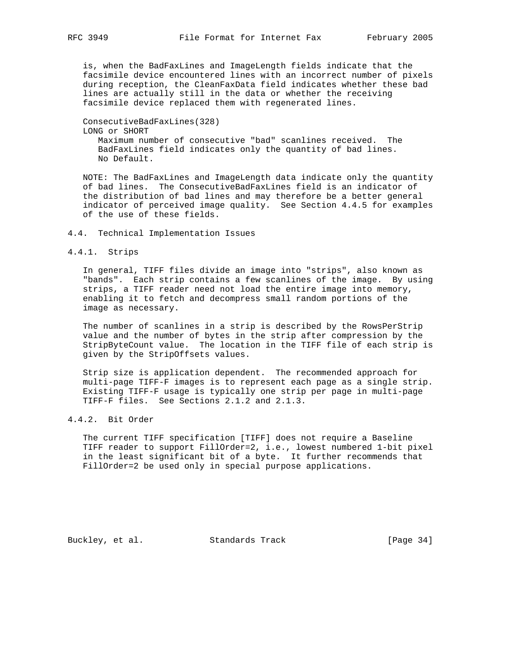is, when the BadFaxLines and ImageLength fields indicate that the facsimile device encountered lines with an incorrect number of pixels during reception, the CleanFaxData field indicates whether these bad lines are actually still in the data or whether the receiving facsimile device replaced them with regenerated lines.

# ConsecutiveBadFaxLines(328) LONG or SHORT Maximum number of consecutive "bad" scanlines received. The BadFaxLines field indicates only the quantity of bad lines. No Default.

 NOTE: The BadFaxLines and ImageLength data indicate only the quantity of bad lines. The ConsecutiveBadFaxLines field is an indicator of the distribution of bad lines and may therefore be a better general indicator of perceived image quality. See Section 4.4.5 for examples of the use of these fields.

## 4.4. Technical Implementation Issues

#### 4.4.1. Strips

 In general, TIFF files divide an image into "strips", also known as "bands". Each strip contains a few scanlines of the image. By using strips, a TIFF reader need not load the entire image into memory, enabling it to fetch and decompress small random portions of the image as necessary.

 The number of scanlines in a strip is described by the RowsPerStrip value and the number of bytes in the strip after compression by the StripByteCount value. The location in the TIFF file of each strip is given by the StripOffsets values.

 Strip size is application dependent. The recommended approach for multi-page TIFF-F images is to represent each page as a single strip. Existing TIFF-F usage is typically one strip per page in multi-page TIFF-F files. See Sections 2.1.2 and 2.1.3.

# 4.4.2. Bit Order

 The current TIFF specification [TIFF] does not require a Baseline TIFF reader to support FillOrder=2, i.e., lowest numbered 1-bit pixel in the least significant bit of a byte. It further recommends that FillOrder=2 be used only in special purpose applications.

Buckley, et al. Standards Track [Page 34]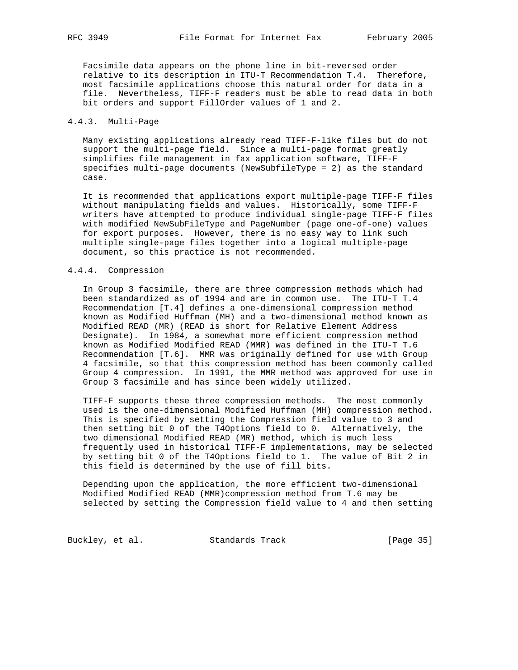Facsimile data appears on the phone line in bit-reversed order relative to its description in ITU-T Recommendation T.4. Therefore, most facsimile applications choose this natural order for data in a file. Nevertheless, TIFF-F readers must be able to read data in both bit orders and support FillOrder values of 1 and 2.

## 4.4.3. Multi-Page

 Many existing applications already read TIFF-F-like files but do not support the multi-page field. Since a multi-page format greatly simplifies file management in fax application software, TIFF-F specifies multi-page documents (NewSubfileType = 2) as the standard case.

 It is recommended that applications export multiple-page TIFF-F files without manipulating fields and values. Historically, some TIFF-F writers have attempted to produce individual single-page TIFF-F files with modified NewSubFileType and PageNumber (page one-of-one) values for export purposes. However, there is no easy way to link such multiple single-page files together into a logical multiple-page document, so this practice is not recommended.

#### 4.4.4. Compression

 In Group 3 facsimile, there are three compression methods which had been standardized as of 1994 and are in common use. The ITU-T T.4 Recommendation [T.4] defines a one-dimensional compression method known as Modified Huffman (MH) and a two-dimensional method known as Modified READ (MR) (READ is short for Relative Element Address Designate). In 1984, a somewhat more efficient compression method known as Modified Modified READ (MMR) was defined in the ITU-T T.6 Recommendation [T.6]. MMR was originally defined for use with Group 4 facsimile, so that this compression method has been commonly called Group 4 compression. In 1991, the MMR method was approved for use in Group 3 facsimile and has since been widely utilized.

 TIFF-F supports these three compression methods. The most commonly used is the one-dimensional Modified Huffman (MH) compression method. This is specified by setting the Compression field value to 3 and then setting bit 0 of the T4Options field to 0. Alternatively, the two dimensional Modified READ (MR) method, which is much less frequently used in historical TIFF-F implementations, may be selected by setting bit 0 of the T4Options field to 1. The value of Bit 2 in this field is determined by the use of fill bits.

 Depending upon the application, the more efficient two-dimensional Modified Modified READ (MMR)compression method from T.6 may be selected by setting the Compression field value to 4 and then setting

Buckley, et al. Standards Track [Page 35]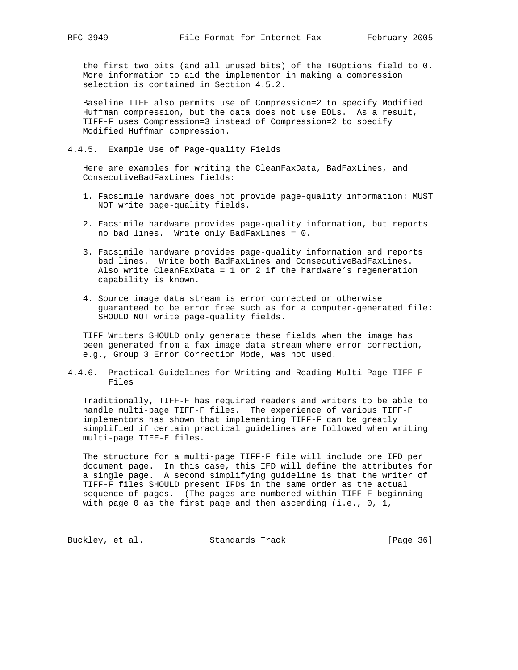the first two bits (and all unused bits) of the T6Options field to 0. More information to aid the implementor in making a compression selection is contained in Section 4.5.2.

 Baseline TIFF also permits use of Compression=2 to specify Modified Huffman compression, but the data does not use EOLs. As a result, TIFF-F uses Compression=3 instead of Compression=2 to specify Modified Huffman compression.

4.4.5. Example Use of Page-quality Fields

 Here are examples for writing the CleanFaxData, BadFaxLines, and ConsecutiveBadFaxLines fields:

- 1. Facsimile hardware does not provide page-quality information: MUST NOT write page-quality fields.
- 2. Facsimile hardware provides page-quality information, but reports no bad lines. Write only BadFaxLines = 0.
- 3. Facsimile hardware provides page-quality information and reports bad lines. Write both BadFaxLines and ConsecutiveBadFaxLines. Also write CleanFaxData =  $1$  or  $2$  if the hardware's regeneration capability is known.
- 4. Source image data stream is error corrected or otherwise guaranteed to be error free such as for a computer-generated file: SHOULD NOT write page-quality fields.

 TIFF Writers SHOULD only generate these fields when the image has been generated from a fax image data stream where error correction, e.g., Group 3 Error Correction Mode, was not used.

4.4.6. Practical Guidelines for Writing and Reading Multi-Page TIFF-F Files

 Traditionally, TIFF-F has required readers and writers to be able to handle multi-page TIFF-F files. The experience of various TIFF-F implementors has shown that implementing TIFF-F can be greatly simplified if certain practical guidelines are followed when writing multi-page TIFF-F files.

 The structure for a multi-page TIFF-F file will include one IFD per document page. In this case, this IFD will define the attributes for a single page. A second simplifying guideline is that the writer of TIFF-F files SHOULD present IFDs in the same order as the actual sequence of pages. (The pages are numbered within TIFF-F beginning with page 0 as the first page and then ascending (i.e., 0, 1,

Buckley, et al. Standards Track [Page 36]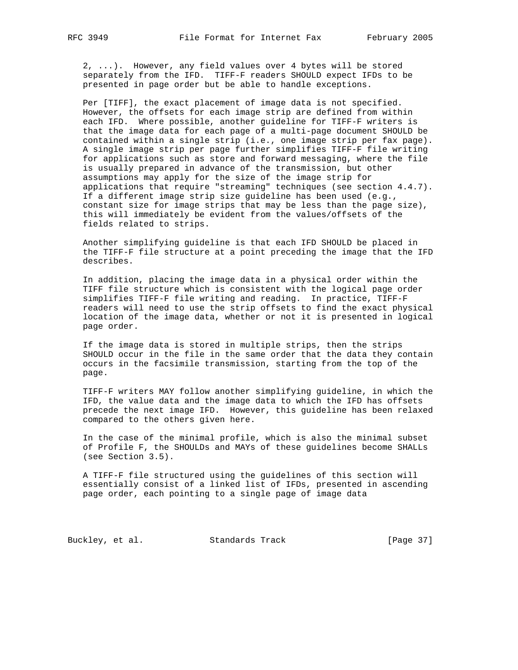2, ...). However, any field values over 4 bytes will be stored separately from the IFD. TIFF-F readers SHOULD expect IFDs to be presented in page order but be able to handle exceptions.

 Per [TIFF], the exact placement of image data is not specified. However, the offsets for each image strip are defined from within each IFD. Where possible, another guideline for TIFF-F writers is that the image data for each page of a multi-page document SHOULD be contained within a single strip (i.e., one image strip per fax page). A single image strip per page further simplifies TIFF-F file writing for applications such as store and forward messaging, where the file is usually prepared in advance of the transmission, but other assumptions may apply for the size of the image strip for applications that require "streaming" techniques (see section 4.4.7). If a different image strip size guideline has been used (e.g., constant size for image strips that may be less than the page size), this will immediately be evident from the values/offsets of the fields related to strips.

 Another simplifying guideline is that each IFD SHOULD be placed in the TIFF-F file structure at a point preceding the image that the IFD describes.

 In addition, placing the image data in a physical order within the TIFF file structure which is consistent with the logical page order simplifies TIFF-F file writing and reading. In practice, TIFF-F readers will need to use the strip offsets to find the exact physical location of the image data, whether or not it is presented in logical page order.

 If the image data is stored in multiple strips, then the strips SHOULD occur in the file in the same order that the data they contain occurs in the facsimile transmission, starting from the top of the page.

 TIFF-F writers MAY follow another simplifying guideline, in which the IFD, the value data and the image data to which the IFD has offsets precede the next image IFD. However, this guideline has been relaxed compared to the others given here.

 In the case of the minimal profile, which is also the minimal subset of Profile F, the SHOULDs and MAYs of these guidelines become SHALLs (see Section 3.5).

 A TIFF-F file structured using the guidelines of this section will essentially consist of a linked list of IFDs, presented in ascending page order, each pointing to a single page of image data

Buckley, et al. Standards Track [Page 37]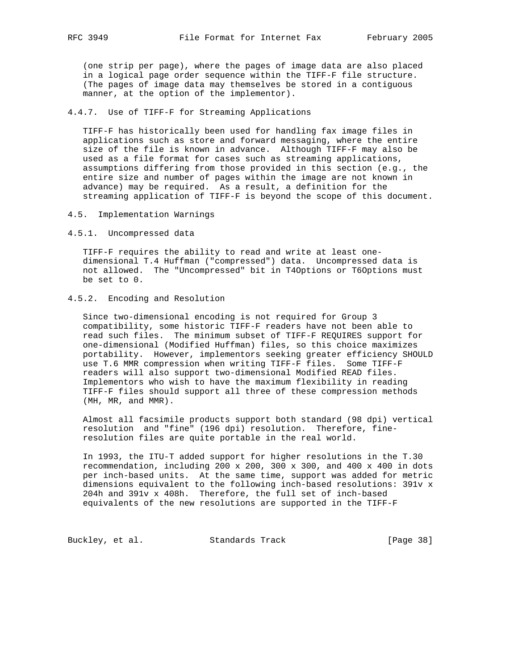(one strip per page), where the pages of image data are also placed in a logical page order sequence within the TIFF-F file structure. (The pages of image data may themselves be stored in a contiguous manner, at the option of the implementor).

## 4.4.7. Use of TIFF-F for Streaming Applications

 TIFF-F has historically been used for handling fax image files in applications such as store and forward messaging, where the entire size of the file is known in advance. Although TIFF-F may also be used as a file format for cases such as streaming applications, assumptions differing from those provided in this section (e.g., the entire size and number of pages within the image are not known in advance) may be required. As a result, a definition for the streaming application of TIFF-F is beyond the scope of this document.

- 4.5. Implementation Warnings
- 4.5.1. Uncompressed data

 TIFF-F requires the ability to read and write at least one dimensional T.4 Huffman ("compressed") data. Uncompressed data is not allowed. The "Uncompressed" bit in T4Options or T6Options must be set to 0.

# 4.5.2. Encoding and Resolution

 Since two-dimensional encoding is not required for Group 3 compatibility, some historic TIFF-F readers have not been able to read such files. The minimum subset of TIFF-F REQUIRES support for one-dimensional (Modified Huffman) files, so this choice maximizes portability. However, implementors seeking greater efficiency SHOULD use T.6 MMR compression when writing TIFF-F files. Some TIFF-F readers will also support two-dimensional Modified READ files. Implementors who wish to have the maximum flexibility in reading TIFF-F files should support all three of these compression methods (MH, MR, and MMR).

 Almost all facsimile products support both standard (98 dpi) vertical resolution and "fine" (196 dpi) resolution. Therefore, fine resolution files are quite portable in the real world.

 In 1993, the ITU-T added support for higher resolutions in the T.30 recommendation, including 200 x 200, 300 x 300, and 400 x 400 in dots per inch-based units. At the same time, support was added for metric dimensions equivalent to the following inch-based resolutions: 391v x 204h and 391v x 408h. Therefore, the full set of inch-based equivalents of the new resolutions are supported in the TIFF-F

Buckley, et al. Standards Track [Page 38]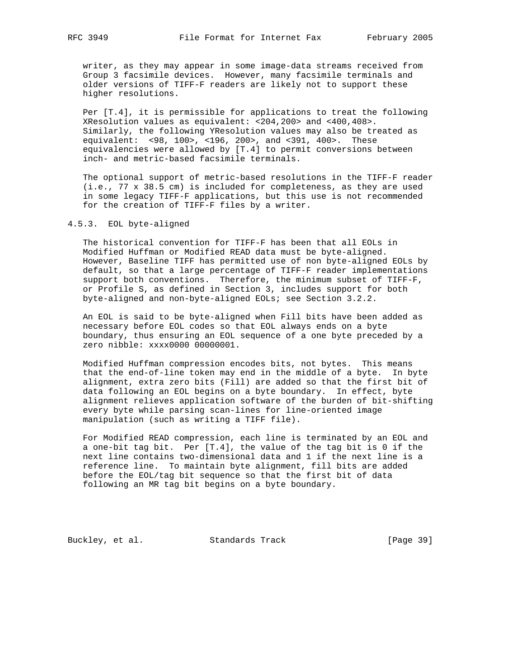writer, as they may appear in some image-data streams received from Group 3 facsimile devices. However, many facsimile terminals and older versions of TIFF-F readers are likely not to support these higher resolutions.

 Per [T.4], it is permissible for applications to treat the following XResolution values as equivalent: <204,200> and <400,408>. Similarly, the following YResolution values may also be treated as equivalent: <98, 100>, <196, 200>, and <391, 400>. These equivalencies were allowed by [T.4] to permit conversions between inch- and metric-based facsimile terminals.

 The optional support of metric-based resolutions in the TIFF-F reader (i.e., 77 x 38.5 cm) is included for completeness, as they are used in some legacy TIFF-F applications, but this use is not recommended for the creation of TIFF-F files by a writer.

# 4.5.3. EOL byte-aligned

 The historical convention for TIFF-F has been that all EOLs in Modified Huffman or Modified READ data must be byte-aligned. However, Baseline TIFF has permitted use of non byte-aligned EOLs by default, so that a large percentage of TIFF-F reader implementations support both conventions. Therefore, the minimum subset of TIFF-F, or Profile S, as defined in Section 3, includes support for both byte-aligned and non-byte-aligned EOLs; see Section 3.2.2.

 An EOL is said to be byte-aligned when Fill bits have been added as necessary before EOL codes so that EOL always ends on a byte boundary, thus ensuring an EOL sequence of a one byte preceded by a zero nibble: xxxx0000 00000001.

 Modified Huffman compression encodes bits, not bytes. This means that the end-of-line token may end in the middle of a byte. In byte alignment, extra zero bits (Fill) are added so that the first bit of data following an EOL begins on a byte boundary. In effect, byte alignment relieves application software of the burden of bit-shifting every byte while parsing scan-lines for line-oriented image manipulation (such as writing a TIFF file).

 For Modified READ compression, each line is terminated by an EOL and a one-bit tag bit. Per [T.4], the value of the tag bit is 0 if the next line contains two-dimensional data and 1 if the next line is a reference line. To maintain byte alignment, fill bits are added before the EOL/tag bit sequence so that the first bit of data following an MR tag bit begins on a byte boundary.

Buckley, et al. Standards Track [Page 39]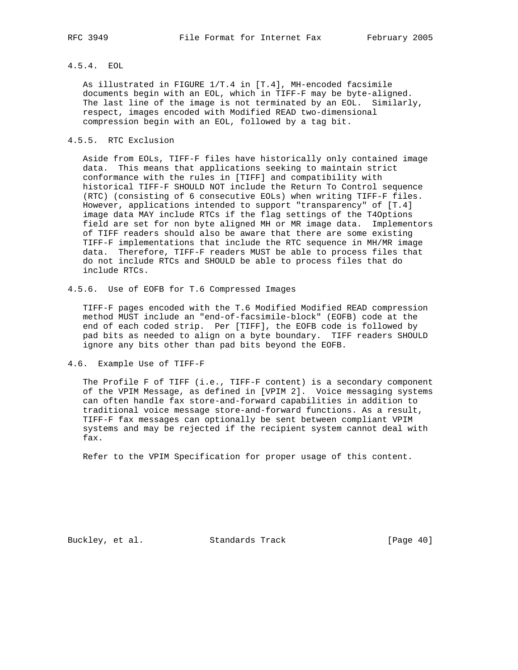# 4.5.4. EOL

 As illustrated in FIGURE 1/T.4 in [T.4], MH-encoded facsimile documents begin with an EOL, which in TIFF-F may be byte-aligned. The last line of the image is not terminated by an EOL. Similarly, respect, images encoded with Modified READ two-dimensional compression begin with an EOL, followed by a tag bit.

# 4.5.5. RTC Exclusion

 Aside from EOLs, TIFF-F files have historically only contained image data. This means that applications seeking to maintain strict conformance with the rules in [TIFF] and compatibility with historical TIFF-F SHOULD NOT include the Return To Control sequence (RTC) (consisting of 6 consecutive EOLs) when writing TIFF-F files. However, applications intended to support "transparency" of [T.4] image data MAY include RTCs if the flag settings of the T4Options field are set for non byte aligned MH or MR image data. Implementors of TIFF readers should also be aware that there are some existing TIFF-F implementations that include the RTC sequence in MH/MR image data. Therefore, TIFF-F readers MUST be able to process files that do not include RTCs and SHOULD be able to process files that do include RTCs.

4.5.6. Use of EOFB for T.6 Compressed Images

 TIFF-F pages encoded with the T.6 Modified Modified READ compression method MUST include an "end-of-facsimile-block" (EOFB) code at the end of each coded strip. Per [TIFF], the EOFB code is followed by pad bits as needed to align on a byte boundary. TIFF readers SHOULD ignore any bits other than pad bits beyond the EOFB.

# 4.6. Example Use of TIFF-F

 The Profile F of TIFF (i.e., TIFF-F content) is a secondary component of the VPIM Message, as defined in [VPIM 2]. Voice messaging systems can often handle fax store-and-forward capabilities in addition to traditional voice message store-and-forward functions. As a result, TIFF-F fax messages can optionally be sent between compliant VPIM systems and may be rejected if the recipient system cannot deal with fax.

Refer to the VPIM Specification for proper usage of this content.

Buckley, et al. Standards Track [Page 40]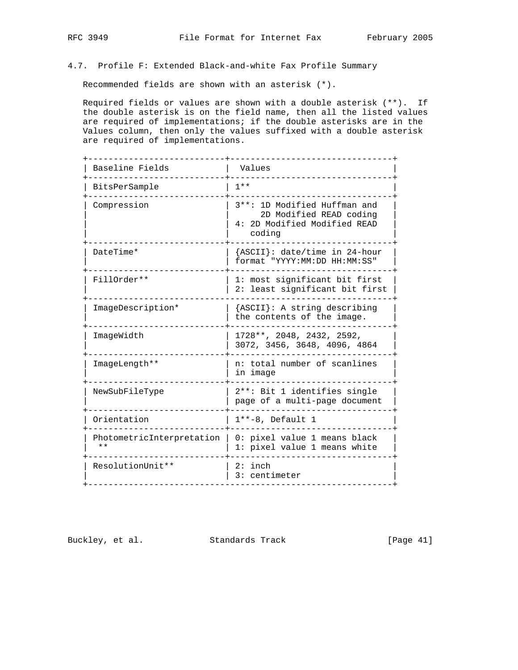# 4.7. Profile F: Extended Black-and-white Fax Profile Summary

Recommended fields are shown with an asterisk (\*).

 Required fields or values are shown with a double asterisk (\*\*). If the double asterisk is on the field name, then all the listed values are required of implementations; if the double asterisks are in the Values column, then only the values suffixed with a double asterisk are required of implementations.

| Baseline Fields                    | Values                                                                                             |  |
|------------------------------------|----------------------------------------------------------------------------------------------------|--|
| BitsPerSample                      | $1**$                                                                                              |  |
| Compression                        | 3 **: 1D Modified Huffman and<br>2D Modified READ coding<br>4: 2D Modified Modified READ<br>coding |  |
| DateTime*                          | {ASCII}: date/time in 24-hour<br>format "YYYY:MM:DD HH:MM:SS"                                      |  |
| FillOrder **                       | 1: most significant bit first<br>2: least significant bit first                                    |  |
| ImageDescription*                  | {ASCII}: A string describing<br>the contents of the image.                                         |  |
| ImageWidth                         | 1728**, 2048, 2432, 2592,<br>3072, 3456, 3648, 4096, 4864                                          |  |
| ImageLength**                      | n: total number of scanlines<br>in image                                                           |  |
| NewSubFileType                     | 2**: Bit 1 identifies single<br>page of a multi-page document                                      |  |
| Orientation                        | $1***-8$ , Default 1                                                                               |  |
| PhotometricInterpretation<br>$* *$ | 0: pixel value 1 means black<br>1: pixel value 1 means white                                       |  |
| ResolutionUnit**                   | $2:$ inch<br>3: centimeter                                                                         |  |

Buckley, et al. Standards Track [Page 41]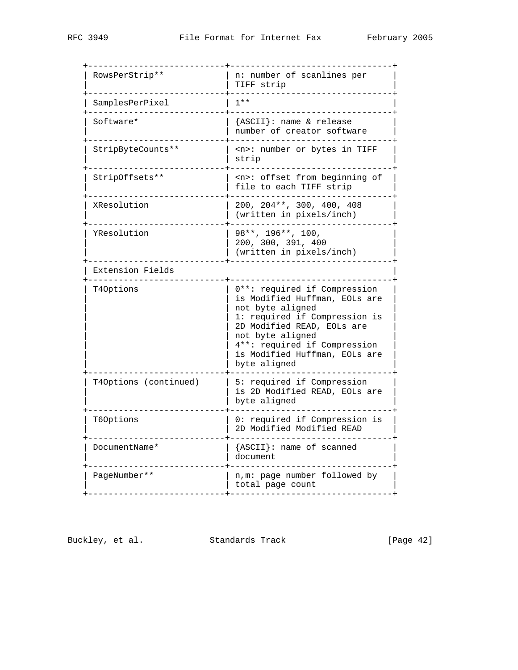| RowsPerStrip**        | n: number of scanlines per<br>TIFF strip                                                                                                                                                                                                              |
|-----------------------|-------------------------------------------------------------------------------------------------------------------------------------------------------------------------------------------------------------------------------------------------------|
| SamplesPerPixel       | $1**$                                                                                                                                                                                                                                                 |
| Software*             | {ASCII}: name & release<br>number of creator software                                                                                                                                                                                                 |
| StripByteCounts**     | <n>: number or bytes in TIFF<br/>strip</n>                                                                                                                                                                                                            |
| StripOffsets**        | <n>: offset from beginning of<br/>file to each TIFF strip</n>                                                                                                                                                                                         |
| XResolution           | 200, 204**, 300, 400, 408<br>(written in pixels/inch)                                                                                                                                                                                                 |
| YResolution           | 98**, 196**, 100,<br>200, 300, 391, 400<br>(written in pixels/inch)                                                                                                                                                                                   |
| Extension Fields      |                                                                                                                                                                                                                                                       |
| T40ptions             | 0**: required if Compression<br>is Modified Huffman, EOLs are<br>not byte aligned<br>1: required if Compression is<br>2D Modified READ, EOLs are<br>not byte aligned<br>4**: required if Compression<br>is Modified Huffman, EOLs are<br>byte aligned |
| T40ptions (continued) | 5: required if Compression<br>is 2D Modified READ, EOLs are<br>byte aligned                                                                                                                                                                           |
| T60ptions             | 0: required if Compression is<br>2D Modified Modified READ                                                                                                                                                                                            |
| DocumentName*         | ${ASCII}:$ name of scanned<br>document                                                                                                                                                                                                                |
|                       | n, m: page number followed by                                                                                                                                                                                                                         |

Buckley, et al. Standards Track [Page 42]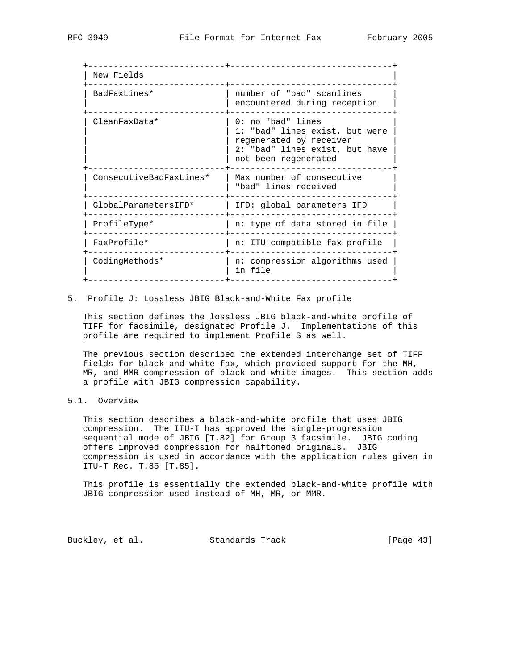| New Fields              |                                                                                                                                          |
|-------------------------|------------------------------------------------------------------------------------------------------------------------------------------|
| BadFaxLines*            | number of "bad" scanlines<br>encountered during reception                                                                                |
| CleanFaxData*           | 0: no "bad" lines<br>1: "bad" lines exist, but were<br>regenerated by receiver<br>2: "bad" lines exist, but have<br>not been regenerated |
| ConsecutiveBadFaxLines* | Max number of consecutive<br>"bad" lines received                                                                                        |
| GlobalParametersIFD*    | IFD: global parameters IFD                                                                                                               |
| ProfileType*            | n: type of data stored in file                                                                                                           |
| FaxProfile*             | n: ITU-compatible fax profile                                                                                                            |
| CodingMethods*          | n: compression algorithms used<br>in file                                                                                                |
|                         |                                                                                                                                          |

5. Profile J: Lossless JBIG Black-and-White Fax profile

 This section defines the lossless JBIG black-and-white profile of TIFF for facsimile, designated Profile J. Implementations of this profile are required to implement Profile S as well.

 The previous section described the extended interchange set of TIFF fields for black-and-white fax, which provided support for the MH, MR, and MMR compression of black-and-white images. This section adds a profile with JBIG compression capability.

# 5.1. Overview

 This section describes a black-and-white profile that uses JBIG compression. The ITU-T has approved the single-progression sequential mode of JBIG [T.82] for Group 3 facsimile. JBIG coding offers improved compression for halftoned originals. JBIG compression is used in accordance with the application rules given in ITU-T Rec. T.85 [T.85].

 This profile is essentially the extended black-and-white profile with JBIG compression used instead of MH, MR, or MMR.

Buckley, et al. Standards Track [Page 43]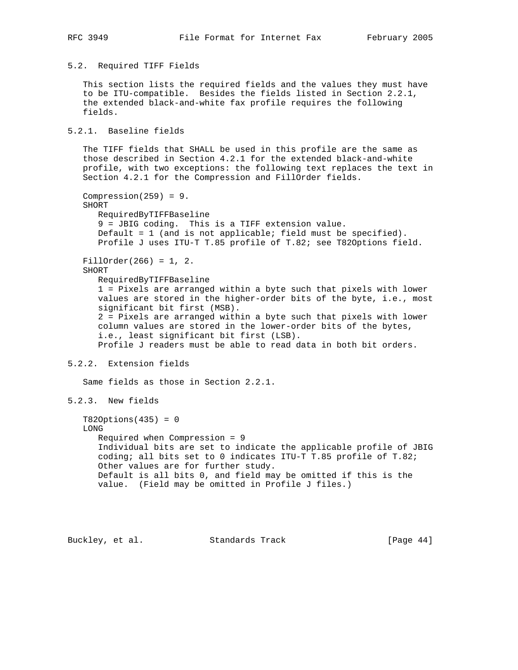### 5.2. Required TIFF Fields

 This section lists the required fields and the values they must have to be ITU-compatible. Besides the fields listed in Section 2.2.1, the extended black-and-white fax profile requires the following fields.

5.2.1. Baseline fields

 The TIFF fields that SHALL be used in this profile are the same as those described in Section 4.2.1 for the extended black-and-white profile, with two exceptions: the following text replaces the text in Section 4.2.1 for the Compression and FillOrder fields.

Compression $(259) = 9$ . SHORT RequiredByTIFFBaseline 9 = JBIG coding. This is a TIFF extension value. Default = 1 (and is not applicable; field must be specified). Profile J uses ITU-T T.85 profile of T.82; see T82Options field. FillOrder(266) = 1, 2. SHORT RequiredByTIFFBaseline 1 = Pixels are arranged within a byte such that pixels with lower values are stored in the higher-order bits of the byte, i.e., most significant bit first (MSB). 2 = Pixels are arranged within a byte such that pixels with lower column values are stored in the lower-order bits of the bytes, i.e., least significant bit first (LSB). Profile J readers must be able to read data in both bit orders.

# 5.2.2. Extension fields

Same fields as those in Section 2.2.1.

```
5.2.3. New fields
```
 $T82Options(435) = 0$  LONG Required when Compression = 9 Individual bits are set to indicate the applicable profile of JBIG coding; all bits set to 0 indicates ITU-T T.85 profile of T.82; Other values are for further study. Default is all bits 0, and field may be omitted if this is the value. (Field may be omitted in Profile J files.)

Buckley, et al. Standards Track [Page 44]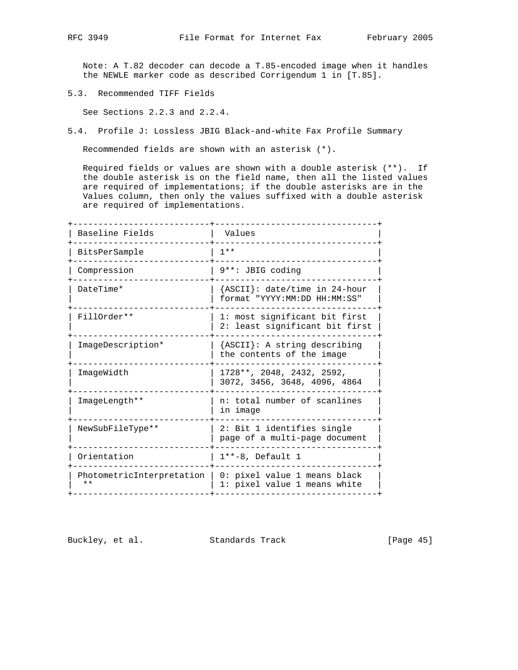Note: A T.82 decoder can decode a T.85-encoded image when it handles the NEWLE marker code as described Corrigendum 1 in [T.85].

5.3. Recommended TIFF Fields

See Sections 2.2.3 and 2.2.4.

5.4. Profile J: Lossless JBIG Black-and-white Fax Profile Summary

Recommended fields are shown with an asterisk (\*).

 Required fields or values are shown with a double asterisk (\*\*). If the double asterisk is on the field name, then all the listed values are required of implementations; if the double asterisks are in the Values column, then only the values suffixed with a double asterisk are required of implementations.

| Baseline Fields                    | Values                                                          |  |
|------------------------------------|-----------------------------------------------------------------|--|
| BitsPerSample                      | $1 * *$                                                         |  |
| Compression                        | 9**: JBIG coding                                                |  |
| DateTime*                          | {ASCII}: date/time in 24-hour<br>format "YYYY:MM:DD HH:MM:SS"   |  |
| FillOrder**                        | 1: most significant bit first<br>2: least significant bit first |  |
| ImageDescription*                  | {ASCII}: A string describing<br>the contents of the image       |  |
| ImageWidth                         | 1728**, 2048, 2432, 2592,<br>3072, 3456, 3648, 4096, 4864       |  |
| ImageLength**                      | n: total number of scanlines<br>in image                        |  |
| NewSubFileType**                   | 2: Bit 1 identifies single<br>page of a multi-page document     |  |
| Orientation                        | $1**-8$ , Default 1                                             |  |
| PhotometricInterpretation<br>$* *$ | 0: pixel value 1 means black<br>1: pixel value 1 means white    |  |
|                                    |                                                                 |  |

Buckley, et al. Standards Track [Page 45]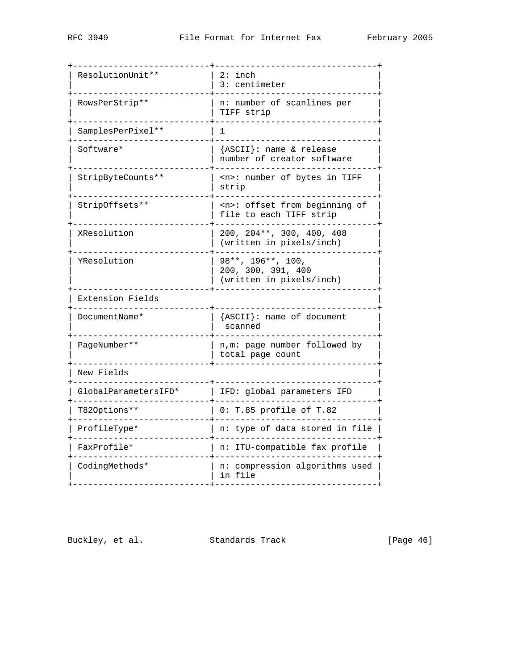| ResolutionUnit**     | 2: inch<br>3: centimeter                                            |  |
|----------------------|---------------------------------------------------------------------|--|
| RowsPerStrip**       | n: number of scanlines per<br>TIFF strip                            |  |
| SamplesPerPixel**    | 1                                                                   |  |
| Software*            | {ASCII}: name & release<br>number of creator software               |  |
| StripByteCounts**    | <n>: number of bytes in TIFF<br/>strip</n>                          |  |
| StripOffsets**       | <n>: offset from beginning of<br/>file to each TIFF strip</n>       |  |
| XResolution          | 200, 204**, 300, 400, 408<br>(written in pixels/inch)               |  |
| YResolution          | 98**, 196**, 100,<br>200, 300, 391, 400<br>(written in pixels/inch) |  |
| Extension Fields     |                                                                     |  |
| DocumentName*        | {ASCII}: name of document<br>scanned                                |  |
| PageNumber**         | n, m: page number followed by<br>total page count                   |  |
| New Fields           |                                                                     |  |
| GlobalParametersIFD* | IFD: global parameters IFD                                          |  |
| T82Options**         | 0: T.85 profile of T.82                                             |  |
| ProfileType*         | n: type of data stored in file                                      |  |
| FaxProfile*          | n: ITU-compatible fax profile                                       |  |
| CodingMethods*       | n: compression algorithms used<br>in file                           |  |
|                      |                                                                     |  |

Buckley, et al. Standards Track [Page 46]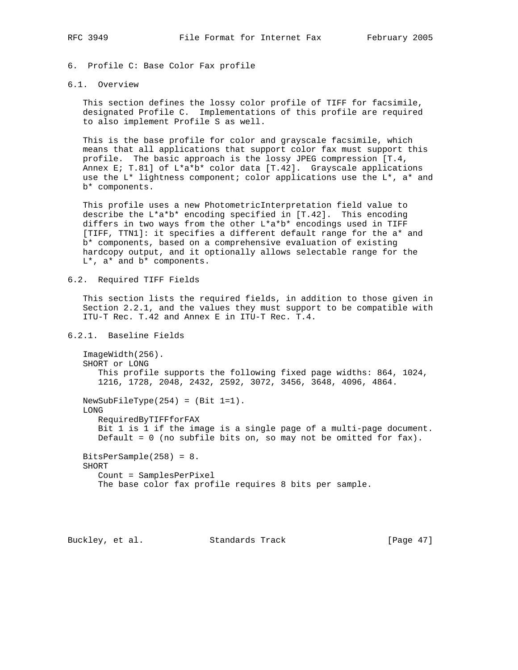6. Profile C: Base Color Fax profile

## 6.1. Overview

 This section defines the lossy color profile of TIFF for facsimile, designated Profile C. Implementations of this profile are required to also implement Profile S as well.

 This is the base profile for color and grayscale facsimile, which means that all applications that support color fax must support this profile. The basic approach is the lossy JPEG compression [T.4, Annex E; T.81] of  $L^*a^*b^*$  color data  $[T.42]$ . Grayscale applications use the  $L^*$  lightness component; color applications use the  $L^*$ , a\* and b\* components.

 This profile uses a new PhotometricInterpretation field value to describe the L\*a\*b\* encoding specified in [T.42]. This encoding differs in two ways from the other L\*a\*b\* encodings used in TIFF [TIFF, TTN1]: it specifies a different default range for the a\* and b\* components, based on a comprehensive evaluation of existing hardcopy output, and it optionally allows selectable range for the L\*, a\* and b\* components.

### 6.2. Required TIFF Fields

 This section lists the required fields, in addition to those given in Section 2.2.1, and the values they must support to be compatible with ITU-T Rec. T.42 and Annex E in ITU-T Rec. T.4.

# 6.2.1. Baseline Fields

 ImageWidth(256). SHORT or LONG This profile supports the following fixed page widths: 864, 1024, 1216, 1728, 2048, 2432, 2592, 3072, 3456, 3648, 4096, 4864. NewSubFileType(254) = (Bit 1=1). LONG RequiredByTIFFforFAX Bit 1 is 1 if the image is a single page of a multi-page document. Default = 0 (no subfile bits on, so may not be omitted for fax). BitsPerSample(258) = 8. SHORT Count = SamplesPerPixel

The base color fax profile requires 8 bits per sample.

Buckley, et al. Standards Track [Page 47]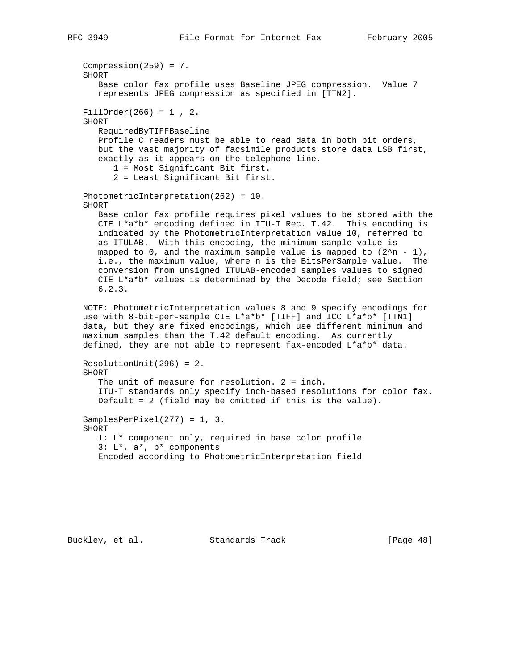```
 Compression(259) = 7.
 SHORT
    Base color fax profile uses Baseline JPEG compression. Value 7
    represents JPEG compression as specified in [TTN2].
FillOrder(266) = 1, 2.
 SHORT
    RequiredByTIFFBaseline
    Profile C readers must be able to read data in both bit orders,
    but the vast majority of facsimile products store data LSB first,
    exactly as it appears on the telephone line.
       1 = Most Significant Bit first.
       2 = Least Significant Bit first.
 PhotometricInterpretation(262) = 10.
 SHORT
    Base color fax profile requires pixel values to be stored with the
    CIE L*a*b* encoding defined in ITU-T Rec. T.42. This encoding is
    indicated by the PhotometricInterpretation value 10, referred to
    as ITULAB. With this encoding, the minimum sample value is
   mapped to 0, and the maximum sample value is mapped to (2<sup>2</sup>n - 1),
    i.e., the maximum value, where n is the BitsPerSample value. The
    conversion from unsigned ITULAB-encoded samples values to signed
    CIE L*a*b* values is determined by the Decode field; see Section
    6.2.3.
 NOTE: PhotometricInterpretation values 8 and 9 specify encodings for
 use with 8-bit-per-sample CIE L*a*b* [TIFF] and ICC L*a*b* [TTN1]
 data, but they are fixed encodings, which use different minimum and
 maximum samples than the T.42 default encoding. As currently
 defined, they are not able to represent fax-encoded L*a*b* data.
 ResolutionUnit(296) = 2.
 SHORT
    The unit of measure for resolution. 2 = inch.
    ITU-T standards only specify inch-based resolutions for color fax.
    Default = 2 (field may be omitted if this is the value).
 SamplesPerPixel(277) = 1, 3.
 SHORT
    1: L* component only, required in base color profile
    3: L*, a*, b* components
    Encoded according to PhotometricInterpretation field
```
Buckley, et al. Standards Track [Page 48]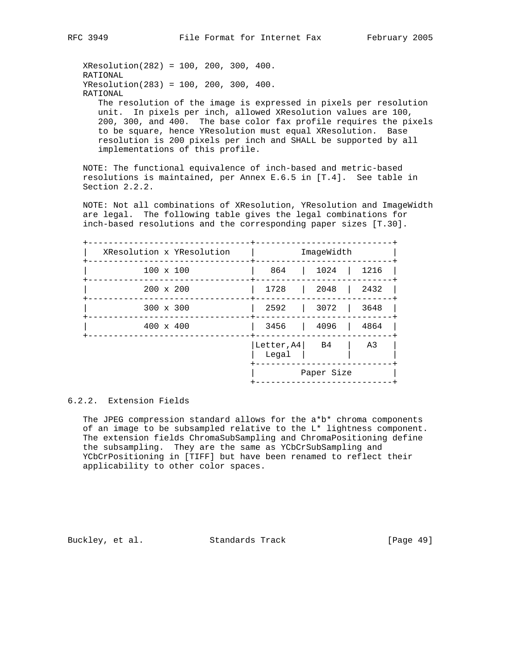XResolution(282) = 100, 200, 300, 400. RATIONAL YResolution(283) = 100, 200, 300, 400. RATIONAL The resolution of the image is expressed in pixels per resolution

 unit. In pixels per inch, allowed XResolution values are 100, 200, 300, and 400. The base color fax profile requires the pixels to be square, hence YResolution must equal XResolution. Base resolution is 200 pixels per inch and SHALL be supported by all implementations of this profile.

 NOTE: The functional equivalence of inch-based and metric-based resolutions is maintained, per Annex E.6.5 in [T.4]. See table in Section 2.2.2.

NOTE: Not all combinations of XResolution, YResolution and ImageWidth are legal. The following table gives the legal combinations for inch-based resolutions and the corresponding paper sizes [T.30].

| XResolution x YResolution |                     | ImageWidth |                |
|---------------------------|---------------------|------------|----------------|
| $100 \times 100$          | 864                 | 1024       | 1216           |
| $200 \times 200$          | 1728                | 2048       | 2432           |
| $300 \times 300$          | 2592                | 3072       | 3648           |
| $400 \times 400$          | 3456                | 4096       | 4864           |
|                           | Letter, A4<br>Legal | B4         | A <sub>3</sub> |
|                           |                     | Paper Size |                |

# 6.2.2. Extension Fields

The JPEG compression standard allows for the  $a*b*$  chroma components of an image to be subsampled relative to the L\* lightness component. The extension fields ChromaSubSampling and ChromaPositioning define the subsampling. They are the same as YCbCrSubSampling and YCbCrPositioning in [TIFF] but have been renamed to reflect their applicability to other color spaces.

Buckley, et al. Standards Track [Page 49]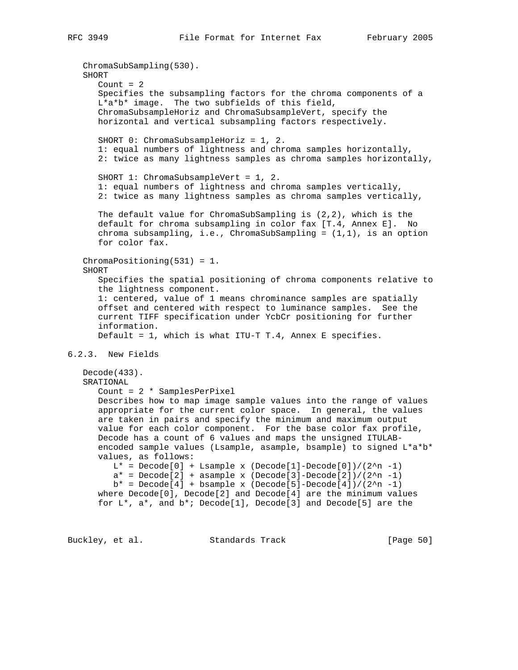ChromaSubSampling(530). SHORT Count  $= 2$  Specifies the subsampling factors for the chroma components of a L\*a\*b\* image. The two subfields of this field, ChromaSubsampleHoriz and ChromaSubsampleVert, specify the horizontal and vertical subsampling factors respectively. SHORT 0: ChromaSubsampleHoriz = 1, 2. 1: equal numbers of lightness and chroma samples horizontally, 2: twice as many lightness samples as chroma samples horizontally, SHORT 1: ChromaSubsampleVert = 1, 2. 1: equal numbers of lightness and chroma samples vertically, 2: twice as many lightness samples as chroma samples vertically, The default value for ChromaSubSampling is (2,2), which is the default for chroma subsampling in color fax [T.4, Annex E]. No chroma subsampling, i.e., ChromaSubSampling = (1,1), is an option for color fax. ChromaPositioning(531) = 1. SHORT Specifies the spatial positioning of chroma components relative to the lightness component. 1: centered, value of 1 means chrominance samples are spatially offset and centered with respect to luminance samples. See the current TIFF specification under YcbCr positioning for further information. Default = 1, which is what ITU-T T.4, Annex E specifies. 6.2.3. New Fields Decode(433). SRATIONAL Count = 2 \* SamplesPerPixel Describes how to map image sample values into the range of values appropriate for the current color space. In general, the values are taken in pairs and specify the minimum and maximum output value for each color component. For the base color fax profile, Decode has a count of 6 values and maps the unsigned ITULAB encoded sample values (Lsample, asample, bsample) to signed L\*a\*b\* values, as follows:  $L^*$  = Decode[0] + Lsample x (Decode[1]-Decode[0])/(2^n -1)  $a* = Decode[2] + asample x (Decode[3]-Decode[2])/(2^n -1)$  $b*$  = Decode[4] + bsample x (Decode[5]-Decode[4])/(2^n -1) where Decode[0], Decode[2] and Decode[4] are the minimum values for  $L^*$ ,  $a^*$ , and  $b^*$ ; Decode[1], Decode[3] and Decode[5] are the

Buckley, et al. Standards Track [Page 50]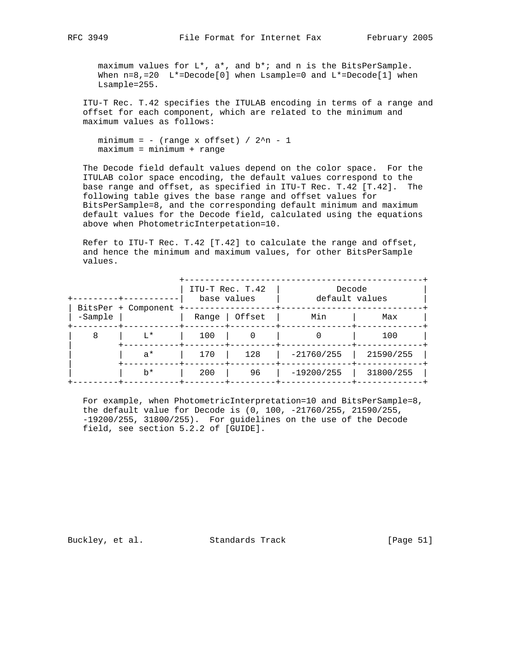maximum values for L\*, a\*, and b\*; and n is the BitsPerSample. When  $n=8,=20$  L<sup>\*</sup>=Decode[0] when Lsample=0 and L<sup>\*</sup>=Decode[1] when Lsample=255.

 ITU-T Rec. T.42 specifies the ITULAB encoding in terms of a range and offset for each component, which are related to the minimum and maximum values as follows:

```
minimum = - (range x offset) / 2^n - 1 maximum = minimum + range
```
 The Decode field default values depend on the color space. For the ITULAB color space encoding, the default values correspond to the base range and offset, as specified in ITU-T Rec. T.42 [T.42]. The following table gives the base range and offset values for BitsPerSample=8, and the corresponding default minimum and maximum default values for the Decode field, calculated using the equations above when PhotometricInterpetation=10.

 Refer to ITU-T Rec. T.42 [T.42] to calculate the range and offset, and hence the minimum and maximum values, for other BitsPerSample values.

|                      |                     | ITU-T Rec. T.42<br>base values |                         | Decode<br>default values |           |
|----------------------|---------------------|--------------------------------|-------------------------|--------------------------|-----------|
| -Sample<br>-------+- | BitsPer + Component | Range<br>$- + -$               | Offset<br>------+------ | Min                      | Max       |
| 8                    | $T^*$               | 100                            | 0                       |                          | 100       |
|                      | $a^*$               | 170                            | 128                     | $-21760/255$             | 21590/255 |
|                      | $h^*$               | 200                            | 96                      | $-19200/255$             | 31800/255 |

 For example, when PhotometricInterpretation=10 and BitsPerSample=8, the default value for Decode is (0, 100, -21760/255, 21590/255, -19200/255, 31800/255). For guidelines on the use of the Decode field, see section 5.2.2 of [GUIDE].

Buckley, et al. Standards Track [Page 51]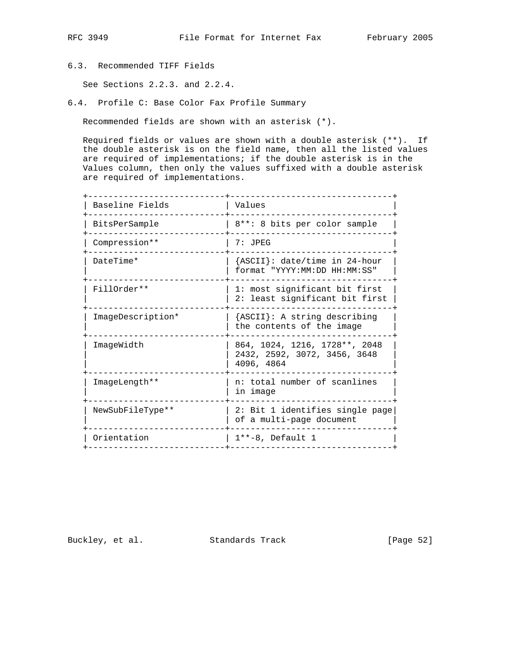# 6.3. Recommended TIFF Fields

See Sections 2.2.3. and 2.2.4.

6.4. Profile C: Base Color Fax Profile Summary

Recommended fields are shown with an asterisk (\*).

 Required fields or values are shown with a double asterisk (\*\*). If the double asterisk is on the field name, then all the listed values are required of implementations; if the double asterisk is in the Values column, then only the values suffixed with a double asterisk are required of implementations.

| Baseline Fields   | Values                                                                      |
|-------------------|-----------------------------------------------------------------------------|
| BitsPerSample     | 8**: 8 bits per color sample                                                |
| Compression**     | $7:$ JPEG                                                                   |
| DateTime*         | {ASCII}: date/time in 24-hour<br>format "YYYY:MM:DD HH:MM:SS"               |
| FillOrder **      | 1: most significant bit first<br>2: least significant bit first             |
| ImageDescription* | {ASCII}: A string describing<br>the contents of the image                   |
| ImageWidth        | 864, 1024, 1216, 1728**, 2048<br>2432, 2592, 3072, 3456, 3648<br>4096, 4864 |
| ImageLength**     | n: total number of scanlines<br>in image                                    |
| NewSubFileType**  | 2: Bit 1 identifies single page<br>of a multi-page document                 |
| Orientation       | $1**-8$ , Default 1                                                         |
|                   |                                                                             |

Buckley, et al. Standards Track [Page 52]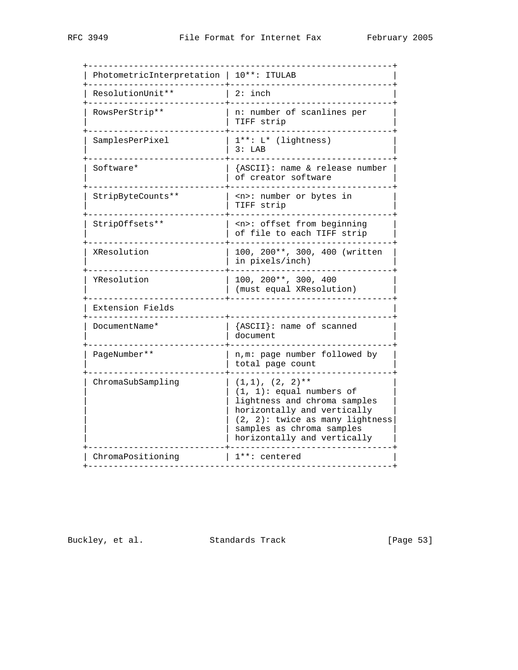| PhotometricInterpretation | 10**: ITULAB                                                                                                                                                                                                          |
|---------------------------|-----------------------------------------------------------------------------------------------------------------------------------------------------------------------------------------------------------------------|
| ResolutionUnit**          | $2:$ inch                                                                                                                                                                                                             |
| RowsPerStrip**            | n: number of scanlines per<br>TIFF strip                                                                                                                                                                              |
| SamplesPerPixel           | $1***: L*$ (lightness)<br>3: LAB                                                                                                                                                                                      |
| Software*                 | {ASCII}: name & release number<br>of creator software                                                                                                                                                                 |
| StripByteCounts**         | <n>: number or bytes in<br/>TIFF strip</n>                                                                                                                                                                            |
| StripOffsets**            | <n>: offset from beginning<br/>of file to each TIFF strip</n>                                                                                                                                                         |
| XResolution               | 100, 200**, 300, 400 (written<br>in pixels/inch)                                                                                                                                                                      |
| YResolution               | 100, 200**, 300, 400<br>(must equal XResolution)                                                                                                                                                                      |
| Extension Fields          |                                                                                                                                                                                                                       |
| DocumentName*             | {ASCII}: name of scanned<br>document                                                                                                                                                                                  |
| PageNumber**              | n, m: page number followed by<br>total page count                                                                                                                                                                     |
| ChromaSubSampling         | $(1,1)$ , $(2, 2)$ **<br>$(1, 1)$ : equal numbers of<br>lightness and chroma samples<br>horizontally and vertically<br>$(2, 2)$ : twice as many lightness<br>samples as chroma samples<br>horizontally and vertically |
| ChromaPositioning         | 1**: centered                                                                                                                                                                                                         |

Buckley, et al. Standards Track [Page 53]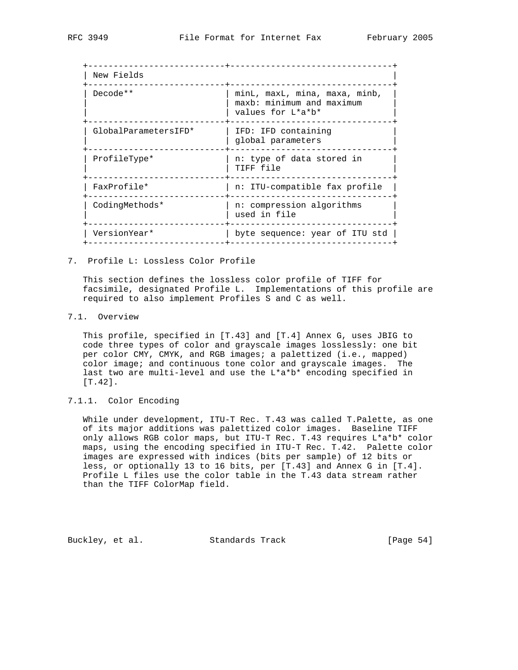| New Fields           |                                                                                 |
|----------------------|---------------------------------------------------------------------------------|
| Decode**             | minL, maxL, mina, maxa, minb,<br>maxb: minimum and maximum<br>values for L*a*b* |
| GlobalParametersIFD* | IFD: IFD containing<br>global parameters                                        |
| ProfileType*         | n: type of data stored in<br>TIFF file                                          |
| FaxProfile*          | n: ITU-compatible fax profile                                                   |
| CodingMethods*       | n: compression algorithms<br>used in file                                       |
| VersionYear*         | byte sequence: year of ITU std                                                  |
|                      |                                                                                 |

7. Profile L: Lossless Color Profile

 This section defines the lossless color profile of TIFF for facsimile, designated Profile L. Implementations of this profile are required to also implement Profiles S and C as well.

7.1. Overview

 This profile, specified in [T.43] and [T.4] Annex G, uses JBIG to code three types of color and grayscale images losslessly: one bit per color CMY, CMYK, and RGB images; a palettized (i.e., mapped) color image; and continuous tone color and grayscale images. The last two are multi-level and use the L\*a\*b\* encoding specified in [T.42].

# 7.1.1. Color Encoding

 While under development, ITU-T Rec. T.43 was called T.Palette, as one of its major additions was palettized color images. Baseline TIFF only allows RGB color maps, but ITU-T Rec. T.43 requires L\*a\*b\* color maps, using the encoding specified in ITU-T Rec. T.42. Palette color images are expressed with indices (bits per sample) of 12 bits or less, or optionally 13 to 16 bits, per [T.43] and Annex G in [T.4]. Profile L files use the color table in the T.43 data stream rather than the TIFF ColorMap field.

Buckley, et al. Standards Track [Page 54]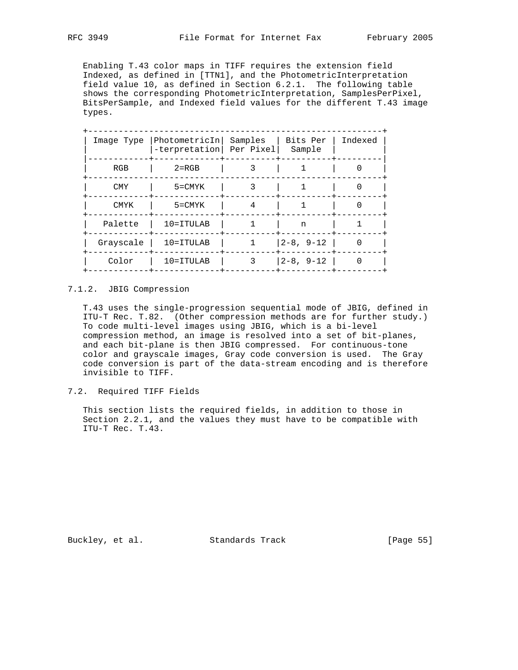Enabling T.43 color maps in TIFF requires the extension field Indexed, as defined in [TTN1], and the PhotometricInterpretation field value 10, as defined in Section 6.2.1. The following table shows the corresponding PhotometricInterpretation, SamplesPerPixel, BitsPerSample, and Indexed field values for the different T.43 image types.

| Image Type  | PhotometricIn <br>-terpretation   Per Pixel | Samples | Bits Per<br>Sample | Indexed |
|-------------|---------------------------------------------|---------|--------------------|---------|
| RGB         | $2 = RGB$                                   |         |                    |         |
| <b>CMY</b>  | $5 = CMYK$                                  | 3       | 1                  | U       |
| <b>CMYK</b> | $5 = CMYK$                                  | 4       |                    |         |
| Palette     | $10 = ITULAB$                               |         | n                  |         |
| Grayscale   | $10 = ITULAB$                               |         | $ 2-8, 9-12$       |         |
| Color       | $10 = ITULAB$                               | 3       | $ 2 - 8, 9 - 12 $  |         |

# 7.1.2. JBIG Compression

 T.43 uses the single-progression sequential mode of JBIG, defined in ITU-T Rec. T.82. (Other compression methods are for further study.) To code multi-level images using JBIG, which is a bi-level compression method, an image is resolved into a set of bit-planes, and each bit-plane is then JBIG compressed. For continuous-tone color and grayscale images, Gray code conversion is used. The Gray code conversion is part of the data-stream encoding and is therefore invisible to TIFF.

# 7.2. Required TIFF Fields

 This section lists the required fields, in addition to those in Section 2.2.1, and the values they must have to be compatible with ITU-T Rec. T.43.

Buckley, et al. Standards Track [Page 55]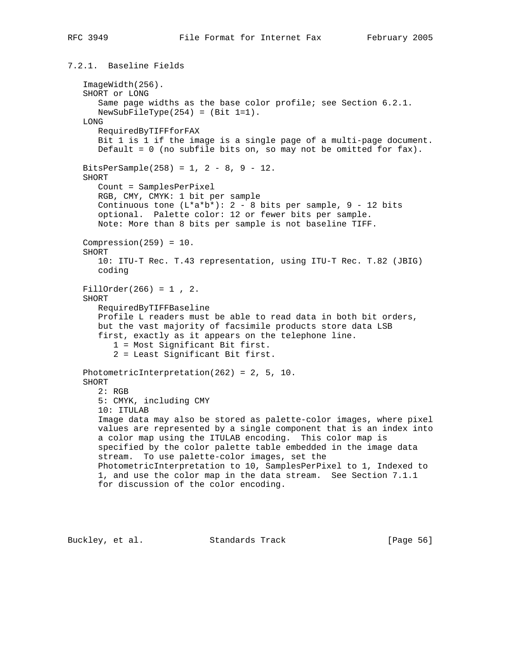# 7.2.1. Baseline Fields

```
 ImageWidth(256).
 SHORT or LONG
    Same page widths as the base color profile; see Section 6.2.1.
  NewSubFilterype(254) = (Bit 1=1). LONG
   RequiredByTIFFforFAX
    Bit 1 is 1 if the image is a single page of a multi-page document.
    Default = 0 (no subfile bits on, so may not be omitted for fax).
BitsPerSample(258) = 1, 2 - 8, 9 - 12.
 SHORT
    Count = SamplesPerPixel
    RGB, CMY, CMYK: 1 bit per sample
   Continuous tone (L^*a^*b^*): 2 - 8 bits per sample, 9 - 12 bits
    optional. Palette color: 12 or fewer bits per sample.
   Note: More than 8 bits per sample is not baseline TIFF.
Compression(259) = 10.
 SHORT
   10: ITU-T Rec. T.43 representation, using ITU-T Rec. T.82 (JBIG)
   coding
 FillOrder(266) = 1 , 2.
 SHORT
    RequiredByTIFFBaseline
    Profile L readers must be able to read data in both bit orders,
   but the vast majority of facsimile products store data LSB
    first, exactly as it appears on the telephone line.
       1 = Most Significant Bit first.
       2 = Least Significant Bit first.
 PhotometricInterpretation(262) = 2, 5, 10.
 SHORT
   2: RGB
    5: CMYK, including CMY
    10: ITULAB
    Image data may also be stored as palette-color images, where pixel
    values are represented by a single component that is an index into
    a color map using the ITULAB encoding. This color map is
    specified by the color palette table embedded in the image data
    stream. To use palette-color images, set the
   PhotometricInterpretation to 10, SamplesPerPixel to 1, Indexed to
    1, and use the color map in the data stream. See Section 7.1.1
    for discussion of the color encoding.
```
Buckley, et al. Standards Track [Page 56]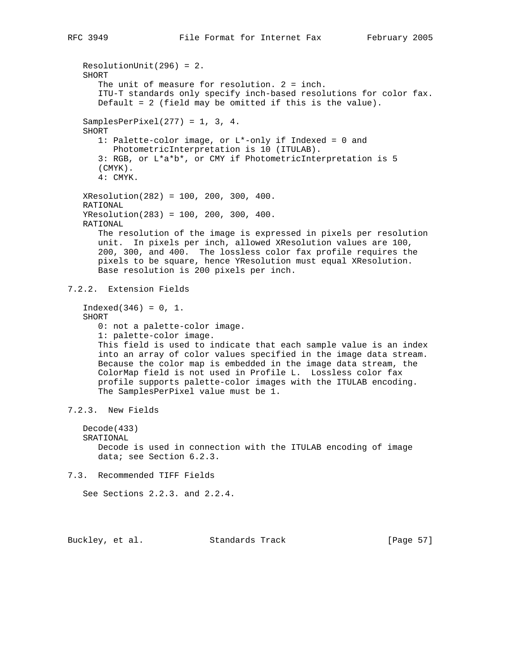```
 ResolutionUnit(296) = 2.
    SHORT
      The unit of measure for resolution. 2 = inch.
       ITU-T standards only specify inch-based resolutions for color fax.
       Default = 2 (field may be omitted if this is the value).
    SamplesPerPixel(277) = 1, 3, 4.
    SHORT
       1: Palette-color image, or L*-only if Indexed = 0 and
         PhotometricInterpretation is 10 (ITULAB).
       3: RGB, or L*a*b*, or CMY if PhotometricInterpretation is 5
       (CMYK).
       4: CMYK.
    XResolution(282) = 100, 200, 300, 400.
   RATIONAL
    YResolution(283) = 100, 200, 300, 400.
   RATIONAL
       The resolution of the image is expressed in pixels per resolution
       unit. In pixels per inch, allowed XResolution values are 100,
       200, 300, and 400. The lossless color fax profile requires the
      pixels to be square, hence YResolution must equal XResolution.
      Base resolution is 200 pixels per inch.
7.2.2. Extension Fields
   Indeed(346) = 0, 1. SHORT
       0: not a palette-color image.
       1: palette-color image.
      This field is used to indicate that each sample value is an index
       into an array of color values specified in the image data stream.
       Because the color map is embedded in the image data stream, the
       ColorMap field is not used in Profile L. Lossless color fax
      profile supports palette-color images with the ITULAB encoding.
      The SamplesPerPixel value must be 1.
7.2.3. New Fields
   Decode(433)
   SRATIONAL
      Decode is used in connection with the ITULAB encoding of image
       data; see Section 6.2.3.
7.3. Recommended TIFF Fields
   See Sections 2.2.3. and 2.2.4.
```
Buckley, et al. Standards Track [Page 57]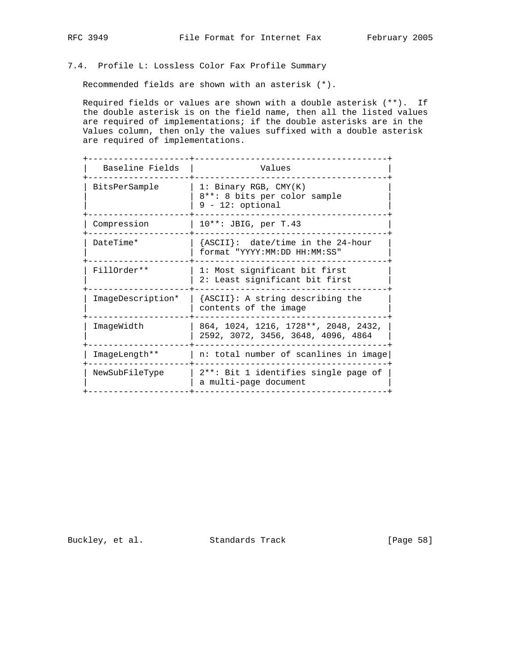# 7.4. Profile L: Lossless Color Fax Profile Summary

Recommended fields are shown with an asterisk (\*).

 Required fields or values are shown with a double asterisk (\*\*). If the double asterisk is on the field name, then all the listed values are required of implementations; if the double asterisks are in the Values column, then only the values suffixed with a double asterisk are required of implementations.

| Baseline Fields   | Values                                                                         |
|-------------------|--------------------------------------------------------------------------------|
| BitsPerSample     | 1: Binary RGB, $CMY(K)$<br>8**: 8 bits per color sample<br>$9 - 12$ : optional |
| Compression       | $10***$ : JBIG, per T.43                                                       |
| DateTime*         | {ASCII}: date/time in the 24-hour<br>format "YYYY:MM:DD HH:MM:SS"              |
| FillOrder **      | 1: Most significant bit first<br>2: Least significant bit first                |
| ImageDescription* | ${ASCII}:$ A string describing the<br>contents of the image                    |
| ImageWidth        | 864, 1024, 1216, 1728**, 2048, 2432,<br>2592, 3072, 3456, 3648, 4096, 4864     |
| ImageLength**     | n: total number of scanlines in image                                          |
| NewSubFileType    | 2**: Bit 1 identifies single page of<br>a multi-page document                  |

Buckley, et al. Standards Track [Page 58]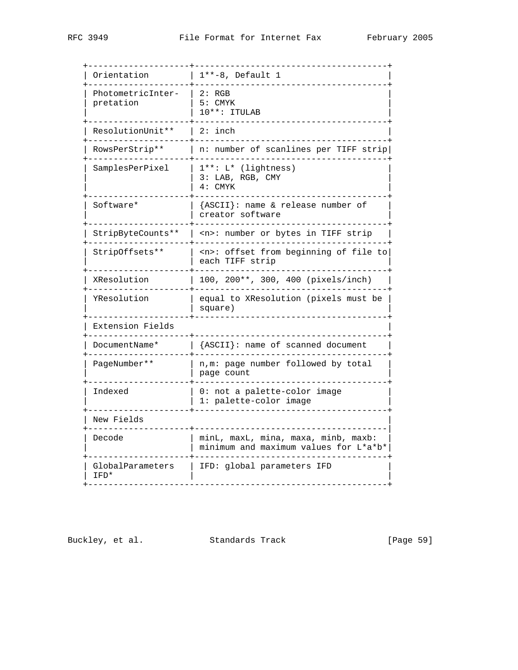| Orientation                    | $1***-8$ , Default 1                                                         |
|--------------------------------|------------------------------------------------------------------------------|
| PhotometricInter-<br>pretation | 2: RGB<br>$5:$ CMYK<br>$10***$ : ITULAB                                      |
| ResolutionUnit**               | $2:$ inch                                                                    |
| RowsPerStrip**                 | n: number of scanlines per TIFF strip                                        |
| SamplesPerPixel                | $1***: L*$ (lightness)<br>3: LAB, RGB, CMY<br>$4:$ CMYK                      |
| Software*                      | {ASCII}: name & release number of<br>creator software                        |
| StripByteCounts**              | <n>: number or bytes in TIFF strip</n>                                       |
| StripOffsets**                 | offset from beginning of file to<br><n>∶<br/>each TIFF strip</n>             |
| XResolution                    | 100, 200**, 300, 400 (pixels/inch)                                           |
| YResolution                    | equal to XResolution (pixels must be<br>square)                              |
| Extension Fields               |                                                                              |
| DocumentName*                  | {ASCII}: name of scanned document                                            |
| PageNumber**                   | n, m: page number followed by total<br>page count                            |
| Indexed                        | 0: not a palette-color image<br>1: palette-color image                       |
| New Fields                     |                                                                              |
| Decode                         | minL, maxL, mina, maxa, minb, maxb:<br>minimum and maximum values for L*a*b* |
| GlobalParameters               | IFD: global parameters IFD                                                   |

Buckley, et al. Standards Track [Page 59]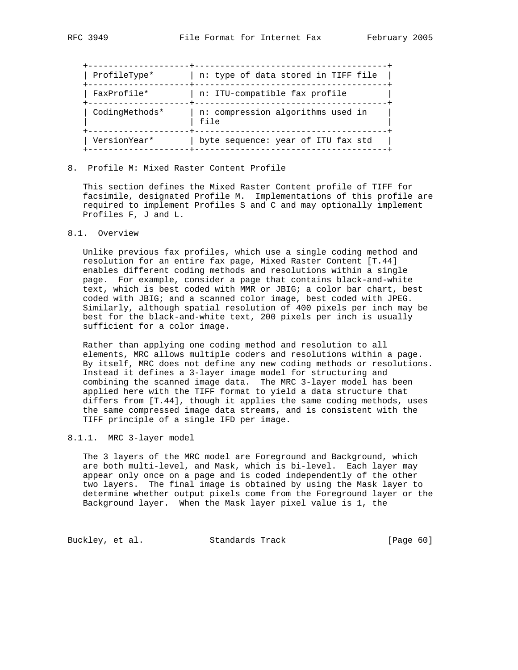| ProfileType*   | n: type of data stored in TIFF file       |
|----------------|-------------------------------------------|
| FaxProfile*    | n: ITU-compatible fax profile             |
| CodingMethods* | n: compression algorithms used in<br>file |
| VersionYear*   | byte sequence: year of ITU fax std        |

8. Profile M: Mixed Raster Content Profile

 This section defines the Mixed Raster Content profile of TIFF for facsimile, designated Profile M. Implementations of this profile are required to implement Profiles S and C and may optionally implement Profiles F, J and L.

# 8.1. Overview

 Unlike previous fax profiles, which use a single coding method and resolution for an entire fax page, Mixed Raster Content [T.44] enables different coding methods and resolutions within a single page. For example, consider a page that contains black-and-white text, which is best coded with MMR or JBIG; a color bar chart, best coded with JBIG; and a scanned color image, best coded with JPEG. Similarly, although spatial resolution of 400 pixels per inch may be best for the black-and-white text, 200 pixels per inch is usually sufficient for a color image.

 Rather than applying one coding method and resolution to all elements, MRC allows multiple coders and resolutions within a page. By itself, MRC does not define any new coding methods or resolutions. Instead it defines a 3-layer image model for structuring and combining the scanned image data. The MRC 3-layer model has been applied here with the TIFF format to yield a data structure that differs from [T.44], though it applies the same coding methods, uses the same compressed image data streams, and is consistent with the TIFF principle of a single IFD per image.

### 8.1.1. MRC 3-layer model

 The 3 layers of the MRC model are Foreground and Background, which are both multi-level, and Mask, which is bi-level. Each layer may appear only once on a page and is coded independently of the other two layers. The final image is obtained by using the Mask layer to determine whether output pixels come from the Foreground layer or the Background layer. When the Mask layer pixel value is 1, the

Buckley, et al. Standards Track [Page 60]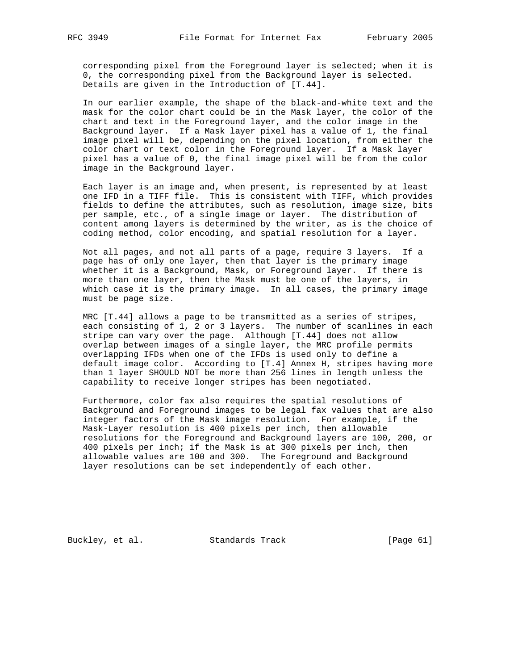corresponding pixel from the Foreground layer is selected; when it is 0, the corresponding pixel from the Background layer is selected. Details are given in the Introduction of [T.44].

 In our earlier example, the shape of the black-and-white text and the mask for the color chart could be in the Mask layer, the color of the chart and text in the Foreground layer, and the color image in the Background layer. If a Mask layer pixel has a value of 1, the final image pixel will be, depending on the pixel location, from either the color chart or text color in the Foreground layer. If a Mask layer pixel has a value of 0, the final image pixel will be from the color image in the Background layer.

Each layer is an image and, when present, is represented by at least one IFD in a TIFF file. This is consistent with TIFF, which provides fields to define the attributes, such as resolution, image size, bits per sample, etc., of a single image or layer. The distribution of content among layers is determined by the writer, as is the choice of coding method, color encoding, and spatial resolution for a layer.

 Not all pages, and not all parts of a page, require 3 layers. If a page has of only one layer, then that layer is the primary image whether it is a Background, Mask, or Foreground layer. If there is more than one layer, then the Mask must be one of the layers, in which case it is the primary image. In all cases, the primary image must be page size.

 MRC [T.44] allows a page to be transmitted as a series of stripes, each consisting of 1, 2 or 3 layers. The number of scanlines in each stripe can vary over the page. Although [T.44] does not allow overlap between images of a single layer, the MRC profile permits overlapping IFDs when one of the IFDs is used only to define a default image color. According to [T.4] Annex H, stripes having more than 1 layer SHOULD NOT be more than 256 lines in length unless the capability to receive longer stripes has been negotiated.

 Furthermore, color fax also requires the spatial resolutions of Background and Foreground images to be legal fax values that are also integer factors of the Mask image resolution. For example, if the Mask-Layer resolution is 400 pixels per inch, then allowable resolutions for the Foreground and Background layers are 100, 200, or 400 pixels per inch; if the Mask is at 300 pixels per inch, then allowable values are 100 and 300. The Foreground and Background layer resolutions can be set independently of each other.

Buckley, et al. Standards Track [Page 61]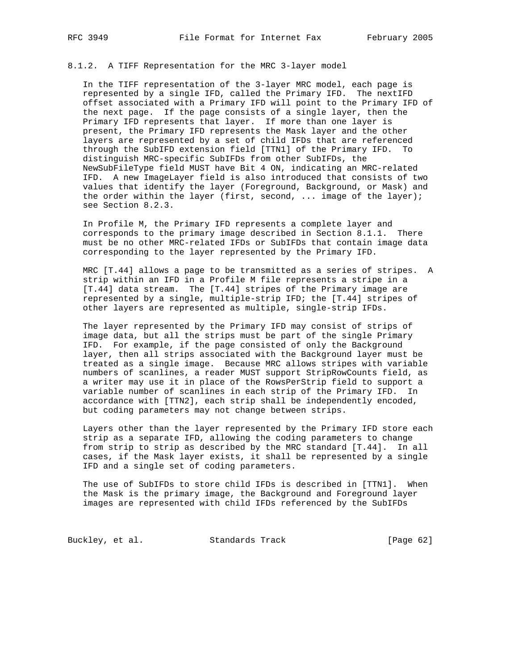### 8.1.2. A TIFF Representation for the MRC 3-layer model

 In the TIFF representation of the 3-layer MRC model, each page is represented by a single IFD, called the Primary IFD. The nextIFD offset associated with a Primary IFD will point to the Primary IFD of the next page. If the page consists of a single layer, then the Primary IFD represents that layer. If more than one layer is present, the Primary IFD represents the Mask layer and the other layers are represented by a set of child IFDs that are referenced through the SubIFD extension field [TTN1] of the Primary IFD. To distinguish MRC-specific SubIFDs from other SubIFDs, the NewSubFileType field MUST have Bit 4 ON, indicating an MRC-related IFD. A new ImageLayer field is also introduced that consists of two values that identify the layer (Foreground, Background, or Mask) and the order within the layer (first, second, ... image of the layer); see Section 8.2.3.

 In Profile M, the Primary IFD represents a complete layer and corresponds to the primary image described in Section 8.1.1. There must be no other MRC-related IFDs or SubIFDs that contain image data corresponding to the layer represented by the Primary IFD.

 MRC [T.44] allows a page to be transmitted as a series of stripes. A strip within an IFD in a Profile M file represents a stripe in a [T.44] data stream. The [T.44] stripes of the Primary image are represented by a single, multiple-strip IFD; the [T.44] stripes of other layers are represented as multiple, single-strip IFDs.

 The layer represented by the Primary IFD may consist of strips of image data, but all the strips must be part of the single Primary IFD. For example, if the page consisted of only the Background layer, then all strips associated with the Background layer must be treated as a single image. Because MRC allows stripes with variable numbers of scanlines, a reader MUST support StripRowCounts field, as a writer may use it in place of the RowsPerStrip field to support a variable number of scanlines in each strip of the Primary IFD. In accordance with [TTN2], each strip shall be independently encoded, but coding parameters may not change between strips.

 Layers other than the layer represented by the Primary IFD store each strip as a separate IFD, allowing the coding parameters to change from strip to strip as described by the MRC standard [T.44]. In all cases, if the Mask layer exists, it shall be represented by a single IFD and a single set of coding parameters.

 The use of SubIFDs to store child IFDs is described in [TTN1]. When the Mask is the primary image, the Background and Foreground layer images are represented with child IFDs referenced by the SubIFDs

Buckley, et al. Standards Track [Page 62]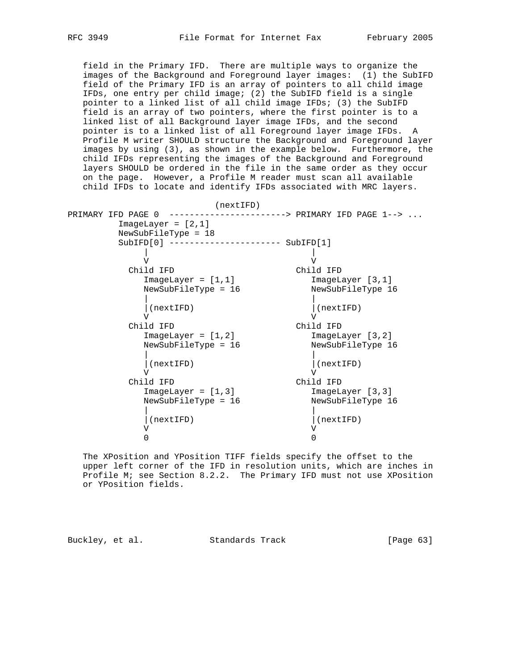field in the Primary IFD. There are multiple ways to organize the images of the Background and Foreground layer images: (1) the SubIFD field of the Primary IFD is an array of pointers to all child image IFDs, one entry per child image; (2) the SubIFD field is a single pointer to a linked list of all child image IFDs; (3) the SubIFD field is an array of two pointers, where the first pointer is to a linked list of all Background layer image IFDs, and the second pointer is to a linked list of all Foreground layer image IFDs. A Profile M writer SHOULD structure the Background and Foreground layer images by using (3), as shown in the example below. Furthermore, the child IFDs representing the images of the Background and Foreground layers SHOULD be ordered in the file in the same order as they occur on the page. However, a Profile M reader must scan all available child IFDs to locate and identify IFDs associated with MRC layers.

| (nextIFD)                                      |                                    |
|------------------------------------------------|------------------------------------|
| PRIMARY IFD PAGE 0                             | -----------> PRIMARY IFD PAGE 1--> |
| $ImageLayer = [2,1]$                           |                                    |
| NewSubFileType = 18                            |                                    |
| $SubIFD[0]$ ---------------------- $SubIFD[1]$ |                                    |
|                                                |                                    |
| ٦T                                             | V                                  |
| Child IFD                                      | Child IFD                          |
| $ImageLayer = [1,1]$                           | ImageLayer [3,1]                   |
| NewSubFileType = 16                            | NewSubFileType 16                  |
|                                                |                                    |
| (nextIFD)                                      | (nextIFD)                          |
| ٦Z                                             |                                    |
| Child IFD                                      | Child IFD                          |
| $ImageLayer = [1, 2]$                          | ImageLayer [3, 2]                  |
| NewSubFileType = 16                            | NewSubFileType 16                  |
|                                                |                                    |
| (nextIFD)                                      | (nextIFD)                          |
| ٦Z                                             |                                    |
| Child IFD                                      | Child IFD                          |
| $ImageLayer = [1,3]$                           | ImageLayer [3,3]                   |
| NewSubFileType = 16                            | NewSubFileType 16                  |
|                                                |                                    |
| (nextIFD)                                      | (nextIFD)                          |
| ٦Z                                             |                                    |
| O                                              |                                    |

 The XPosition and YPosition TIFF fields specify the offset to the upper left corner of the IFD in resolution units, which are inches in Profile M; see Section 8.2.2. The Primary IFD must not use XPosition or YPosition fields.

Buckley, et al. Standards Track [Page 63]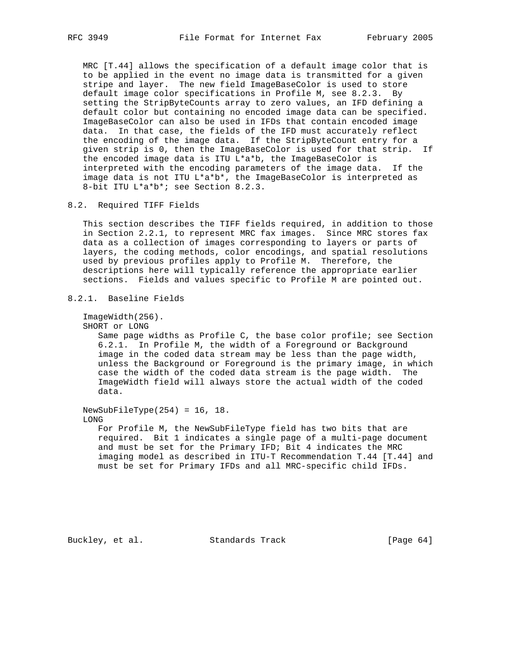MRC [T.44] allows the specification of a default image color that is to be applied in the event no image data is transmitted for a given stripe and layer. The new field ImageBaseColor is used to store default image color specifications in Profile M, see 8.2.3. By setting the StripByteCounts array to zero values, an IFD defining a default color but containing no encoded image data can be specified. ImageBaseColor can also be used in IFDs that contain encoded image data. In that case, the fields of the IFD must accurately reflect the encoding of the image data. If the StripByteCount entry for a given strip is 0, then the ImageBaseColor is used for that strip. If the encoded image data is ITU L\*a\*b, the ImageBaseColor is interpreted with the encoding parameters of the image data. If the image data is not ITU L\*a\*b\*, the ImageBaseColor is interpreted as 8-bit ITU L\*a\*b\*; see Section 8.2.3.

## 8.2. Required TIFF Fields

 This section describes the TIFF fields required, in addition to those in Section 2.2.1, to represent MRC fax images. Since MRC stores fax data as a collection of images corresponding to layers or parts of layers, the coding methods, color encodings, and spatial resolutions used by previous profiles apply to Profile M. Therefore, the descriptions here will typically reference the appropriate earlier sections. Fields and values specific to Profile M are pointed out.

```
8.2.1. Baseline Fields
```
ImageWidth(256).

```
 SHORT or LONG
```
 Same page widths as Profile C, the base color profile; see Section 6.2.1. In Profile M, the width of a Foreground or Background image in the coded data stream may be less than the page width, unless the Background or Foreground is the primary image, in which case the width of the coded data stream is the page width. The ImageWidth field will always store the actual width of the coded data.

 NewSubFileType(254) = 16, 18. LONG For Profile M, the NewSubFileType field has two bits that are required. Bit 1 indicates a single page of a multi-page document and must be set for the Primary IFD; Bit 4 indicates the MRC imaging model as described in ITU-T Recommendation T.44 [T.44] and must be set for Primary IFDs and all MRC-specific child IFDs.

Buckley, et al. Standards Track [Page 64]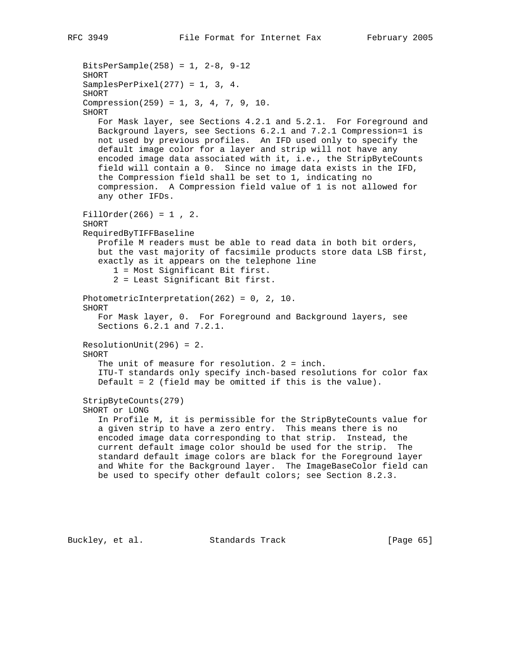```
 BitsPerSample(258) = 1, 2-8, 9-12
 SHORT
SamplesPerPixel(277) = 1, 3, 4. SHORT
 Compression(259) = 1, 3, 4, 7, 9, 10.
 SHORT
    For Mask layer, see Sections 4.2.1 and 5.2.1. For Foreground and
   Background layers, see Sections 6.2.1 and 7.2.1 Compression=1 is
   not used by previous profiles. An IFD used only to specify the
    default image color for a layer and strip will not have any
    encoded image data associated with it, i.e., the StripByteCounts
    field will contain a 0. Since no image data exists in the IFD,
    the Compression field shall be set to 1, indicating no
    compression. A Compression field value of 1 is not allowed for
    any other IFDs.
FillOrder(266) = 1, 2.
 SHORT
 RequiredByTIFFBaseline
   Profile M readers must be able to read data in both bit orders,
   but the vast majority of facsimile products store data LSB first,
    exactly as it appears on the telephone line
       1 = Most Significant Bit first.
       2 = Least Significant Bit first.
 PhotometricInterpretation(262) = 0, 2, 10.
 SHORT
    For Mask layer, 0. For Foreground and Background layers, see
    Sections 6.2.1 and 7.2.1.
 ResolutionUnit(296) = 2.
 SHORT
    The unit of measure for resolution. 2 = inch.
    ITU-T standards only specify inch-based resolutions for color fax
   Default = 2 (field may be omitted if this is the value).
 StripByteCounts(279)
 SHORT or LONG
    In Profile M, it is permissible for the StripByteCounts value for
    a given strip to have a zero entry. This means there is no
    encoded image data corresponding to that strip. Instead, the
   current default image color should be used for the strip. The
   standard default image colors are black for the Foreground layer
    and White for the Background layer. The ImageBaseColor field can
   be used to specify other default colors; see Section 8.2.3.
```
Buckley, et al. Standards Track [Page 65]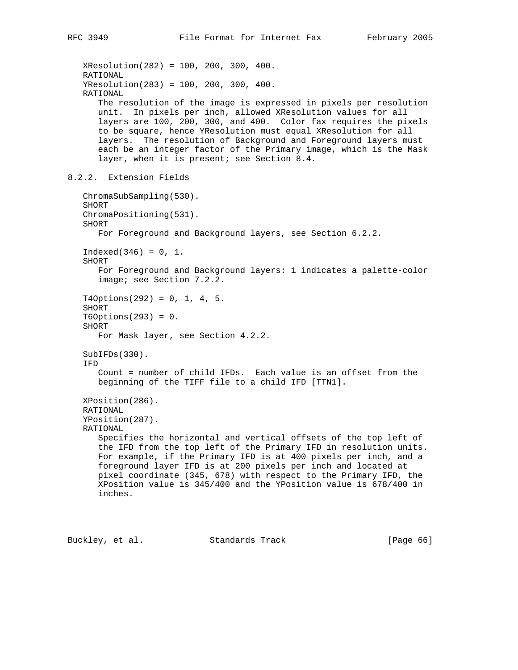XResolution(282) = 100, 200, 300, 400. RATIONAL YResolution(283) = 100, 200, 300, 400. RATIONAL The resolution of the image is expressed in pixels per resolution unit. In pixels per inch, allowed XResolution values for all layers are 100, 200, 300, and 400. Color fax requires the pixels to be square, hence YResolution must equal XResolution for all layers. The resolution of Background and Foreground layers must each be an integer factor of the Primary image, which is the Mask layer, when it is present; see Section 8.4. 8.2.2. Extension Fields ChromaSubSampling(530). SHORT ChromaPositioning(531). SHORT For Foreground and Background layers, see Section 6.2.2.  $Indeed(346) = 0, 1.$  SHORT For Foreground and Background layers: 1 indicates a palette-color image; see Section 7.2.2.  $T4Options(292) = 0, 1, 4, 5.$  SHORT T6Options(293) = 0. SHORT For Mask layer, see Section 4.2.2. SubIFDs(330). IFD Count = number of child IFDs. Each value is an offset from the beginning of the TIFF file to a child IFD [TTN1]. XPosition(286). RATIONAL YPosition(287). RATIONAL Specifies the horizontal and vertical offsets of the top left of the IFD from the top left of the Primary IFD in resolution units. For example, if the Primary IFD is at 400 pixels per inch, and a foreground layer IFD is at 200 pixels per inch and located at pixel coordinate (345, 678) with respect to the Primary IFD, the XPosition value is 345/400 and the YPosition value is 678/400 in inches.

Buckley, et al. Standards Track [Page 66]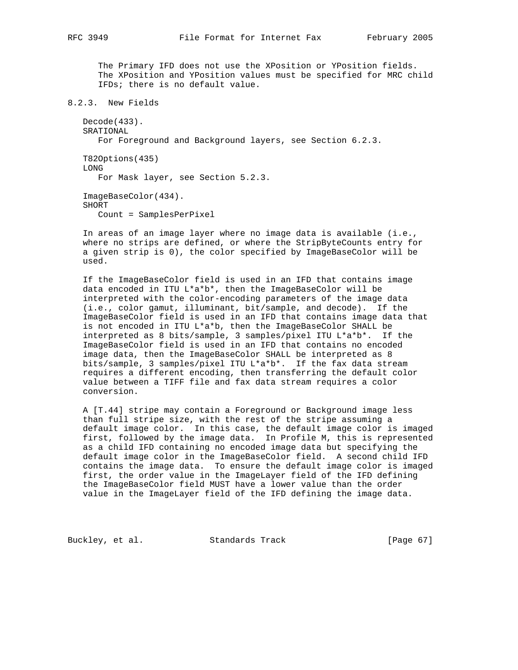The Primary IFD does not use the XPosition or YPosition fields. The XPosition and YPosition values must be specified for MRC child IFDs; there is no default value.

```
8.2.3. New Fields
```
 Decode(433). SRATIONAL For Foreground and Background layers, see Section 6.2.3.

 T82Options(435) LONG For Mask layer, see Section 5.2.3.

 ImageBaseColor(434). SHORT Count = SamplesPerPixel

 In areas of an image layer where no image data is available (i.e., where no strips are defined, or where the StripByteCounts entry for a given strip is 0), the color specified by ImageBaseColor will be used.

 If the ImageBaseColor field is used in an IFD that contains image data encoded in ITU L\*a\*b\*, then the ImageBaseColor will be interpreted with the color-encoding parameters of the image data (i.e., color gamut, illuminant, bit/sample, and decode). If the ImageBaseColor field is used in an IFD that contains image data that is not encoded in ITU L\*a\*b, then the ImageBaseColor SHALL be interpreted as 8 bits/sample, 3 samples/pixel ITU L\*a\*b\*. If the ImageBaseColor field is used in an IFD that contains no encoded image data, then the ImageBaseColor SHALL be interpreted as 8 bits/sample, 3 samples/pixel ITU L\*a\*b\*. If the fax data stream requires a different encoding, then transferring the default color value between a TIFF file and fax data stream requires a color conversion.

 A [T.44] stripe may contain a Foreground or Background image less than full stripe size, with the rest of the stripe assuming a default image color. In this case, the default image color is imaged first, followed by the image data. In Profile M, this is represented as a child IFD containing no encoded image data but specifying the default image color in the ImageBaseColor field. A second child IFD contains the image data. To ensure the default image color is imaged first, the order value in the ImageLayer field of the IFD defining the ImageBaseColor field MUST have a lower value than the order value in the ImageLayer field of the IFD defining the image data.

Buckley, et al. Standards Track [Page 67]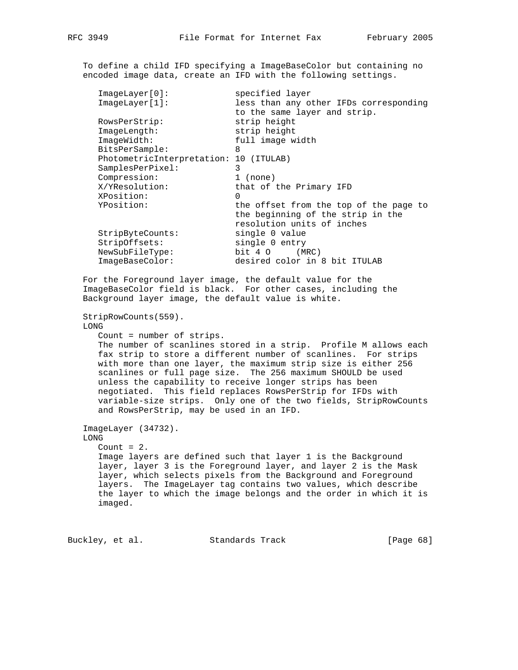To define a child IFD specifying a ImageBaseColor but containing no encoded image data, create an IFD with the following settings.

| ImageLayer[0]:                         | specified layer                        |
|----------------------------------------|----------------------------------------|
| ImageLayer[1]:                         | less than any other IFDs corresponding |
|                                        | to the same layer and strip.           |
| RowsPerStrip:                          | strip height                           |
| ImageLength:                           | strip height                           |
| ImageWidth:                            | full image width                       |
| BitsPerSample:                         | 8                                      |
| PhotometricInterpretation: 10 (ITULAB) |                                        |
| SamplesPerPixel:                       | 3                                      |
| Compression:                           | $1$ (none)                             |
| X/YResolution:                         | that of the Primary IFD                |
| XPosition:                             | $\Omega$                               |
| YPosition:                             | the offset from the top of the page to |
|                                        | the beginning of the strip in the      |
|                                        | resolution units of inches             |
| StripByteCounts:                       | single 0 value                         |
| StripOffsets:                          | single 0 entry                         |
| NewSubFileType:                        | bit 4 O<br>(MRC)                       |
| ImageBaseColor:                        | desired color in 8 bit ITULAB          |
|                                        |                                        |

 For the Foreground layer image, the default value for the ImageBaseColor field is black. For other cases, including the Background layer image, the default value is white.

StripRowCounts(559).

LONG

Count = number of strips.

 The number of scanlines stored in a strip. Profile M allows each fax strip to store a different number of scanlines. For strips with more than one layer, the maximum strip size is either 256 scanlines or full page size. The 256 maximum SHOULD be used unless the capability to receive longer strips has been negotiated. This field replaces RowsPerStrip for IFDs with variable-size strips. Only one of the two fields, StripRowCounts and RowsPerStrip, may be used in an IFD.

 ImageLayer (34732). LONG Count  $= 2.$  Image layers are defined such that layer 1 is the Background layer, layer 3 is the Foreground layer, and layer 2 is the Mask layer, which selects pixels from the Background and Foreground layers. The ImageLayer tag contains two values, which describe the layer to which the image belongs and the order in which it is imaged.

Buckley, et al. Standards Track [Page 68]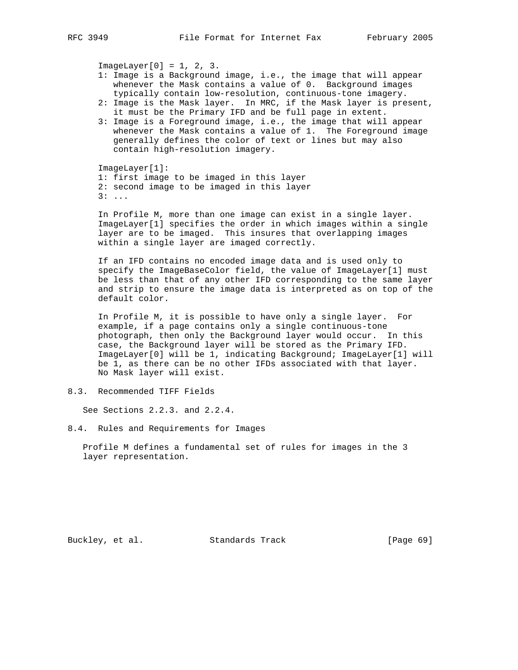$ImageLayer[0] = 1, 2, 3.$ 

- 1: Image is a Background image, i.e., the image that will appear whenever the Mask contains a value of 0. Background images typically contain low-resolution, continuous-tone imagery.
- 2: Image is the Mask layer. In MRC, if the Mask layer is present, it must be the Primary IFD and be full page in extent.
- 3: Image is a Foreground image, i.e., the image that will appear whenever the Mask contains a value of 1. The Foreground image generally defines the color of text or lines but may also contain high-resolution imagery.

 ImageLayer[1]: 1: first image to be imaged in this layer 2: second image to be imaged in this layer 3: ...

 In Profile M, more than one image can exist in a single layer. ImageLayer[1] specifies the order in which images within a single layer are to be imaged. This insures that overlapping images within a single layer are imaged correctly.

 If an IFD contains no encoded image data and is used only to specify the ImageBaseColor field, the value of ImageLayer[1] must be less than that of any other IFD corresponding to the same layer and strip to ensure the image data is interpreted as on top of the default color.

 In Profile M, it is possible to have only a single layer. For example, if a page contains only a single continuous-tone photograph, then only the Background layer would occur. In this case, the Background layer will be stored as the Primary IFD. ImageLayer[0] will be 1, indicating Background; ImageLayer[1] will be 1, as there can be no other IFDs associated with that layer. No Mask layer will exist.

8.3. Recommended TIFF Fields

See Sections 2.2.3. and 2.2.4.

# 8.4. Rules and Requirements for Images

 Profile M defines a fundamental set of rules for images in the 3 layer representation.

Buckley, et al. Standards Track [Page 69]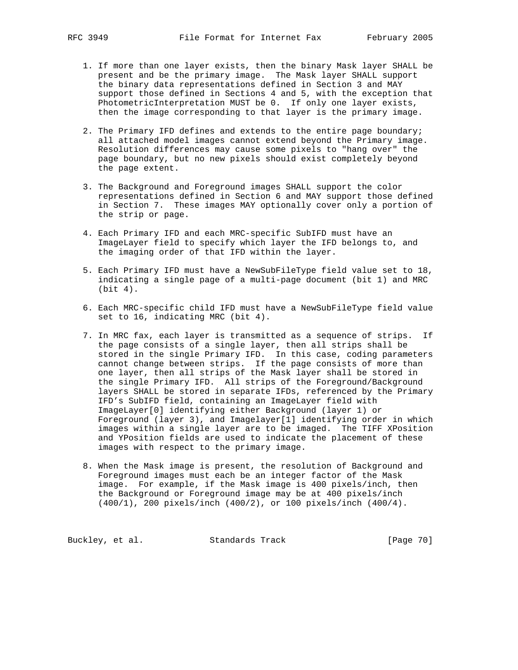- 1. If more than one layer exists, then the binary Mask layer SHALL be present and be the primary image. The Mask layer SHALL support the binary data representations defined in Section 3 and MAY support those defined in Sections 4 and 5, with the exception that PhotometricInterpretation MUST be 0. If only one layer exists, then the image corresponding to that layer is the primary image.
	- 2. The Primary IFD defines and extends to the entire page boundary; all attached model images cannot extend beyond the Primary image. Resolution differences may cause some pixels to "hang over" the page boundary, but no new pixels should exist completely beyond the page extent.
	- 3. The Background and Foreground images SHALL support the color representations defined in Section 6 and MAY support those defined in Section 7. These images MAY optionally cover only a portion of the strip or page.
	- 4. Each Primary IFD and each MRC-specific SubIFD must have an ImageLayer field to specify which layer the IFD belongs to, and the imaging order of that IFD within the layer.
	- 5. Each Primary IFD must have a NewSubFileType field value set to 18, indicating a single page of a multi-page document (bit 1) and MRC (bit 4).
	- 6. Each MRC-specific child IFD must have a NewSubFileType field value set to 16, indicating MRC (bit 4).
	- 7. In MRC fax, each layer is transmitted as a sequence of strips. If the page consists of a single layer, then all strips shall be stored in the single Primary IFD. In this case, coding parameters cannot change between strips. If the page consists of more than one layer, then all strips of the Mask layer shall be stored in the single Primary IFD. All strips of the Foreground/Background layers SHALL be stored in separate IFDs, referenced by the Primary IFD's SubIFD field, containing an ImageLayer field with ImageLayer[0] identifying either Background (layer 1) or Foreground (layer 3), and Imagelayer[1] identifying order in which images within a single layer are to be imaged. The TIFF XPosition and YPosition fields are used to indicate the placement of these images with respect to the primary image.
	- 8. When the Mask image is present, the resolution of Background and Foreground images must each be an integer factor of the Mask image. For example, if the Mask image is 400 pixels/inch, then the Background or Foreground image may be at 400 pixels/inch (400/1), 200 pixels/inch (400/2), or 100 pixels/inch (400/4).

Buckley, et al. Standards Track [Page 70]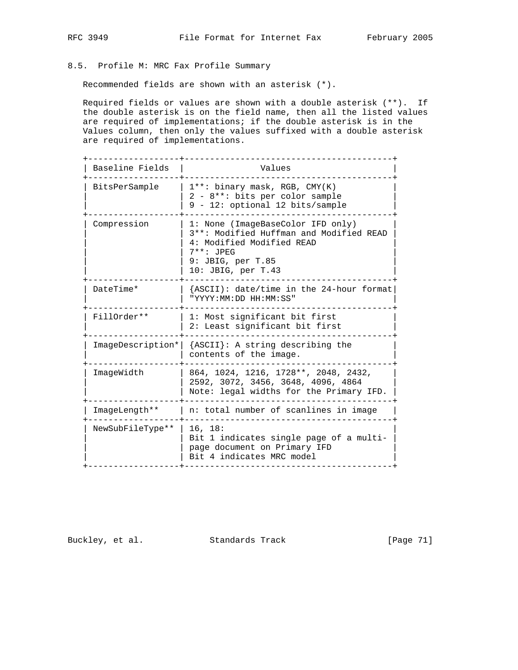# 8.5. Profile M: MRC Fax Profile Summary

Recommended fields are shown with an asterisk (\*).

 Required fields or values are shown with a double asterisk (\*\*). If the double asterisk is on the field name, then all the listed values are required of implementations; if the double asterisk is in the Values column, then only the values suffixed with a double asterisk are required of implementations.

| Baseline Fields  | Values                                                                                                                                                                |
|------------------|-----------------------------------------------------------------------------------------------------------------------------------------------------------------------|
| BitsPerSample    | $1***$ binary mask, RGB, CMY(K)<br>2 - 8**: bits per color sample<br>9 - 12: optional 12 bits/sample                                                                  |
| Compression      | 1: None (ImageBaseColor IFD only)<br>3**: Modified Huffman and Modified READ<br>4: Modified Modified READ<br>$7***$ : JPEG<br>9: JBIG, per T.85<br>10: JBIG, per T.43 |
| DateTime*        | {ASCII): date/time in the 24-hour format<br>"YYYY:MM:DD HH:MM:SS"                                                                                                     |
| FillOrder **     | 1: Most significant bit first<br>2: Least significant bit first                                                                                                       |
|                  | ImageDescription*   {ASCII}: A string describing the<br>contents of the image.                                                                                        |
| ImageWidth       | 864, 1024, 1216, 1728**, 2048, 2432,<br>2592, 3072, 3456, 3648, 4096, 4864<br>Note: legal widths for the Primary IFD.                                                 |
| ImageLength**    | n: total number of scanlines in image                                                                                                                                 |
| NewSubFileType** | 16, 18:<br>Bit 1 indicates single page of a multi-<br>page document on Primary IFD<br>Bit 4 indicates MRC model                                                       |

Buckley, et al. Standards Track [Page 71]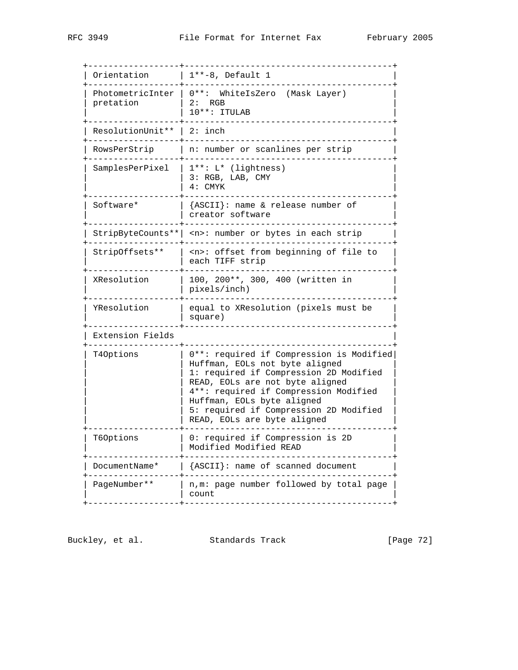| Orientation<br>$1**-8$ , Default 1<br>$0***:$<br>PhotometricInter<br>WhiteIsZero (Mask Layer)<br>pretation<br>2: RGB<br>10**: ITULAB<br>ResolutionUnit**<br>$2:$ inch<br>RowsPerStrip<br>n: number or scanlines per strip<br>SamplesPerPixel<br>$1***$ : $L*$ (lightness)<br>3: RGB, LAB, CMY<br>4: CMYK<br>Software*<br>${ASCII}$ : name & release number of<br>creator software<br><n>: number or bytes in each strip<br/>StripByteCounts** <br/><n>: offset from beginning of file to<br/>StripOffsets**<br/>each TIFF strip<br/>XResolution<br/>100, 200**, 300, 400 (written in<br/>pixels/inch)<br/>YResolution<br/>equal to XResolution (pixels must be<br/>square)<br/>Extension Fields<br/>T40ptions<br/>Huffman, EOLs not byte aligned<br/>READ, EOLs are not byte aligned<br/>4**: required if Compression Modified<br/>Huffman, EOLs byte aligned<br/>READ, EOLs are byte aligned<br/>T60ptions<br/>0: required if Compression is 2D<br/>Modified Modified READ</n></n> |               |                                                                                                                              |
|-------------------------------------------------------------------------------------------------------------------------------------------------------------------------------------------------------------------------------------------------------------------------------------------------------------------------------------------------------------------------------------------------------------------------------------------------------------------------------------------------------------------------------------------------------------------------------------------------------------------------------------------------------------------------------------------------------------------------------------------------------------------------------------------------------------------------------------------------------------------------------------------------------------------------------------------------------------------------------------|---------------|------------------------------------------------------------------------------------------------------------------------------|
|                                                                                                                                                                                                                                                                                                                                                                                                                                                                                                                                                                                                                                                                                                                                                                                                                                                                                                                                                                                     |               |                                                                                                                              |
|                                                                                                                                                                                                                                                                                                                                                                                                                                                                                                                                                                                                                                                                                                                                                                                                                                                                                                                                                                                     |               |                                                                                                                              |
|                                                                                                                                                                                                                                                                                                                                                                                                                                                                                                                                                                                                                                                                                                                                                                                                                                                                                                                                                                                     |               |                                                                                                                              |
|                                                                                                                                                                                                                                                                                                                                                                                                                                                                                                                                                                                                                                                                                                                                                                                                                                                                                                                                                                                     |               |                                                                                                                              |
|                                                                                                                                                                                                                                                                                                                                                                                                                                                                                                                                                                                                                                                                                                                                                                                                                                                                                                                                                                                     |               |                                                                                                                              |
|                                                                                                                                                                                                                                                                                                                                                                                                                                                                                                                                                                                                                                                                                                                                                                                                                                                                                                                                                                                     |               |                                                                                                                              |
|                                                                                                                                                                                                                                                                                                                                                                                                                                                                                                                                                                                                                                                                                                                                                                                                                                                                                                                                                                                     |               |                                                                                                                              |
|                                                                                                                                                                                                                                                                                                                                                                                                                                                                                                                                                                                                                                                                                                                                                                                                                                                                                                                                                                                     |               |                                                                                                                              |
|                                                                                                                                                                                                                                                                                                                                                                                                                                                                                                                                                                                                                                                                                                                                                                                                                                                                                                                                                                                     |               |                                                                                                                              |
|                                                                                                                                                                                                                                                                                                                                                                                                                                                                                                                                                                                                                                                                                                                                                                                                                                                                                                                                                                                     |               |                                                                                                                              |
|                                                                                                                                                                                                                                                                                                                                                                                                                                                                                                                                                                                                                                                                                                                                                                                                                                                                                                                                                                                     |               |                                                                                                                              |
|                                                                                                                                                                                                                                                                                                                                                                                                                                                                                                                                                                                                                                                                                                                                                                                                                                                                                                                                                                                     |               | 0**: required if Compression is Modified<br>1: required if Compression 2D Modified<br>5: required if Compression 2D Modified |
|                                                                                                                                                                                                                                                                                                                                                                                                                                                                                                                                                                                                                                                                                                                                                                                                                                                                                                                                                                                     |               |                                                                                                                              |
|                                                                                                                                                                                                                                                                                                                                                                                                                                                                                                                                                                                                                                                                                                                                                                                                                                                                                                                                                                                     | DocumentName* | ${ASCII}$ : name of scanned document                                                                                         |
| PageNumber **<br>count                                                                                                                                                                                                                                                                                                                                                                                                                                                                                                                                                                                                                                                                                                                                                                                                                                                                                                                                                              |               | n, m: page number followed by total page                                                                                     |

Buckley, et al. Standards Track [Page 72]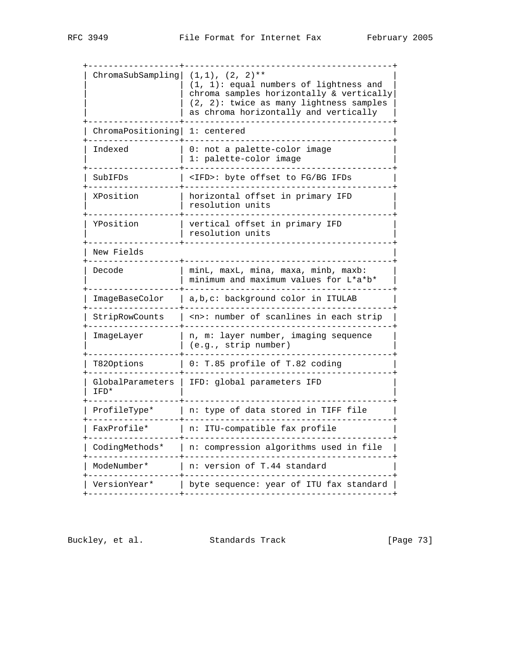| ChromaSubSampling        | $(1,1)$ , $(2, 2)$ **<br>$(1, 1)$ : equal numbers of lightness and<br>chroma samples horizontally & vertically<br>(2, 2): twice as many lightness samples<br>as chroma horizontally and vertically |  |  |  |
|--------------------------|----------------------------------------------------------------------------------------------------------------------------------------------------------------------------------------------------|--|--|--|
| ChromaPositioning        | 1: centered                                                                                                                                                                                        |  |  |  |
| Indexed                  | not a palette-color image<br>1: palette-color image                                                                                                                                                |  |  |  |
| SubIFDs                  | <ifd>: byte offset to FG/BG IFDs</ifd>                                                                                                                                                             |  |  |  |
| XPosition                | in primary IFD<br>horizontal offset<br>resolution units                                                                                                                                            |  |  |  |
| YPosition                | vertical offset in primary IFD<br>resolution units                                                                                                                                                 |  |  |  |
| New Fields               |                                                                                                                                                                                                    |  |  |  |
| Decode                   | minL, maxL, mina, maxa, minb, maxb:<br>minimum and maximum values for L*a*b*                                                                                                                       |  |  |  |
| ImageBaseColor           | a,b,c: background color in ITULAB                                                                                                                                                                  |  |  |  |
| StripRowCounts           | <n>: number of scanlines in each strip</n>                                                                                                                                                         |  |  |  |
| ImageLayer               | n, m: layer number, imaging sequence<br>(e.g., strip number)                                                                                                                                       |  |  |  |
| T820ptions               | 0: T.85 profile of T.82 coding                                                                                                                                                                     |  |  |  |
| GlobalParameters<br>IFD* | IFD: global parameters IFD                                                                                                                                                                         |  |  |  |
| ProfileType*             | n: type of data stored in TIFF file                                                                                                                                                                |  |  |  |
| FaxProfile*              | n:<br>ITU-compatible fax profile                                                                                                                                                                   |  |  |  |
| CodingMethods*           | n: compression algorithms used in file                                                                                                                                                             |  |  |  |
| ModeNumber*              | n: version of T.44 standard                                                                                                                                                                        |  |  |  |
| VersionYear*             | byte sequence: year of ITU fax standard                                                                                                                                                            |  |  |  |
|                          |                                                                                                                                                                                                    |  |  |  |

Buckley, et al. Standards Track [Page 73]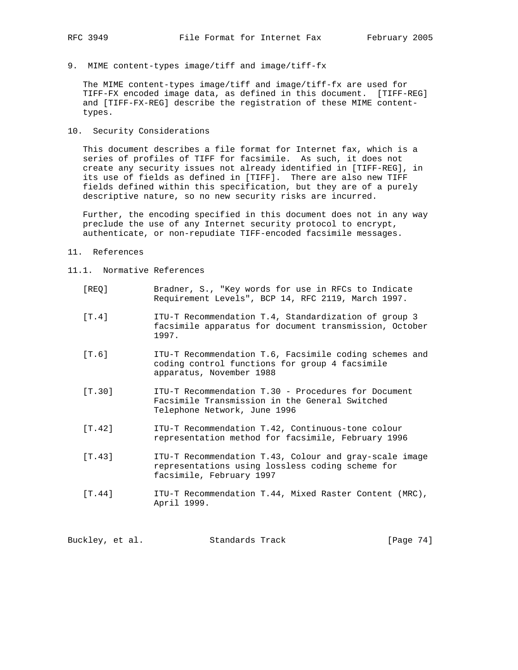9. MIME content-types image/tiff and image/tiff-fx

 The MIME content-types image/tiff and image/tiff-fx are used for TIFF-FX encoded image data, as defined in this document. [TIFF-REG] and [TIFF-FX-REG] describe the registration of these MIME content types.

10. Security Considerations

 This document describes a file format for Internet fax, which is a series of profiles of TIFF for facsimile. As such, it does not create any security issues not already identified in [TIFF-REG], in its use of fields as defined in [TIFF]. There are also new TIFF fields defined within this specification, but they are of a purely descriptive nature, so no new security risks are incurred.

 Further, the encoding specified in this document does not in any way preclude the use of any Internet security protocol to encrypt, authenticate, or non-repudiate TIFF-encoded facsimile messages.

- 11. References
- 11.1. Normative References
	- [REQ] Bradner, S., "Key words for use in RFCs to Indicate Requirement Levels", BCP 14, RFC 2119, March 1997.
	- [T.4] ITU-T Recommendation T.4, Standardization of group 3 facsimile apparatus for document transmission, October 1997.
	- [T.6] ITU-T Recommendation T.6, Facsimile coding schemes and coding control functions for group 4 facsimile apparatus, November 1988
	- [T.30] ITU-T Recommendation T.30 Procedures for Document Facsimile Transmission in the General Switched Telephone Network, June 1996
	- [T.42] ITU-T Recommendation T.42, Continuous-tone colour representation method for facsimile, February 1996
	- [T.43] ITU-T Recommendation T.43, Colour and gray-scale image representations using lossless coding scheme for facsimile, February 1997
	- [T.44] ITU-T Recommendation T.44, Mixed Raster Content (MRC), April 1999.

Buckley, et al. Standards Track [Page 74]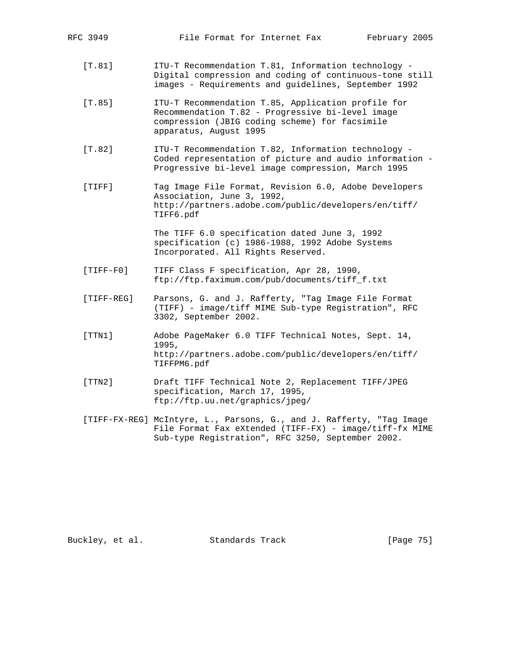- [T.81] ITU-T Recommendation T.81, Information technology Digital compression and coding of continuous-tone still images - Requirements and guidelines, September 1992
- [T.85] ITU-T Recommendation T.85, Application profile for Recommendation T.82 - Progressive bi-level image compression (JBIG coding scheme) for facsimile apparatus, August 1995
- [T.82] ITU-T Recommendation T.82, Information technology Coded representation of picture and audio information - Progressive bi-level image compression, March 1995
- [TIFF] Tag Image File Format, Revision 6.0, Adobe Developers Association, June 3, 1992, http://partners.adobe.com/public/developers/en/tiff/ TIFF6.pdf

 The TIFF 6.0 specification dated June 3, 1992 specification (c) 1986-1988, 1992 Adobe Systems Incorporated. All Rights Reserved.

- [TIFF-F0] TIFF Class F specification, Apr 28, 1990, ftp://ftp.faximum.com/pub/documents/tiff\_f.txt
- [TIFF-REG] Parsons, G. and J. Rafferty, "Tag Image File Format (TIFF) - image/tiff MIME Sub-type Registration", RFC 3302, September 2002.
- [TTN1] Adobe PageMaker 6.0 TIFF Technical Notes, Sept. 14, 1995, http://partners.adobe.com/public/developers/en/tiff/ TIFFPM6.pdf
- [TTN2] Draft TIFF Technical Note 2, Replacement TIFF/JPEG specification, March 17, 1995, ftp://ftp.uu.net/graphics/jpeg/
- [TIFF-FX-REG] McIntyre, L., Parsons, G., and J. Rafferty, "Tag Image File Format Fax eXtended (TIFF-FX) - image/tiff-fx MIME Sub-type Registration", RFC 3250, September 2002.

Buckley, et al. Standards Track [Page 75]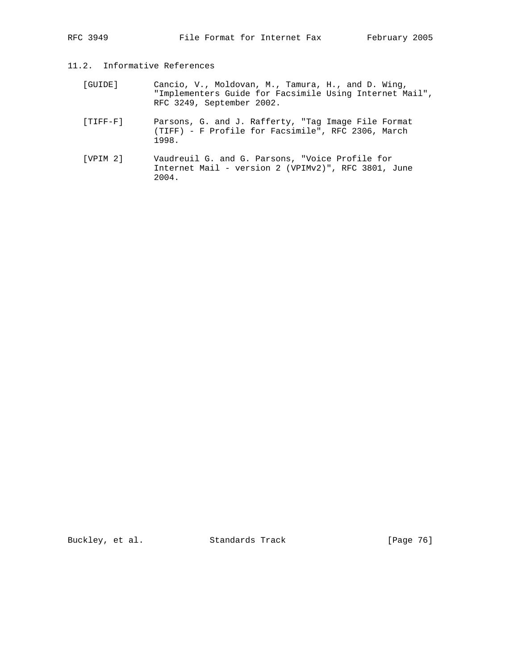## 11.2. Informative References

- [GUIDE] Cancio, V., Moldovan, M., Tamura, H., and D. Wing, "Implementers Guide for Facsimile Using Internet Mail", RFC 3249, September 2002.
- [TIFF-F] Parsons, G. and J. Rafferty, "Tag Image File Format (TIFF) - F Profile for Facsimile", RFC 2306, March 1998.
- [VPIM 2] Vaudreuil G. and G. Parsons, "Voice Profile for Internet Mail - version 2 (VPIMv2)", RFC 3801, June 2004.

Buckley, et al. Standards Track [Page 76]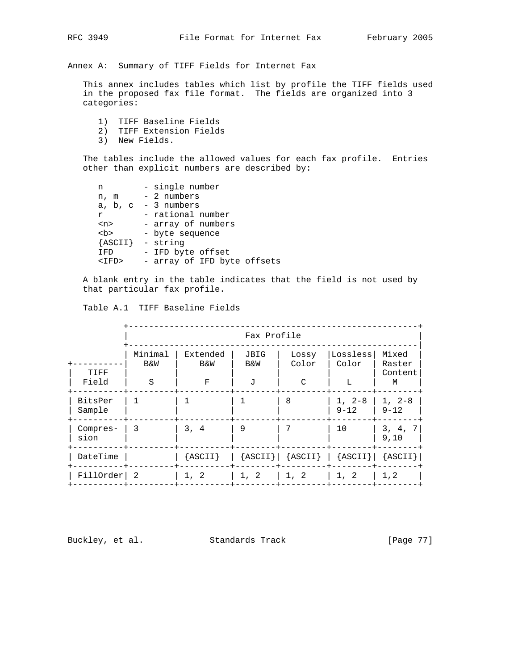Annex A: Summary of TIFF Fields for Internet Fax

 This annex includes tables which list by profile the TIFF fields used in the proposed fax file format. The fields are organized into 3 categories:

- 1) TIFF Baseline Fields
- 2) TIFF Extension Fields
- 3) New Fields.

 The tables include the allowed values for each fax profile. Entries other than explicit numbers are described by:

| n            | - single number             |
|--------------|-----------------------------|
| n, m         | - 2 numbers                 |
|              | a, $b$ , $c - 3$ numbers    |
| r            | - rational number           |
| $<$ n $>$    | - array of numbers          |
| <br><b>b</b> | - byte sequence             |
|              | ${ASCII}$ - string          |
| IFD          | - IFD byte offset           |
| <ifd></ifd>  | - array of IFD byte offsets |
|              |                             |

 A blank entry in the table indicates that the field is not used by that particular fax profile.

|                   | Fax Profile                    |                                 |                  |                                                       |                        |                                 |
|-------------------|--------------------------------|---------------------------------|------------------|-------------------------------------------------------|------------------------|---------------------------------|
| TIFF<br>Field     | Minimal<br><b>B&amp;W</b><br>S | Extended<br><b>B&amp;W</b><br>F | JBIG<br>B&W<br>J | Lossy<br>Color<br>$\mathcal{C}$                       | Lossless<br>Color<br>L | Mixed<br>Raster<br>Content<br>M |
| BitsPer<br>Sample |                                |                                 |                  | 8                                                     | $1, 2-8$<br>$9 - 12$   | $1, 2-8$<br>$9 - 12$            |
| Compres-<br>sion  | 3                              | 3, 4                            | 9                | 7                                                     | 10                     | 3, 4,<br>-7<br>9.10             |
| DateTime          |                                | ${ASCII}$                       |                  | $ \$ {ASCII} $ \$ {ASCII} $ \$ {ASCII} $ \$ {ASCII} } |                        |                                 |
| FillOrder  2      |                                | 1, 2                            | 1, 2             | 1, 2                                                  | 1, 2                   | 1, 2                            |

Buckley, et al. Standards Track [Page 77]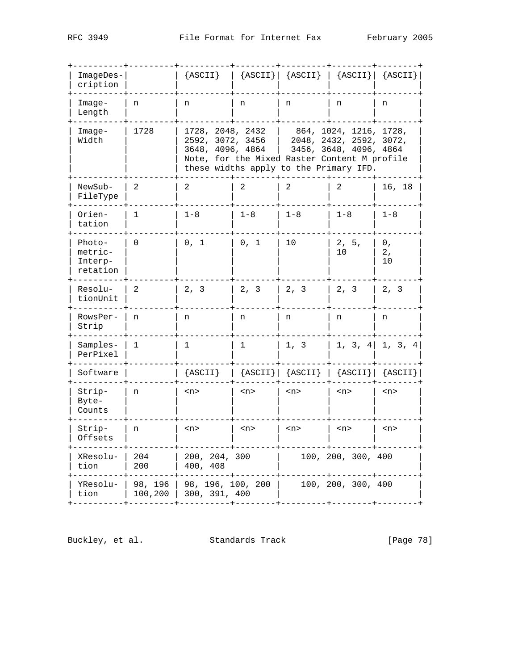| $ImageDes -  $<br>cription               |                    |                                                          |           | ${ASCII}$   ${ASCII}$   ${ASCII}$   ${ASCII}$   ${ASCII}$   ${ASCII}$                                                                                   |                        |                   |
|------------------------------------------|--------------------|----------------------------------------------------------|-----------|---------------------------------------------------------------------------------------------------------------------------------------------------------|------------------------|-------------------|
| $Image-$<br>Length                       | n                  | n                                                        | n         | n                                                                                                                                                       | n                      | n                 |
| $Image-$<br>Width                        | 1728               | 1728, 2048, 2432<br>2592, 3072, 3456<br>3648, 4096, 4864 |           | $\vert$ 864, 1024, 1216, 1728,<br>  $2048, 2432, 2592, 3072,$<br>Note, for the Mixed Raster Content M profile<br>these widths apply to the Primary IFD. | 3456, 3648, 4096, 4864 |                   |
| NewSub-<br>FileType                      | 2                  | 2                                                        | 2         | 2                                                                                                                                                       | 2                      | 16, 18            |
| Orien-<br>tation                         | 1                  | $1 - 8$                                                  | $1 - 8$   | $1 - 8$                                                                                                                                                 | $1 - 8$                | $1 - 8$           |
| Photo-<br>metric-<br>Interp-<br>retation | 0                  | 0, 1                                                     | 0, 1      | 10                                                                                                                                                      | 2, 5,<br>10            | 0,<br>2,<br>10    |
| Resolu-<br>tionUnit                      | - 2                | 2, 3                                                     | 2, 3      | $\begin{array}{ccc} \ 2, & 3 \end{array}$                                                                                                               | 2, 3                   | 2, 3              |
| RowsPer-<br>Strip                        | n                  | n                                                        | n         | n                                                                                                                                                       | n                      | n                 |
| Samples-<br>PerPixel                     | 1                  | 1                                                        | 1         | 1, 3                                                                                                                                                    |                        | 1, 3, 4   1, 3, 4 |
| Software                                 |                    | ${ASCII}$                                                |           | ${ASCII}   {ASCII}   {ASCII}   {ASCII}$                                                                                                                 |                        |                   |
| Strip-<br>Byte-<br>Counts                | n                  | $<$ n $>$                                                | $<$ n $>$ | $<$ n>                                                                                                                                                  | $<$ n>                 | $<$ n>            |
| Strip-<br>Offsets                        | n                  | < n                                                      | $<$ n $>$ | $<$ n>                                                                                                                                                  | $<$ n>                 | $<$ n>            |
| XResolu-<br>tion                         | 204<br>200         | 200, 204, 300<br>400, 408                                |           |                                                                                                                                                         | 100, 200, 300, 400     |                   |
| YResolu-<br>tion                         | 98, 196<br>100,200 | 98, 196, 100, 200<br>300, 391, 400                       |           |                                                                                                                                                         | 100, 200, 300, 400     |                   |
|                                          |                    |                                                          |           |                                                                                                                                                         |                        |                   |

Buckley, et al. Standards Track [Page 78]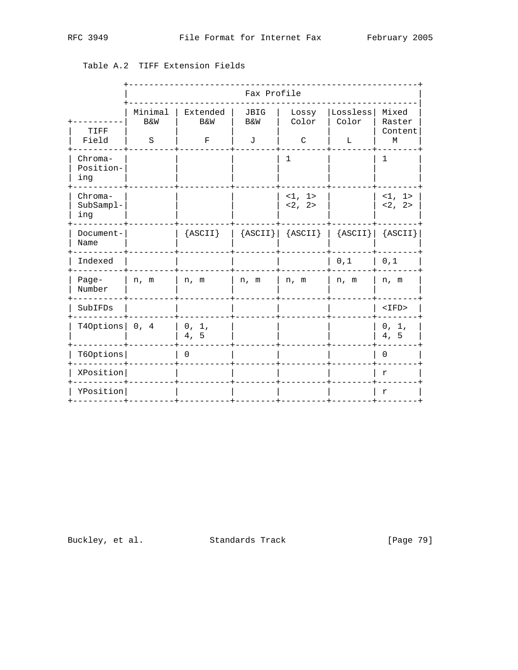|                             | Fax Profile                          |                                           |                  |                                 |                                                   |                                 |
|-----------------------------|--------------------------------------|-------------------------------------------|------------------|---------------------------------|---------------------------------------------------|---------------------------------|
| TIFF<br>Field               | Minimal<br><b>B&amp;W</b><br>$\rm S$ | Extended<br><b>B&amp;W</b><br>$\mathbf F$ | JBIG<br>B&W<br>J | Lossy<br>Color<br>$\mathcal{C}$ | Lossless<br>Color<br>L                            | Mixed<br>Raster<br>Content<br>М |
| Chroma-<br>Position-<br>ing |                                      |                                           |                  | $\mathbf 1$                     |                                                   | $\mathbf 1$                     |
| Chroma-<br>SubSampl-<br>ing |                                      |                                           |                  | <1, 1><br><2, 2>                |                                                   | <1, 1><br><2, 2>                |
| Document-<br>Name           |                                      | ${ASCII}$                                 |                  |                                 | ${ASCII}   {ASCII}   {ASCII}   {ASCII}   {ASCII}$ |                                 |
| Indexed                     |                                      |                                           |                  |                                 | 0,1                                               | 0,1                             |
| Page-<br>Number             | n, m                                 | n, m                                      | n, m             | n, m                            | n, m                                              | n, m                            |
| SubIFDs                     |                                      |                                           |                  |                                 |                                                   | $<$ IFD>                        |
| T40ptions $\vert$ 0, 4      |                                      | 0, 1,<br>4, 5                             |                  |                                 |                                                   | 0, 1,<br>4, 5                   |
| T60ptions                   |                                      | $\Omega$                                  |                  |                                 |                                                   | $\Omega$                        |
| XPosition                   |                                      |                                           |                  |                                 |                                                   | r                               |
| YPosition                   |                                      |                                           |                  |                                 |                                                   | $\mathbf r$                     |

## Table A.2 TIFF Extension Fields

Buckley, et al. Standards Track

[Page 79]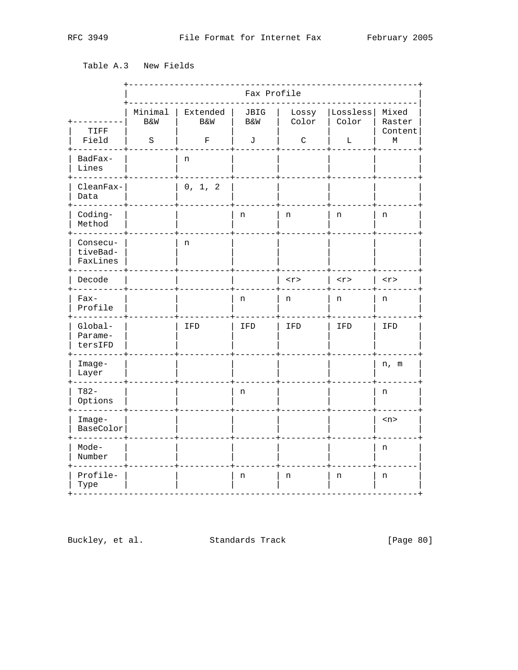Table A.3 New Fields

|                                  |                                | Fax Profile                               |                  |                           |                        |                                 |
|----------------------------------|--------------------------------|-------------------------------------------|------------------|---------------------------|------------------------|---------------------------------|
| TIFF<br>Field                    | Minimal<br><b>B&amp;W</b><br>S | Extended<br><b>B&amp;W</b><br>$\mathbf F$ | JBIG<br>B&W<br>J | Lossy<br>Color<br>$\rm C$ | Lossless<br>Color<br>Г | Mixed<br>Raster<br>Content<br>М |
| BadFax-<br>Lines                 |                                | n                                         |                  |                           |                        |                                 |
| CleanFax-<br>Data                |                                | 0, 1, 2                                   |                  |                           |                        |                                 |
| Coding-<br>Method                |                                |                                           | n                | n                         | n                      | n                               |
| Consecu-<br>tiveBad-<br>FaxLines |                                | n                                         |                  |                           |                        |                                 |
| Decode                           |                                |                                           |                  | $<$ r>                    | $\langle r \rangle$    | $<$ r>                          |
| $Fax-$<br>Profile                |                                |                                           | n                | n                         | n                      | n                               |
| Global-<br>Parame-<br>tersIFD    |                                | IFD                                       | IFD              | IFD                       | IFD                    | IFD                             |
| $Image-$<br>Layer                |                                |                                           |                  |                           |                        | n, m                            |
| $T82-$<br>Options                |                                |                                           | n                |                           |                        | n                               |
| $Image-$<br>BaseColor            |                                |                                           |                  |                           |                        | $<$ n>                          |
| Mode-<br>Number                  |                                |                                           |                  |                           |                        | n                               |
| Profile-<br>Type                 |                                |                                           | n                | n                         | n                      | n                               |

Buckley, et al. Standards Track

[Page 80]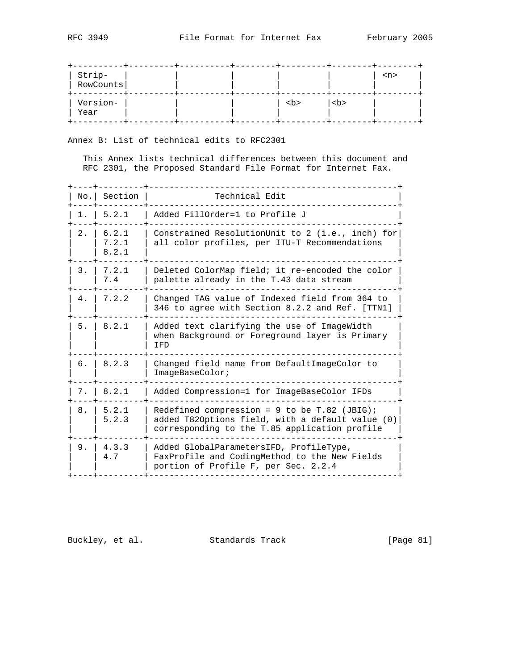| Strip-  <br>RowCounts |  |              |              | $<$ n> |
|-----------------------|--|--------------|--------------|--------|
| Version-<br>Year      |  | <br><b>b</b> | <br><b>b</b> |        |

Annex B: List of technical edits to RFC2301

 This Annex lists technical differences between this document and RFC 2301, the Proposed Standard File Format for Internet Fax.

|     | No. Section             | Technical Edit                                                                                                                                      |
|-----|-------------------------|-----------------------------------------------------------------------------------------------------------------------------------------------------|
| 1.  | 5.2.1                   | Added FillOrder=1 to Profile J                                                                                                                      |
| 2.1 | 6.2.1<br>7.2.1<br>8.2.1 | Constrained ResolutionUnit to 2 (i.e., inch) for<br>all color profiles, per ITU-T Recommendations                                                   |
| 3.  | 7.2.1<br>7.4            | Deleted ColorMap field; it re-encoded the color<br>palette already in the T.43 data stream                                                          |
| 4.  | 7.2.2                   | Changed TAG value of Indexed field from 364 to<br>346 to agree with Section 8.2.2 and Ref. [TTN1]                                                   |
| 5.  | 8.2.1                   | Added text clarifying the use of ImageWidth<br>when Background or Foreground layer is Primary<br>IFD                                                |
| б.  | 8.2.3                   | Changed field name from DefaultImageColor to<br>ImageBaseColor;                                                                                     |
| 7.  | 8.2.1                   | Added Compression=1 for ImageBaseColor IFDs                                                                                                         |
| 8.  | 5.2.1<br>5.2.3          | Redefined compression = $9$ to be T.82 (JBIG);<br>added T820ptions field, with a default value (0)<br>corresponding to the T.85 application profile |
| 9.  | 4.3.3<br>4.7            | Added GlobalParametersIFD, ProfileType,<br>FaxProfile and CodingMethod to the New Fields<br>portion of Profile F, per Sec. 2.2.4                    |

Buckley, et al. Standards Track [Page 81]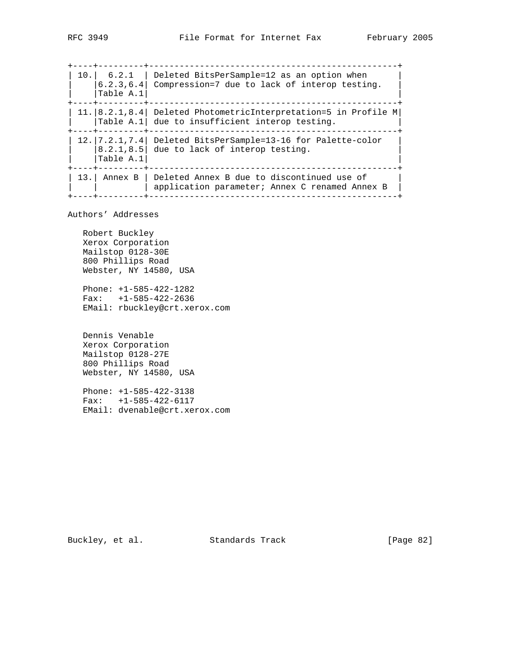+----+---------+-------------------------------------------------+ | 10.| 6.2.1 | Deleted BitsPerSample=12 as an option when |  $|$  |6.2.3,6.4| Compression=7 due to lack of interop testing. |  $|{\tt Table\ A.1}|$ +----+---------+-------------------------------------------------+ | 11.|8.2.1,8.4| Deleted PhotometricInterpretation=5 in Profile M|  $|$  |Table A.1 due to insufficient interop testing. +----+---------+-------------------------------------------------+  $| 12. | 7.2.1, 7.4 |$  Deleted BitsPerSample=13-16 for Palette-color  $|$  $| 8.2.1, 8.5|$  due to lack of interop testing.  $|{\tt Table\ A.1}|$ +----+---------+-------------------------------------------------+ | 13.| Annex B | Deleted Annex B due to discontinued use of | | | application parameter; Annex C renamed Annex B | +----+---------+-------------------------------------------------+

Authors' Addresses

 Robert Buckley Xerox Corporation Mailstop 0128-30E 800 Phillips Road Webster, NY 14580, USA

 Phone: +1-585-422-1282 Fax: +1-585-422-2636 EMail: rbuckley@crt.xerox.com

 Dennis Venable Xerox Corporation Mailstop 0128-27E 800 Phillips Road Webster, NY 14580, USA

 Phone: +1-585-422-3138 Fax: +1-585-422-6117 EMail: dvenable@crt.xerox.com

Buckley, et al. Standards Track [Page 82]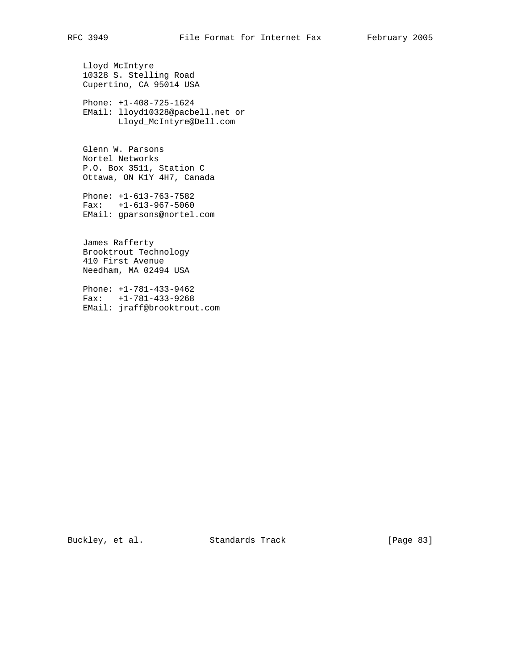Lloyd McIntyre 10328 S. Stelling Road Cupertino, CA 95014 USA

 Phone: +1-408-725-1624 EMail: lloyd10328@pacbell.net or Lloyd\_McIntyre@Dell.com

 Glenn W. Parsons Nortel Networks P.O. Box 3511, Station C Ottawa, ON K1Y 4H7, Canada

 Phone: +1-613-763-7582 Fax: +1-613-967-5060 EMail: gparsons@nortel.com

 James Rafferty Brooktrout Technology 410 First Avenue Needham, MA 02494 USA

 Phone: +1-781-433-9462 Fax: +1-781-433-9268 EMail: jraff@brooktrout.com

Buckley, et al. Standards Track [Page 83]